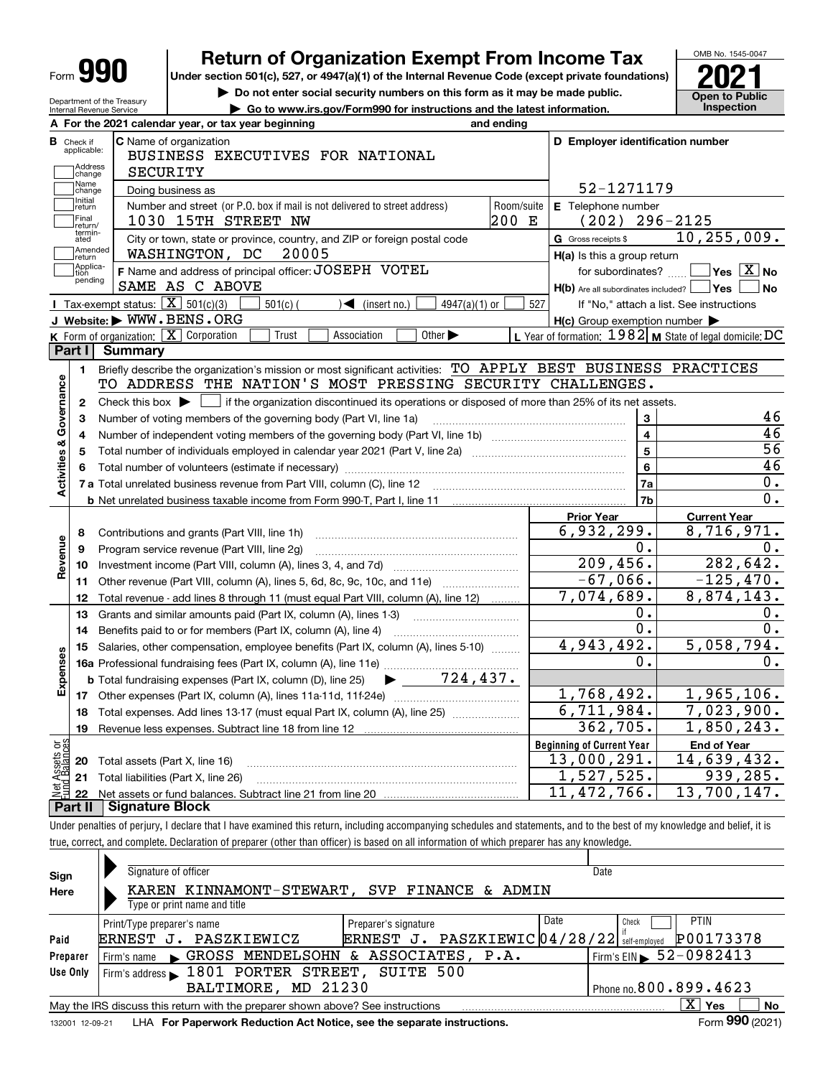| Form |
|------|
|------|

Department of the Treasury Internal Revenue Service

# **Return of Organization Exempt From Income Tax**

Under section 501(c), 527, or 4947(a)(1) of the Internal Revenue Code (except private foundations) **2021** 

**| Do not enter social security numbers on this form as it may be made public.**

**| Go to www.irs.gov/Form990 for instructions and the latest information. Inspection**



|                                         | A For the 2021 calendar year, or tax year beginning<br>and ending                                                                                      |                                  |                                                     |                                                           |
|-----------------------------------------|--------------------------------------------------------------------------------------------------------------------------------------------------------|----------------------------------|-----------------------------------------------------|-----------------------------------------------------------|
| В<br>Check if<br>applicable:<br>Address | <b>C</b> Name of organization<br>BUSINESS EXECUTIVES FOR NATIONAL                                                                                      |                                  |                                                     | D Employer identification number                          |
| change<br>Name                          | SECURITY                                                                                                                                               |                                  | 52-1271179                                          |                                                           |
| change<br>Initial                       | Doing business as                                                                                                                                      |                                  |                                                     |                                                           |
| return<br>Final                         | Number and street (or P.O. box if mail is not delivered to street address)<br>1030 15TH STREET NW                                                      | Room/suite<br>200 E              | E Telephone number<br>(202)                         | $296 - 2125$                                              |
| return/<br>termin-                      |                                                                                                                                                        |                                  |                                                     | 10, 255, 009.                                             |
| ated<br>Amended                         | City or town, state or province, country, and ZIP or foreign postal code<br>WASHINGTON, DC<br>20005                                                    | G Gross receipts \$              |                                                     |                                                           |
| Ireturn<br>Applica-                     |                                                                                                                                                        |                                  | $H(a)$ is this a group return                       | $\sqrt{}$ Yes $\sqrt{X}$ No                               |
| tion<br>pending                         | F Name and address of principal officer: JOSEPH VOTEL<br>SAME AS C ABOVE                                                                               |                                  | for subordinates?                                   |                                                           |
|                                         | Tax-exempt status: $\boxed{\mathbf{X}}$ 501(c)(3)                                                                                                      |                                  |                                                     | $H(b)$ Are all subordinates included? $\Box$ Yes<br>∣No   |
|                                         | $\sqrt{\frac{1}{1}}$ (insert no.)<br>$501(c)$ (<br>$4947(a)(1)$ or<br>J Website: WWW.BENS.ORG                                                          | 527                              |                                                     | If "No," attach a list. See instructions                  |
|                                         | K Form of organization: $\boxed{\mathbf{X}}$ Corporation<br>Trust<br>Other $\blacktriangleright$<br>Association                                        |                                  | $H(c)$ Group exemption number $\blacktriangleright$ | L Year of formation: $1982$ M State of legal domicile: DC |
| Part I                                  | <b>Summary</b>                                                                                                                                         |                                  |                                                     |                                                           |
|                                         | Briefly describe the organization's mission or most significant activities: TO APPLY BEST BUSINESS PRACTICES                                           |                                  |                                                     |                                                           |
| $\blacksquare$                          | TO ADDRESS THE NATION'S MOST PRESSING SECURITY CHALLENGES.                                                                                             |                                  |                                                     |                                                           |
|                                         |                                                                                                                                                        |                                  |                                                     |                                                           |
| $\mathbf{2}$                            | Check this box $\blacktriangleright$ $\blacksquare$ if the organization discontinued its operations or disposed of more than 25% of its net assets.    |                                  | $\mathbf{3}$                                        | 46                                                        |
| 3                                       | Number of voting members of the governing body (Part VI, line 1a)                                                                                      |                                  | $\overline{\mathbf{4}}$                             | 46                                                        |
| 4                                       |                                                                                                                                                        |                                  | $\overline{\mathbf{5}}$                             | 56                                                        |
| 5                                       |                                                                                                                                                        |                                  | 6                                                   | $\overline{46}$                                           |
| Activities & Governance<br>6            |                                                                                                                                                        |                                  | 7a                                                  | $\overline{0}$ .                                          |
|                                         |                                                                                                                                                        |                                  | 7 <sub>b</sub>                                      | 0.                                                        |
|                                         |                                                                                                                                                        | <b>Prior Year</b>                |                                                     | <b>Current Year</b>                                       |
|                                         |                                                                                                                                                        |                                  | 6,932,299.                                          | 8,716,971.                                                |
| 8<br>Revenue                            | Contributions and grants (Part VIII, line 1h)<br>Program service revenue (Part VIII, line 2g)                                                          |                                  | 0.                                                  | 0.                                                        |
| 9<br>10                                 |                                                                                                                                                        |                                  | 209,456.                                            | 282,642.                                                  |
| 11                                      |                                                                                                                                                        |                                  | $-67,066.$                                          | $-125,470.$                                               |
| 12                                      |                                                                                                                                                        |                                  | 7,074,689.                                          | 8,874,143.                                                |
| 13                                      | Total revenue - add lines 8 through 11 (must equal Part VIII, column (A), line 12)<br>Grants and similar amounts paid (Part IX, column (A), lines 1-3) |                                  | Ο.                                                  | 0.                                                        |
| 14                                      |                                                                                                                                                        |                                  | $\overline{0}$ .                                    | $\overline{0}$ .                                          |
| 15                                      | Salaries, other compensation, employee benefits (Part IX, column (A), lines 5-10)                                                                      |                                  | 4,943,492.                                          | 5,058,794.                                                |
|                                         |                                                                                                                                                        |                                  | 0.                                                  | 0.                                                        |
| Expenses                                | $\blacktriangleright$ $\frac{724,437.}{ }$<br><b>b</b> Total fundraising expenses (Part IX, column (D), line 25)                                       |                                  |                                                     |                                                           |
|                                         |                                                                                                                                                        |                                  | 1,768,492.                                          | 1,965,106.                                                |
| 18                                      | Total expenses. Add lines 13-17 (must equal Part IX, column (A), line 25)                                                                              |                                  | 6,711,984.                                          | 7,023,900.                                                |
| 19                                      |                                                                                                                                                        |                                  | 362,705.                                            | 1,850,243.                                                |
|                                         |                                                                                                                                                        | <b>Beginning of Current Year</b> |                                                     | <b>End of Year</b>                                        |
| Ξğ<br>$\overline{\mathbf{c}}$           |                                                                                                                                                        |                                  | 13,000,291.                                         | 14,639,432.                                               |
|                                         | <b>20</b> Total assets (Part X, line 16)<br>21 Total liabilities (Part X, line 26)                                                                     |                                  | 1,527,525.                                          | 939,285.                                                  |
|                                         |                                                                                                                                                        |                                  |                                                     |                                                           |
| 22                                      |                                                                                                                                                        |                                  | 11, 472, 766.                                       | 13,700,147.                                               |

Under penalties of perjury, I declare that I have examined this return, including accompanying schedules and statements, and to the best of my knowledge and belief, it is true, correct, and complete. Declaration of preparer (other than officer) is based on all information of which preparer has any knowledge.

| Sign     | Signature of officer                                                            |                                             | Date                                       |
|----------|---------------------------------------------------------------------------------|---------------------------------------------|--------------------------------------------|
| Here     | KAREN KINNAMONT-STEWART, SVP FINANCE & ADMIN<br>Type or print name and title    |                                             |                                            |
|          | Print/Type preparer's name                                                      | Date<br>Preparer's signature                | <b>PTIN</b><br>Check                       |
| Paid     | ERNEST J. PASZKIEWICZ                                                           | ERNEST J. PASZKIEWIC 04/28/22 self-employed | P00173378                                  |
| Preparer | Firm's name GROSS MENDELSOHN & ASSOCIATES, P.A.                                 |                                             | $1$ Firm's EIN $\triangleright$ 52-0982413 |
| Use Only | Firm's address 1801 PORTER STREET, SUITE 500                                    |                                             |                                            |
|          | BALTIMORE, MD 21230                                                             |                                             | Phone no. 800.899.4623                     |
|          | May the IRS discuss this return with the preparer shown above? See instructions |                                             | ΧI<br>No<br>Yes                            |
|          |                                                                                 |                                             | $\sim$ 000 $\sim$                          |

132001 12-09-21 LHA **For Paperwork Reduction Act Notice, see the separate instructions. Form 990 (2021)**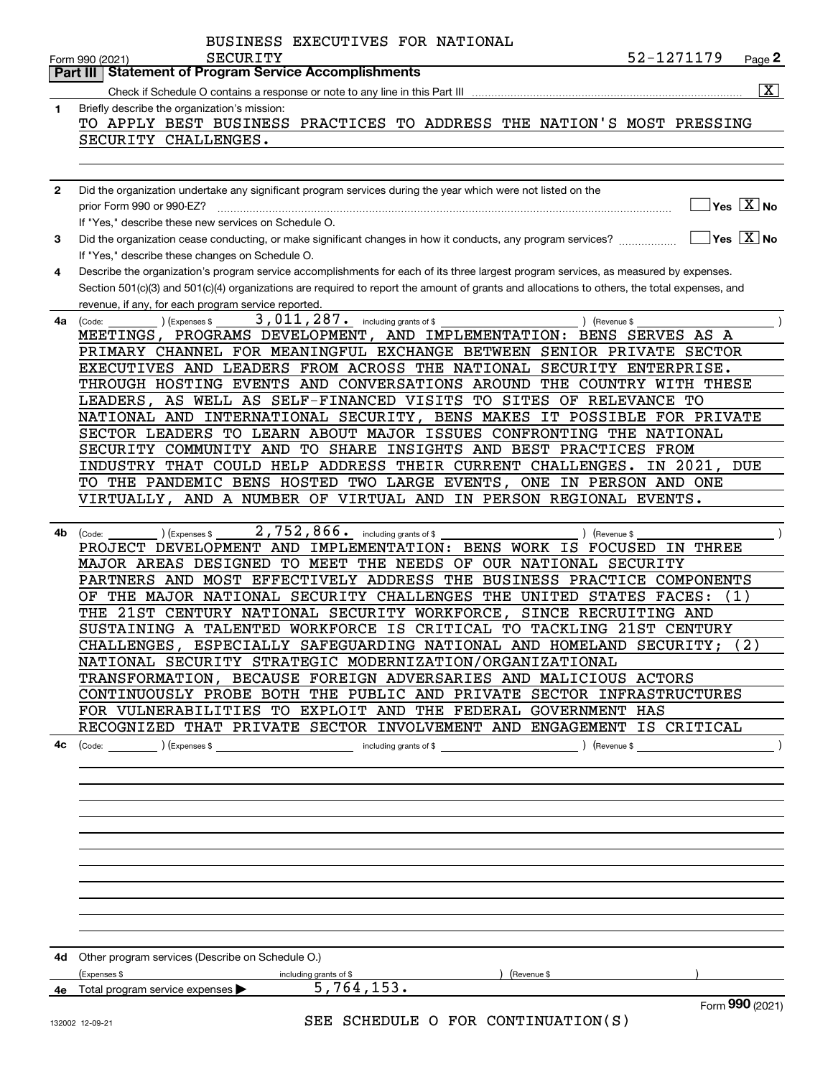|              | BUSINESS EXECUTIVES FOR NATIONAL                                                                                                                       |
|--------------|--------------------------------------------------------------------------------------------------------------------------------------------------------|
|              | 52-1271179<br>SECURITY<br>$Page$ 2<br>Form 990 (2021)                                                                                                  |
|              | <b>Statement of Program Service Accomplishments</b><br>Part III                                                                                        |
|              | $\overline{\mathbf{X}}$                                                                                                                                |
| 1            | Briefly describe the organization's mission:                                                                                                           |
|              | TO APPLY BEST BUSINESS PRACTICES TO ADDRESS THE NATION'S MOST PRESSING                                                                                 |
|              | SECURITY CHALLENGES.                                                                                                                                   |
|              |                                                                                                                                                        |
| $\mathbf{2}$ | Did the organization undertake any significant program services during the year which were not listed on the                                           |
|              | $\overline{\ }$ Yes $\overline{\phantom{X}}$ No<br>prior Form 990 or 990-EZ?                                                                           |
|              | If "Yes." describe these new services on Schedule O.                                                                                                   |
| 3            | $\sqrt{}$ Yes $\sqrt{}$ X $\sqrt{}$ No<br>Did the organization cease conducting, or make significant changes in how it conducts, any program services? |
|              | If "Yes," describe these changes on Schedule O.                                                                                                        |
| 4            | Describe the organization's program service accomplishments for each of its three largest program services, as measured by expenses.                   |
|              | Section 501(c)(3) and 501(c)(4) organizations are required to report the amount of grants and allocations to others, the total expenses, and           |
|              | revenue, if any, for each program service reported.                                                                                                    |
| 4a           | 3,011,287. including grants of \$<br>(Expenses \$<br>) (Revenue \$<br>(Code:                                                                           |
|              | MEETINGS, PROGRAMS DEVELOPMENT, AND IMPLEMENTATION: BENS SERVES AS A                                                                                   |
|              | PRIMARY CHANNEL FOR MEANINGFUL EXCHANGE BETWEEN SENIOR PRIVATE SECTOR                                                                                  |
|              | EXECUTIVES AND LEADERS FROM ACROSS THE NATIONAL SECURITY ENTERPRISE.                                                                                   |
|              | THROUGH HOSTING EVENTS AND CONVERSATIONS AROUND THE COUNTRY WITH THESE                                                                                 |
|              | LEADERS, AS WELL AS SELF-FINANCED VISITS TO SITES OF RELEVANCE TO                                                                                      |
|              | NATIONAL AND INTERNATIONAL SECURITY, BENS MAKES IT POSSIBLE FOR PRIVATE                                                                                |
|              | SECTOR LEADERS TO LEARN ABOUT MAJOR ISSUES CONFRONTING THE NATIONAL                                                                                    |
|              | SECURITY COMMUNITY AND TO SHARE INSIGHTS AND BEST PRACTICES FROM                                                                                       |
|              | INDUSTRY THAT COULD HELP ADDRESS THEIR CURRENT CHALLENGES.<br>IN 2021,<br>DUE                                                                          |
|              | TO THE PANDEMIC BENS HOSTED TWO LARGE EVENTS, ONE IN PERSON AND ONE                                                                                    |
|              | VIRTUALLY, AND A NUMBER OF VIRTUAL AND IN PERSON REGIONAL EVENTS.                                                                                      |
|              | 2,752,866. including grants of \$                                                                                                                      |
| 4b           | ) (Revenue \$<br>(Code:<br>(Expenses \$<br>PROJECT DEVELOPMENT AND IMPLEMENTATION: BENS WORK IS FOCUSED IN THREE                                       |
|              | MAJOR AREAS DESIGNED TO MEET THE NEEDS OF OUR NATIONAL SECURITY                                                                                        |
|              | PARTNERS AND MOST EFFECTIVELY ADDRESS THE BUSINESS PRACTICE COMPONENTS                                                                                 |
|              | THE MAJOR NATIONAL SECURITY CHALLENGES THE UNITED STATES FACES:<br>(1)<br>ОF                                                                           |
|              | THE 21ST CENTURY NATIONAL SECURITY WORKFORCE, SINCE RECRUITING AND                                                                                     |
|              | SUSTAINING A TALENTED WORKFORCE IS CRITICAL TO TACKLING 21ST CENTURY                                                                                   |
|              | ESPECIALLY SAFEGUARDING NATIONAL AND HOMELAND SECURITY;<br>(2)<br>CHALLENGES,                                                                          |
|              | NATIONAL SECURITY STRATEGIC MODERNIZATION/ORGANIZATIONAL                                                                                               |
|              | TRANSFORMATION, BECAUSE FOREIGN ADVERSARIES AND MALICIOUS ACTORS                                                                                       |
|              | CONTINUOUSLY PROBE BOTH THE PUBLIC AND PRIVATE SECTOR INFRASTRUCTURES                                                                                  |
|              | FOR VULNERABILITIES TO EXPLOIT AND THE FEDERAL GOVERNMENT HAS                                                                                          |
|              | RECOGNIZED THAT PRIVATE SECTOR INVOLVEMENT AND ENGAGEMENT IS CRITICAL                                                                                  |
| 4с           |                                                                                                                                                        |
|              |                                                                                                                                                        |
|              |                                                                                                                                                        |
|              |                                                                                                                                                        |
|              |                                                                                                                                                        |
|              |                                                                                                                                                        |
|              |                                                                                                                                                        |
|              |                                                                                                                                                        |
|              |                                                                                                                                                        |
|              |                                                                                                                                                        |
|              |                                                                                                                                                        |
|              |                                                                                                                                                        |
|              | 4d Other program services (Describe on Schedule O.)                                                                                                    |
|              | ) (Revenue \$<br>(Expenses \$<br>including grants of \$                                                                                                |
|              | 5,764,153.<br>4e Total program service expenses                                                                                                        |
|              | Form 990 (2021)                                                                                                                                        |
|              | SEE SCHEDULE O FOR CONTINUATION(S)<br>132002 12.09.21                                                                                                  |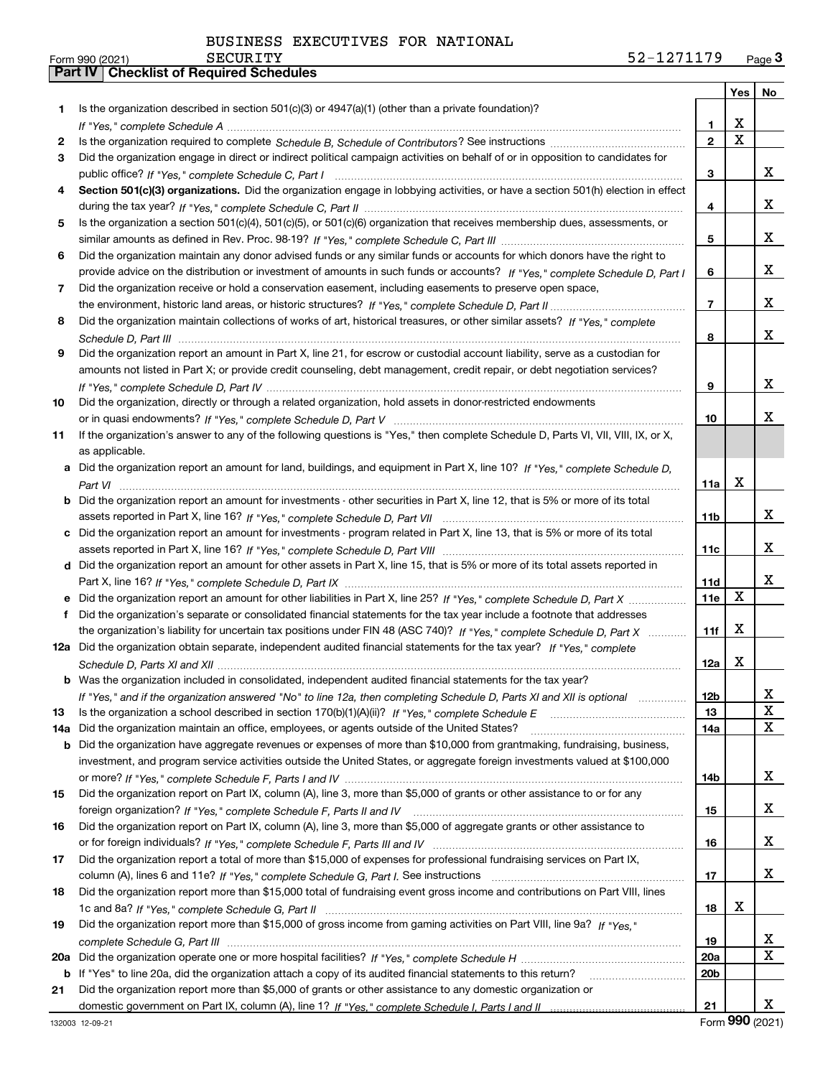|     |                                                                                                                                                     |                 | Yes                     | No |
|-----|-----------------------------------------------------------------------------------------------------------------------------------------------------|-----------------|-------------------------|----|
| 1.  | Is the organization described in section 501(c)(3) or 4947(a)(1) (other than a private foundation)?                                                 |                 |                         |    |
|     |                                                                                                                                                     | 1               | X                       |    |
| 2   |                                                                                                                                                     | $\overline{2}$  | $\overline{\mathbf{x}}$ |    |
| з   | Did the organization engage in direct or indirect political campaign activities on behalf of or in opposition to candidates for                     |                 |                         |    |
|     |                                                                                                                                                     | 3               |                         | X. |
| 4   | Section 501(c)(3) organizations. Did the organization engage in lobbying activities, or have a section 501(h) election in effect                    |                 |                         |    |
|     |                                                                                                                                                     | 4               |                         | X. |
| 5   | Is the organization a section 501(c)(4), 501(c)(5), or 501(c)(6) organization that receives membership dues, assessments, or                        |                 |                         |    |
|     |                                                                                                                                                     | 5               |                         | X. |
| 6   | Did the organization maintain any donor advised funds or any similar funds or accounts for which donors have the right to                           |                 |                         |    |
|     | provide advice on the distribution or investment of amounts in such funds or accounts? If "Yes," complete Schedule D, Part I                        | 6               |                         | X. |
| 7   | Did the organization receive or hold a conservation easement, including easements to preserve open space,                                           |                 |                         |    |
|     |                                                                                                                                                     | 7               |                         | x  |
| 8   | Did the organization maintain collections of works of art, historical treasures, or other similar assets? If "Yes," complete                        |                 |                         |    |
|     |                                                                                                                                                     | 8               |                         | x  |
| 9   | Did the organization report an amount in Part X, line 21, for escrow or custodial account liability, serve as a custodian for                       |                 |                         |    |
|     | amounts not listed in Part X; or provide credit counseling, debt management, credit repair, or debt negotiation services?                           |                 |                         |    |
|     |                                                                                                                                                     | 9               |                         | x  |
| 10  | Did the organization, directly or through a related organization, hold assets in donor-restricted endowments                                        |                 |                         | x  |
|     |                                                                                                                                                     | 10              |                         |    |
| 11  | If the organization's answer to any of the following questions is "Yes," then complete Schedule D, Parts VI, VII, VIII, IX, or X,<br>as applicable. |                 |                         |    |
|     | a Did the organization report an amount for land, buildings, and equipment in Part X, line 10? If "Yes," complete Schedule D,                       |                 |                         |    |
|     |                                                                                                                                                     | 11a             | X                       |    |
|     | <b>b</b> Did the organization report an amount for investments - other securities in Part X, line 12, that is 5% or more of its total               |                 |                         |    |
|     |                                                                                                                                                     | 11b             |                         | x  |
|     | c Did the organization report an amount for investments - program related in Part X, line 13, that is 5% or more of its total                       |                 |                         |    |
|     |                                                                                                                                                     | 11c             |                         | X. |
|     | d Did the organization report an amount for other assets in Part X, line 15, that is 5% or more of its total assets reported in                     |                 |                         |    |
|     |                                                                                                                                                     | 11d             |                         | x  |
|     | e Did the organization report an amount for other liabilities in Part X, line 25? If "Yes," complete Schedule D, Part X                             | 11e             | X                       |    |
| f   | Did the organization's separate or consolidated financial statements for the tax year include a footnote that addresses                             |                 |                         |    |
|     | the organization's liability for uncertain tax positions under FIN 48 (ASC 740)? If "Yes," complete Schedule D, Part X                              | 11f             | X                       |    |
|     | 12a Did the organization obtain separate, independent audited financial statements for the tax year? If "Yes," complete                             |                 |                         |    |
|     |                                                                                                                                                     | 12a             | x                       |    |
|     | <b>b</b> Was the organization included in consolidated, independent audited financial statements for the tax year?                                  |                 |                         |    |
|     | If "Yes," and if the organization answered "No" to line 12a, then completing Schedule D, Parts XI and XII is optional                               | 12 <sub>b</sub> |                         | Χ  |
| 13  | Is the organization a school described in section $170(b)(1)(A)(ii)?$ If "Yes," complete Schedule E                                                 | 13              |                         | X  |
| 14a | Did the organization maintain an office, employees, or agents outside of the United States?                                                         | 14a             |                         | X  |
| b   | Did the organization have aggregate revenues or expenses of more than \$10,000 from grantmaking, fundraising, business,                             |                 |                         |    |
|     | investment, and program service activities outside the United States, or aggregate foreign investments valued at \$100,000                          |                 |                         |    |
|     |                                                                                                                                                     | 14b             |                         | X. |
| 15  | Did the organization report on Part IX, column (A), line 3, more than \$5,000 of grants or other assistance to or for any                           |                 |                         |    |
|     |                                                                                                                                                     | 15              |                         | X. |
| 16  | Did the organization report on Part IX, column (A), line 3, more than \$5,000 of aggregate grants or other assistance to                            |                 |                         |    |
|     |                                                                                                                                                     | 16              |                         | X. |
| 17  | Did the organization report a total of more than \$15,000 of expenses for professional fundraising services on Part IX,                             |                 |                         |    |
|     |                                                                                                                                                     | 17              |                         | X. |
| 18  | Did the organization report more than \$15,000 total of fundraising event gross income and contributions on Part VIII, lines                        |                 | x                       |    |
|     | Did the organization report more than \$15,000 of gross income from gaming activities on Part VIII, line 9a? If "Yes."                              | 18              |                         |    |
| 19  |                                                                                                                                                     | 19              |                         | X. |
| 20a |                                                                                                                                                     | 20a             |                         | X  |
| b   | If "Yes" to line 20a, did the organization attach a copy of its audited financial statements to this return?                                        | 20 <sub>b</sub> |                         |    |
| 21  | Did the organization report more than \$5,000 of grants or other assistance to any domestic organization or                                         |                 |                         |    |
|     |                                                                                                                                                     | 21              |                         | X. |
|     |                                                                                                                                                     |                 |                         |    |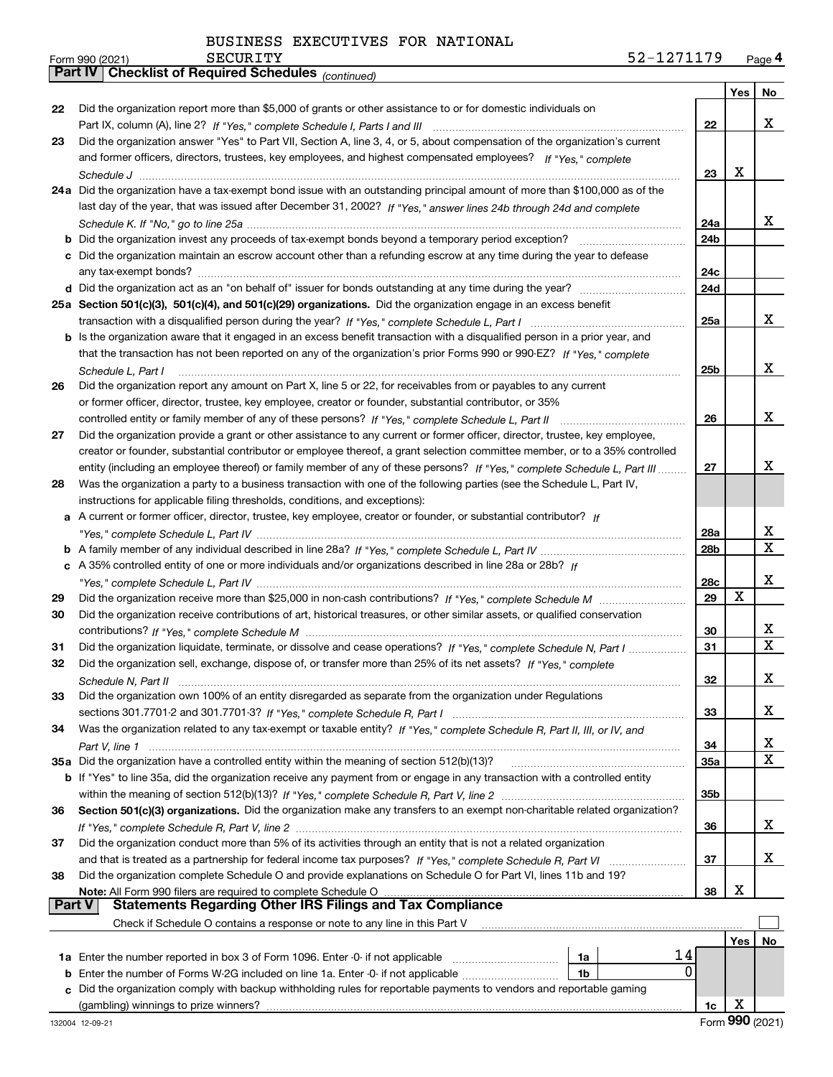*(continued)*

|    |                                                                                                                                                                                              |     | Yes | No     |
|----|----------------------------------------------------------------------------------------------------------------------------------------------------------------------------------------------|-----|-----|--------|
| 22 | Did the organization report more than \$5,000 of grants or other assistance to or for domestic individuals on                                                                                |     |     |        |
|    |                                                                                                                                                                                              | 22  |     | x      |
| 23 | Did the organization answer "Yes" to Part VII, Section A, line 3, 4, or 5, about compensation of the organization's current                                                                  |     |     |        |
|    | and former officers, directors, trustees, key employees, and highest compensated employees? If "Yes." complete                                                                               |     |     |        |
|    |                                                                                                                                                                                              | 23  | X   |        |
|    | 24a Did the organization have a tax-exempt bond issue with an outstanding principal amount of more than \$100,000 as of the                                                                  |     |     |        |
|    | last day of the year, that was issued after December 31, 2002? If "Yes," answer lines 24b through 24d and complete                                                                           |     |     |        |
|    |                                                                                                                                                                                              | 24a |     | x      |
|    | <b>b</b> Did the organization invest any proceeds of tax-exempt bonds beyond a temporary period exception?                                                                                   | 24b |     |        |
|    | c Did the organization maintain an escrow account other than a refunding escrow at any time during the year to defease                                                                       |     |     |        |
|    |                                                                                                                                                                                              | 24c |     |        |
|    |                                                                                                                                                                                              | 24d |     |        |
|    | 25a Section 501(c)(3), 501(c)(4), and 501(c)(29) organizations. Did the organization engage in an excess benefit                                                                             |     |     |        |
|    |                                                                                                                                                                                              | 25a |     | x      |
|    | b Is the organization aware that it engaged in an excess benefit transaction with a disqualified person in a prior year, and                                                                 |     |     |        |
|    | that the transaction has not been reported on any of the organization's prior Forms 990 or 990-EZ? If "Yes," complete                                                                        |     |     |        |
|    | Schedule L, Part I                                                                                                                                                                           | 25b |     | x      |
| 26 | Did the organization report any amount on Part X, line 5 or 22, for receivables from or payables to any current                                                                              |     |     |        |
|    | or former officer, director, trustee, key employee, creator or founder, substantial contributor, or 35%                                                                                      |     |     |        |
|    | controlled entity or family member of any of these persons? If "Yes," complete Schedule L, Part II                                                                                           | 26  |     | x      |
| 27 | Did the organization provide a grant or other assistance to any current or former officer, director, trustee, key employee,                                                                  |     |     |        |
|    | creator or founder, substantial contributor or employee thereof, a grant selection committee member, or to a 35% controlled                                                                  |     |     |        |
|    | entity (including an employee thereof) or family member of any of these persons? If "Yes," complete Schedule L, Part III                                                                     | 27  |     | x      |
| 28 | Was the organization a party to a business transaction with one of the following parties (see the Schedule L, Part IV,                                                                       |     |     |        |
|    | instructions for applicable filing thresholds, conditions, and exceptions):                                                                                                                  |     |     |        |
|    | a A current or former officer, director, trustee, key employee, creator or founder, or substantial contributor? If                                                                           |     |     |        |
|    |                                                                                                                                                                                              | 28a |     | х      |
|    |                                                                                                                                                                                              | 28b |     | x      |
|    | c A 35% controlled entity of one or more individuals and/or organizations described in line 28a or 28b? If                                                                                   |     |     |        |
|    |                                                                                                                                                                                              | 28c | X   | х      |
| 29 |                                                                                                                                                                                              | 29  |     |        |
| 30 | Did the organization receive contributions of art, historical treasures, or other similar assets, or qualified conservation                                                                  |     |     |        |
|    |                                                                                                                                                                                              | 30  |     | х<br>X |
| 31 | Did the organization liquidate, terminate, or dissolve and cease operations? If "Yes," complete Schedule N, Part I                                                                           | 31  |     |        |
| 32 | Did the organization sell, exchange, dispose of, or transfer more than 25% of its net assets? If "Yes," complete                                                                             |     |     |        |
|    |                                                                                                                                                                                              | 32  |     | х      |
| 33 | Did the organization own 100% of an entity disregarded as separate from the organization under Regulations                                                                                   |     |     |        |
|    |                                                                                                                                                                                              | 33  |     | х      |
| 34 | Was the organization related to any tax-exempt or taxable entity? If "Yes," complete Schedule R, Part II, III, or IV, and                                                                    |     |     | х      |
|    |                                                                                                                                                                                              | 34  |     | х      |
|    | 35a Did the organization have a controlled entity within the meaning of section 512(b)(13)?                                                                                                  | 35a |     |        |
|    | b If "Yes" to line 35a, did the organization receive any payment from or engage in any transaction with a controlled entity                                                                  |     |     |        |
|    |                                                                                                                                                                                              | 35b |     |        |
| 36 | Section 501(c)(3) organizations. Did the organization make any transfers to an exempt non-charitable related organization?                                                                   |     |     | х      |
|    | Did the organization conduct more than 5% of its activities through an entity that is not a related organization                                                                             | 36  |     |        |
| 37 |                                                                                                                                                                                              |     |     | х      |
|    |                                                                                                                                                                                              | 37  |     |        |
| 38 | Did the organization complete Schedule O and provide explanations on Schedule O for Part VI, lines 11b and 19?<br>Note: All Form 990 filers are required to complete Schedule O              | 38  | х   |        |
|    | المادي المستحدة المستخدم المستخدمة المستخدمة المستخدمة المستخدمة المستخدمة المستخدمة المستخدمة المستخدمة المست<br>Statements Regarding Other IRS Filings and Tax Compliance<br><b>Part V</b> |     |     |        |
|    | Check if Schedule O contains a response or note to any line in this Part V                                                                                                                   |     |     |        |
|    |                                                                                                                                                                                              |     | Yes | No     |
|    | 14<br>1a Enter the number reported in box 3 of Form 1096. Enter -0- if not applicable<br>1a                                                                                                  |     |     |        |
| b  | 0<br>Enter the number of Forms W-2G included on line 1a. Enter -0- if not applicable<br>1 <sub>b</sub>                                                                                       |     |     |        |
|    | Did the organization comply with backup withholding rules for reportable payments to vendors and reportable gaming                                                                           |     |     |        |
|    |                                                                                                                                                                                              | 1c  | х   |        |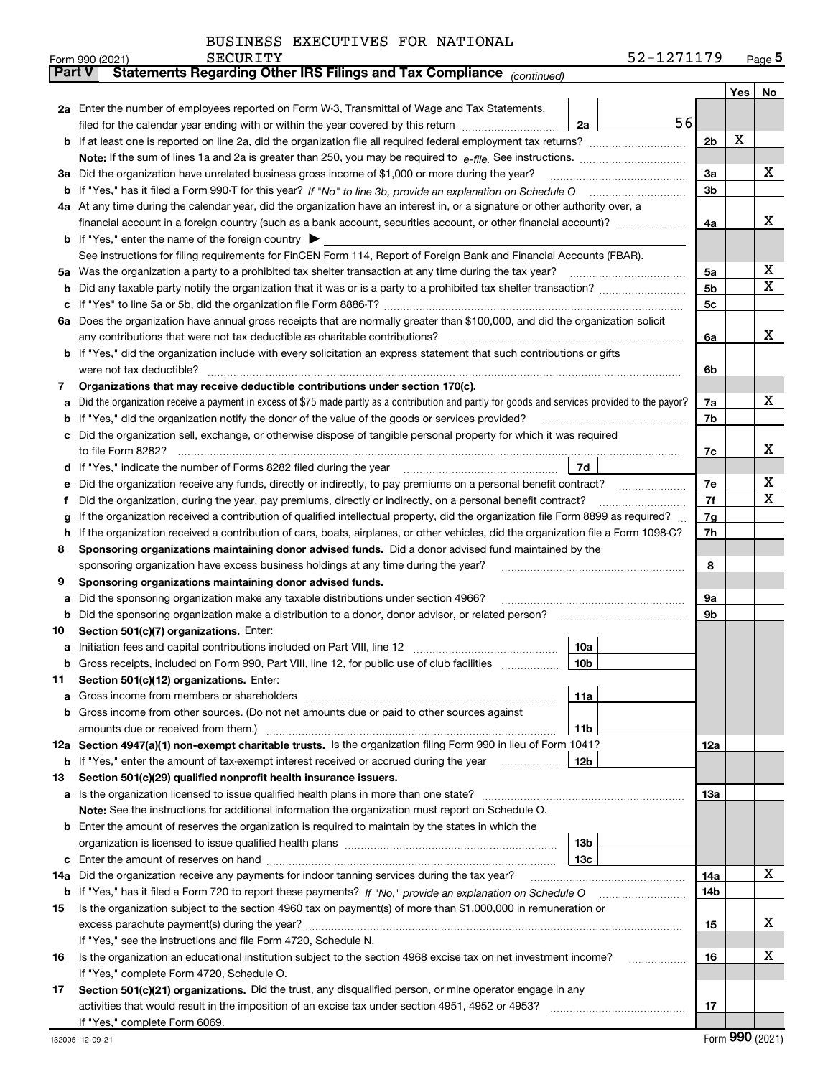| BUSINESS EXECUTIVES FOR NATIONAL |  |
|----------------------------------|--|
|                                  |  |

| ran v | Statements Regarding Other IRS Fillings and Tax Compilance<br>(continued)                                                                         |     |  |     |             |  |  |  |  |
|-------|---------------------------------------------------------------------------------------------------------------------------------------------------|-----|--|-----|-------------|--|--|--|--|
|       |                                                                                                                                                   |     |  | Yes | No.         |  |  |  |  |
|       | 2a Enter the number of employees reported on Form W-3, Transmittal of Wage and Tax Statements,                                                    |     |  |     |             |  |  |  |  |
|       | filed for the calendar year ending with or within the year covered by this return<br>2a                                                           | 56  |  |     |             |  |  |  |  |
|       |                                                                                                                                                   | 2b  |  | X   |             |  |  |  |  |
|       |                                                                                                                                                   |     |  |     | х           |  |  |  |  |
|       | 3a Did the organization have unrelated business gross income of \$1,000 or more during the year?                                                  |     |  |     |             |  |  |  |  |
|       |                                                                                                                                                   |     |  |     |             |  |  |  |  |
|       | 4a At any time during the calendar year, did the organization have an interest in, or a signature or other authority over, a                      |     |  |     |             |  |  |  |  |
|       |                                                                                                                                                   | 4a  |  |     | x           |  |  |  |  |
|       | <b>b</b> If "Yes," enter the name of the foreign country $\triangleright$                                                                         |     |  |     |             |  |  |  |  |
|       | See instructions for filing requirements for FinCEN Form 114, Report of Foreign Bank and Financial Accounts (FBAR).                               |     |  |     |             |  |  |  |  |
|       | 5a Was the organization a party to a prohibited tax shelter transaction at any time during the tax year?                                          | 5a  |  |     | х           |  |  |  |  |
|       |                                                                                                                                                   | 5b  |  |     | $\mathbf X$ |  |  |  |  |
| c     |                                                                                                                                                   | 5c  |  |     |             |  |  |  |  |
|       | 6a Does the organization have annual gross receipts that are normally greater than \$100,000, and did the organization solicit                    |     |  |     |             |  |  |  |  |
|       | any contributions that were not tax deductible as charitable contributions?                                                                       | 6a  |  |     | х           |  |  |  |  |
|       | <b>b</b> If "Yes," did the organization include with every solicitation an express statement that such contributions or gifts                     |     |  |     |             |  |  |  |  |
|       | were not tax deductible?                                                                                                                          | 6b  |  |     |             |  |  |  |  |
| 7     | Organizations that may receive deductible contributions under section 170(c).                                                                     |     |  |     |             |  |  |  |  |
|       | a Did the organization receive a payment in excess of \$75 made partly as a contribution and partly for goods and services provided to the payor? | 7a  |  |     | х           |  |  |  |  |
| b     | If "Yes," did the organization notify the donor of the value of the goods or services provided?                                                   | 7b  |  |     |             |  |  |  |  |
|       | c Did the organization sell, exchange, or otherwise dispose of tangible personal property for which it was required                               |     |  |     |             |  |  |  |  |
|       | to file Form 8282?                                                                                                                                | 7c  |  |     | х           |  |  |  |  |
| d     | If "Yes," indicate the number of Forms 8282 filed during the year<br>7d                                                                           |     |  |     |             |  |  |  |  |
| е     | Did the organization receive any funds, directly or indirectly, to pay premiums on a personal benefit contract?                                   | 7e  |  |     | х           |  |  |  |  |
| f     | Did the organization, during the year, pay premiums, directly or indirectly, on a personal benefit contract?                                      | 7f  |  |     | х           |  |  |  |  |
| g     | If the organization received a contribution of qualified intellectual property, did the organization file Form 8899 as required?                  |     |  |     |             |  |  |  |  |
| h.    | If the organization received a contribution of cars, boats, airplanes, or other vehicles, did the organization file a Form 1098-C?                |     |  |     |             |  |  |  |  |
| 8     | Sponsoring organizations maintaining donor advised funds. Did a donor advised fund maintained by the                                              |     |  |     |             |  |  |  |  |
|       | sponsoring organization have excess business holdings at any time during the year?                                                                |     |  |     |             |  |  |  |  |
| 9     | Sponsoring organizations maintaining donor advised funds.                                                                                         |     |  |     |             |  |  |  |  |
| а     | Did the sponsoring organization make any taxable distributions under section 4966?                                                                |     |  |     |             |  |  |  |  |
| b     | Did the sponsoring organization make a distribution to a donor, donor advisor, or related person?                                                 | 9b  |  |     |             |  |  |  |  |
| 10    | Section 501(c)(7) organizations. Enter:                                                                                                           |     |  |     |             |  |  |  |  |
| а     | 10a                                                                                                                                               |     |  |     |             |  |  |  |  |
| b     | Gross receipts, included on Form 990, Part VIII, line 12, for public use of club facilities<br>10b                                                |     |  |     |             |  |  |  |  |
| 11.   | Section 501(c)(12) organizations. Enter:                                                                                                          |     |  |     |             |  |  |  |  |
|       | 11a                                                                                                                                               |     |  |     |             |  |  |  |  |
|       | <b>b</b> Gross income from other sources. (Do not net amounts due or paid to other sources against                                                |     |  |     |             |  |  |  |  |
|       | 11b                                                                                                                                               |     |  |     |             |  |  |  |  |
|       | 12a Section 4947(a)(1) non-exempt charitable trusts. Is the organization filing Form 990 in lieu of Form 1041?                                    | 12a |  |     |             |  |  |  |  |
|       | <b>b</b> If "Yes," enter the amount of tax-exempt interest received or accrued during the year<br>12b                                             |     |  |     |             |  |  |  |  |
| 13    | Section 501(c)(29) qualified nonprofit health insurance issuers.                                                                                  |     |  |     |             |  |  |  |  |
|       | a Is the organization licensed to issue qualified health plans in more than one state?                                                            | 13a |  |     |             |  |  |  |  |
|       | Note: See the instructions for additional information the organization must report on Schedule O.                                                 |     |  |     |             |  |  |  |  |
|       | <b>b</b> Enter the amount of reserves the organization is required to maintain by the states in which the                                         |     |  |     |             |  |  |  |  |
|       | 13b                                                                                                                                               |     |  |     |             |  |  |  |  |
|       | 13с                                                                                                                                               |     |  |     |             |  |  |  |  |
| 14a   | Did the organization receive any payments for indoor tanning services during the tax year?                                                        | 14a |  |     | х           |  |  |  |  |
|       |                                                                                                                                                   |     |  |     |             |  |  |  |  |
| 15    | Is the organization subject to the section 4960 tax on payment(s) of more than \$1,000,000 in remuneration or                                     |     |  |     |             |  |  |  |  |
|       |                                                                                                                                                   |     |  |     |             |  |  |  |  |
|       | If "Yes," see the instructions and file Form 4720, Schedule N.                                                                                    |     |  |     |             |  |  |  |  |
| 16    | Is the organization an educational institution subject to the section 4968 excise tax on net investment income?                                   | 16  |  |     | х           |  |  |  |  |
|       | If "Yes," complete Form 4720, Schedule O.                                                                                                         |     |  |     |             |  |  |  |  |
| 17    | Section 501(c)(21) organizations. Did the trust, any disqualified person, or mine operator engage in any                                          |     |  |     |             |  |  |  |  |
|       | activities that would result in the imposition of an excise tax under section 4951, 4952 or 4953?                                                 | 17  |  |     |             |  |  |  |  |
|       | If "Yes," complete Form 6069.                                                                                                                     |     |  |     |             |  |  |  |  |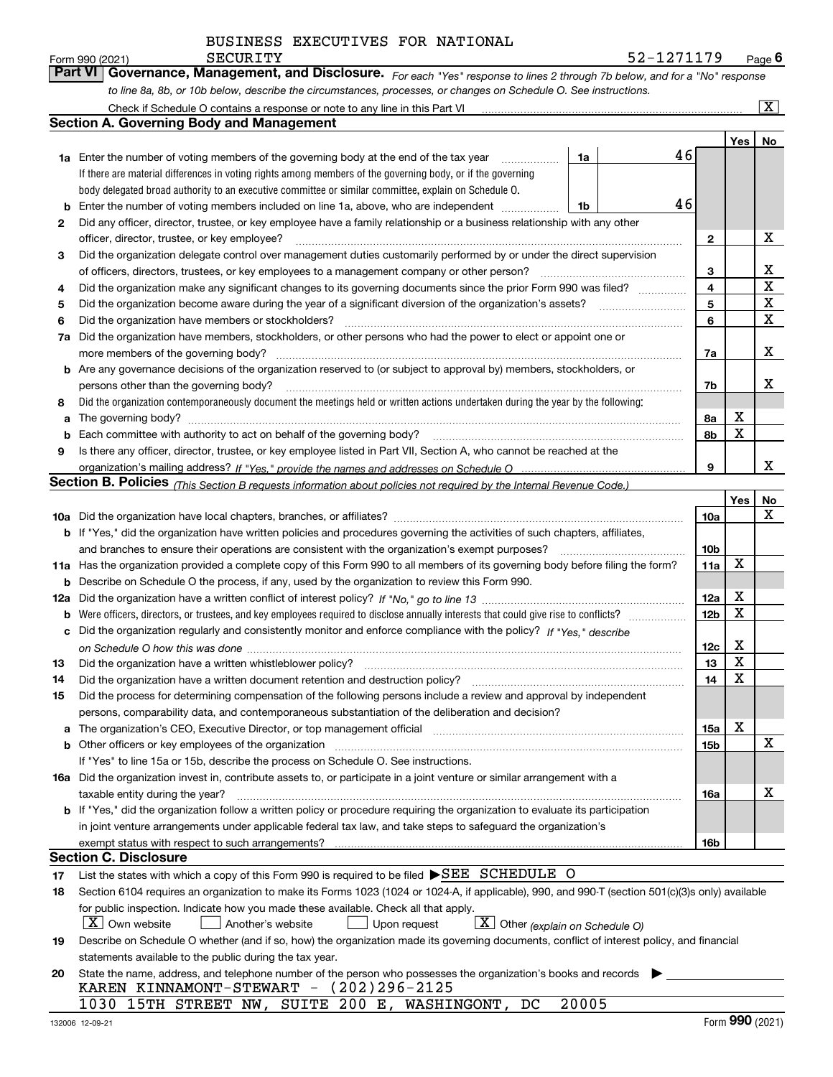*For each "Yes" response to lines 2 through 7b below, and for a "No" response to line 8a, 8b, or 10b below, describe the circumstances, processes, or changes on Schedule O. See instructions.* Form 990 (2021) **CONVERTY EXECURITY**<br>**Part VI Governance, Management, and Disclosure.** For each "Yes" response to lines 2 through 7b below, and for a "No" response

|                                                                                             | Check if Schedule O contains a response or note to any line in this Part VI                                                                                           |       |    |                 |     | $\mathbf{x}$ |  |  |  |
|---------------------------------------------------------------------------------------------|-----------------------------------------------------------------------------------------------------------------------------------------------------------------------|-------|----|-----------------|-----|--------------|--|--|--|
|                                                                                             | Section A. Governing Body and Management                                                                                                                              |       |    |                 |     |              |  |  |  |
|                                                                                             |                                                                                                                                                                       |       |    |                 | Yes | No           |  |  |  |
|                                                                                             | 1a Enter the number of voting members of the governing body at the end of the tax year                                                                                | 1a    | 46 |                 |     |              |  |  |  |
|                                                                                             | If there are material differences in voting rights among members of the governing body, or if the governing                                                           |       |    |                 |     |              |  |  |  |
|                                                                                             | body delegated broad authority to an executive committee or similar committee, explain on Schedule O.                                                                 |       |    |                 |     |              |  |  |  |
| b                                                                                           | 46<br>Enter the number of voting members included on line 1a, above, who are independent<br>1b                                                                        |       |    |                 |     |              |  |  |  |
| 2                                                                                           | Did any officer, director, trustee, or key employee have a family relationship or a business relationship with any other                                              |       |    |                 |     |              |  |  |  |
|                                                                                             | officer, director, trustee, or key employee?                                                                                                                          |       |    | 2               |     | х            |  |  |  |
| 3                                                                                           | Did the organization delegate control over management duties customarily performed by or under the direct supervision                                                 |       |    |                 |     |              |  |  |  |
| of officers, directors, trustees, or key employees to a management company or other person? |                                                                                                                                                                       |       |    |                 |     |              |  |  |  |
| 4                                                                                           | Did the organization make any significant changes to its governing documents since the prior Form 990 was filed?                                                      |       |    | 3<br>4          |     | x<br>X       |  |  |  |
| 5                                                                                           |                                                                                                                                                                       |       |    | 5               |     | X            |  |  |  |
| 6                                                                                           | Did the organization have members or stockholders?                                                                                                                    |       |    | 6               |     | X            |  |  |  |
| 7a                                                                                          | Did the organization have members, stockholders, or other persons who had the power to elect or appoint one or                                                        |       |    |                 |     |              |  |  |  |
|                                                                                             | more members of the governing body?                                                                                                                                   |       |    | 7a              |     | х            |  |  |  |
|                                                                                             | <b>b</b> Are any governance decisions of the organization reserved to (or subject to approval by) members, stockholders, or                                           |       |    |                 |     |              |  |  |  |
|                                                                                             | persons other than the governing body?                                                                                                                                |       |    | 7b              |     | x            |  |  |  |
| 8                                                                                           | Did the organization contemporaneously document the meetings held or written actions undertaken during the year by the following:                                     |       |    |                 |     |              |  |  |  |
| a                                                                                           |                                                                                                                                                                       |       |    | 8а              | x   |              |  |  |  |
| b                                                                                           |                                                                                                                                                                       |       |    | 8b              | X   |              |  |  |  |
| 9                                                                                           | Is there any officer, director, trustee, or key employee listed in Part VII, Section A, who cannot be reached at the                                                  |       |    |                 |     |              |  |  |  |
|                                                                                             |                                                                                                                                                                       |       |    | 9               |     | x            |  |  |  |
|                                                                                             | Section B. Policies <sub>(This Section B requests information about policies not required by the Internal Revenue Code.)</sub>                                        |       |    |                 |     |              |  |  |  |
|                                                                                             |                                                                                                                                                                       |       |    |                 | Yes | No           |  |  |  |
|                                                                                             |                                                                                                                                                                       |       |    | 10a             |     | x            |  |  |  |
|                                                                                             | <b>b</b> If "Yes," did the organization have written policies and procedures governing the activities of such chapters, affiliates,                                   |       |    |                 |     |              |  |  |  |
|                                                                                             | and branches to ensure their operations are consistent with the organization's exempt purposes?                                                                       |       |    | 10 <sub>b</sub> |     |              |  |  |  |
|                                                                                             | 11a Has the organization provided a complete copy of this Form 990 to all members of its governing body before filing the form?                                       |       |    | 11a             | X   |              |  |  |  |
| b                                                                                           | Describe on Schedule O the process, if any, used by the organization to review this Form 990.                                                                         |       |    |                 |     |              |  |  |  |
| 12a                                                                                         |                                                                                                                                                                       |       |    | 12a             | X   |              |  |  |  |
| b                                                                                           |                                                                                                                                                                       |       |    | 12 <sub>b</sub> | X   |              |  |  |  |
| с                                                                                           | Did the organization regularly and consistently monitor and enforce compliance with the policy? If "Yes," describe                                                    |       |    |                 |     |              |  |  |  |
|                                                                                             |                                                                                                                                                                       |       |    | 12c             | х   |              |  |  |  |
| 13                                                                                          | Did the organization have a written whistleblower policy?                                                                                                             |       |    | 13              | X   |              |  |  |  |
| 14                                                                                          | Did the organization have a written document retention and destruction policy?                                                                                        |       |    | 14              | X   |              |  |  |  |
| 15                                                                                          | Did the process for determining compensation of the following persons include a review and approval by independent                                                    |       |    |                 |     |              |  |  |  |
|                                                                                             | persons, comparability data, and contemporaneous substantiation of the deliberation and decision?                                                                     |       |    |                 |     |              |  |  |  |
| a                                                                                           | The organization's CEO, Executive Director, or top management official manufactured content of the organization's CEO, Executive Director, or top management official |       |    | 15a             | X   |              |  |  |  |
|                                                                                             |                                                                                                                                                                       |       |    | 15b             |     | х            |  |  |  |
|                                                                                             | If "Yes" to line 15a or 15b, describe the process on Schedule O. See instructions.                                                                                    |       |    |                 |     |              |  |  |  |
|                                                                                             | 16a Did the organization invest in, contribute assets to, or participate in a joint venture or similar arrangement with a                                             |       |    |                 |     |              |  |  |  |
|                                                                                             | taxable entity during the year?                                                                                                                                       |       |    | 16a             |     | х            |  |  |  |
|                                                                                             | b If "Yes," did the organization follow a written policy or procedure requiring the organization to evaluate its participation                                        |       |    |                 |     |              |  |  |  |
|                                                                                             | in joint venture arrangements under applicable federal tax law, and take steps to safeguard the organization's                                                        |       |    |                 |     |              |  |  |  |
|                                                                                             | exempt status with respect to such arrangements?                                                                                                                      |       |    | 16b             |     |              |  |  |  |
|                                                                                             | <b>Section C. Disclosure</b>                                                                                                                                          |       |    |                 |     |              |  |  |  |
| 17                                                                                          | List the states with which a copy of this Form 990 is required to be filed SEE SCHEDULE O                                                                             |       |    |                 |     |              |  |  |  |
| 18                                                                                          | Section 6104 requires an organization to make its Forms 1023 (1024 or 1024-A, if applicable), 990, and 990-T (section 501(c)(3)s only) available                      |       |    |                 |     |              |  |  |  |
|                                                                                             | for public inspection. Indicate how you made these available. Check all that apply.                                                                                   |       |    |                 |     |              |  |  |  |
|                                                                                             | $X$ Own website<br>$\lfloor x \rfloor$ Other (explain on Schedule O)<br>Another's website<br>Upon request                                                             |       |    |                 |     |              |  |  |  |
| 19                                                                                          | Describe on Schedule O whether (and if so, how) the organization made its governing documents, conflict of interest policy, and financial                             |       |    |                 |     |              |  |  |  |
|                                                                                             | statements available to the public during the tax year.                                                                                                               |       |    |                 |     |              |  |  |  |
| 20                                                                                          | State the name, address, and telephone number of the person who possesses the organization's books and records                                                        |       |    |                 |     |              |  |  |  |
|                                                                                             | KAREN KINNAMONT-STEWART - (202)296-2125                                                                                                                               |       |    |                 |     |              |  |  |  |
|                                                                                             | 1030 15TH STREET NW, SUITE 200 E, WASHINGONT, DC                                                                                                                      | 20005 |    |                 |     |              |  |  |  |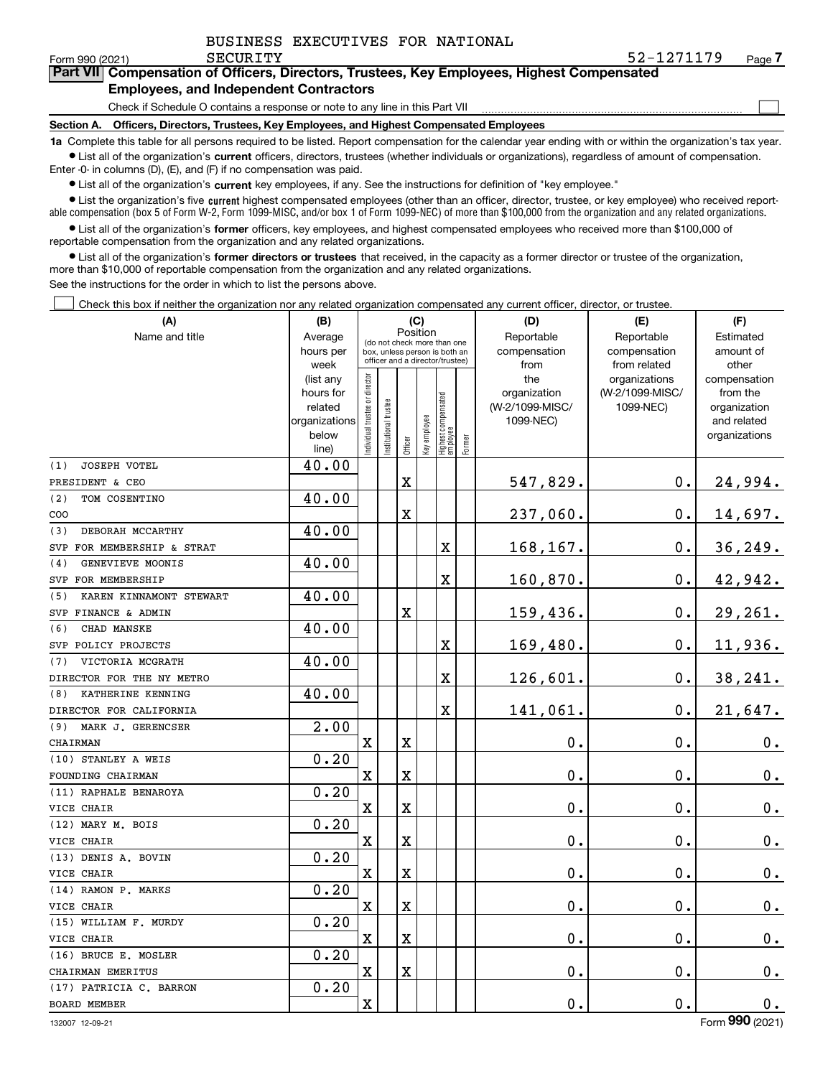$\mathcal{L}^{\text{max}}$ 

| orm 990 (2021) | SECURITY                                                                                   | 52-1271179 | Page / |
|----------------|--------------------------------------------------------------------------------------------|------------|--------|
|                | Part VII Compensation of Officers, Directors, Trustees, Key Employees, Highest Compensated |            |        |
|                | <b>Employees, and Independent Contractors</b>                                              |            |        |

Check if Schedule O contains a response or note to any line in this Part VII

**Section A. Officers, Directors, Trustees, Key Employees, and Highest Compensated Employees**

**1a**  Complete this table for all persons required to be listed. Report compensation for the calendar year ending with or within the organization's tax year. **•** List all of the organization's current officers, directors, trustees (whether individuals or organizations), regardless of amount of compensation.

Enter -0- in columns (D), (E), and (F) if no compensation was paid.

 $\bullet$  List all of the organization's  $\sf current$  key employees, if any. See the instructions for definition of "key employee."

**•** List the organization's five current highest compensated employees (other than an officer, director, trustee, or key employee) who received reportable compensation (box 5 of Form W-2, Form 1099-MISC, and/or box 1 of Form 1099-NEC) of more than \$100,000 from the organization and any related organizations.

**•** List all of the organization's former officers, key employees, and highest compensated employees who received more than \$100,000 of reportable compensation from the organization and any related organizations.

**former directors or trustees**  ¥ List all of the organization's that received, in the capacity as a former director or trustee of the organization, more than \$10,000 of reportable compensation from the organization and any related organizations.

See the instructions for the order in which to list the persons above.

Check this box if neither the organization nor any related organization compensated any current officer, director, or trustee.  $\mathcal{L}^{\text{max}}$ 

| (A)                            | (B)               |                               |                                                                  | (C)         |              |                                  |        | (D)             | (E)                           | (F)                   |
|--------------------------------|-------------------|-------------------------------|------------------------------------------------------------------|-------------|--------------|----------------------------------|--------|-----------------|-------------------------------|-----------------------|
| Name and title                 | Average           |                               | (do not check more than one                                      | Position    |              |                                  |        | Reportable      | Reportable                    | Estimated             |
|                                | hours per         |                               | box, unless person is both an<br>officer and a director/trustee) |             |              |                                  |        | compensation    | compensation                  | amount of             |
|                                | week<br>(list any |                               |                                                                  |             |              |                                  |        | from<br>the     | from related<br>organizations | other<br>compensation |
|                                | hours for         |                               |                                                                  |             |              |                                  |        | organization    | (W-2/1099-MISC/               | from the              |
|                                | related           |                               |                                                                  |             |              |                                  |        | (W-2/1099-MISC/ | 1099-NEC)                     | organization          |
|                                | organizations     |                               |                                                                  |             |              |                                  |        | 1099-NEC)       |                               | and related           |
|                                | below             | ndividual trustee or director | nstitutional trustee                                             |             | Key employee |                                  |        |                 |                               | organizations         |
|                                | line)             |                               |                                                                  | Officer     |              | Highest compensated<br> employee | Former |                 |                               |                       |
| <b>JOSEPH VOTEL</b><br>(1)     | 40.00             |                               |                                                                  |             |              |                                  |        |                 |                               |                       |
| PRESIDENT & CEO                |                   |                               |                                                                  | $\mathbf X$ |              |                                  |        | 547,829.        | $0$ .                         | 24,994.               |
| (2)<br>TOM COSENTINO           | 40.00             |                               |                                                                  |             |              |                                  |        |                 |                               |                       |
| COO                            |                   |                               |                                                                  | $\mathbf X$ |              |                                  |        | 237,060.        | $\mathbf 0$ .                 | 14,697.               |
| DEBORAH MCCARTHY<br>(3)        | 40.00             |                               |                                                                  |             |              |                                  |        |                 |                               |                       |
| FOR MEMBERSHIP & STRAT<br>SVP  |                   |                               |                                                                  |             |              | X                                |        | 168,167.        | $0$ .                         | 36, 249.              |
| GENEVIEVE MOONIS<br>(4)        | 40.00             |                               |                                                                  |             |              |                                  |        |                 |                               |                       |
| SVP FOR MEMBERSHIP             |                   |                               |                                                                  |             |              | X                                |        | 160,870.        | $\mathbf 0$ .                 | 42,942.               |
| (5)<br>KAREN KINNAMONT STEWART | 40.00             |                               |                                                                  |             |              |                                  |        |                 |                               |                       |
| SVP FINANCE & ADMIN            |                   |                               |                                                                  | $\mathbf X$ |              |                                  |        | 159,436.        | $\mathbf 0$ .                 | 29,261.               |
| CHAD MANSKE<br>(6)             | 40.00             |                               |                                                                  |             |              |                                  |        |                 |                               |                       |
| SVP POLICY PROJECTS            |                   |                               |                                                                  |             |              | X                                |        | 169,480.        | $\mathbf 0$ .                 | 11,936.               |
| VICTORIA MCGRATH<br>(7)        | 40.00             |                               |                                                                  |             |              |                                  |        |                 |                               |                       |
| DIRECTOR FOR THE NY METRO      |                   |                               |                                                                  |             |              | X                                |        | 126,601.        | 0.                            | 38,241.               |
| KATHERINE KENNING<br>(8)       | 40.00             |                               |                                                                  |             |              |                                  |        |                 |                               |                       |
| DIRECTOR FOR CALIFORNIA        |                   |                               |                                                                  |             |              | X                                |        | 141,061.        | $\mathbf 0$ .                 | 21,647.               |
| (9)<br>MARK J. GERENCSER       | $\overline{2.00}$ |                               |                                                                  |             |              |                                  |        |                 |                               |                       |
| CHAIRMAN                       |                   | $\mathbf x$                   |                                                                  | $\mathbf X$ |              |                                  |        | 0.              | $\mathbf{0}$ .                | $0_{.}$               |
| (10) STANLEY A WEIS            | 0.20              |                               |                                                                  |             |              |                                  |        |                 |                               |                       |
| FOUNDING CHAIRMAN              |                   | $\overline{\mathbf{X}}$       |                                                                  | $\mathbf X$ |              |                                  |        | 0.              | $\mathbf{0}$ .                | 0.                    |
| (11) RAPHALE BENAROYA          | 0.20              |                               |                                                                  |             |              |                                  |        |                 |                               |                       |
| VICE CHAIR                     |                   | $\mathbf X$                   |                                                                  | $\mathbf X$ |              |                                  |        | 0.              | $\mathbf{0}$ .                | 0.                    |
| (12) MARY M. BOIS              | 0.20              |                               |                                                                  |             |              |                                  |        |                 |                               |                       |
| VICE CHAIR                     |                   | $\overline{\mathbf{X}}$       |                                                                  | $\mathbf X$ |              |                                  |        | 0.              | $\mathbf 0$ .                 | $0_{.}$               |
| (13) DENIS A. BOVIN            | 0.20              |                               |                                                                  |             |              |                                  |        |                 |                               |                       |
| VICE CHAIR                     |                   | $\mathbf x$                   |                                                                  | $\mathbf X$ |              |                                  |        | 0.              | $\mathbf 0$ .                 | $0_{.}$               |
| (14) RAMON P. MARKS            | 0.20              |                               |                                                                  |             |              |                                  |        |                 |                               |                       |
| VICE CHAIR                     |                   | $\overline{\mathbf{X}}$       |                                                                  | $\mathbf X$ |              |                                  |        | 0.              | $\mathbf 0$ .                 | $\mathbf 0$ .         |
| (15) WILLIAM F. MURDY          | 0.20              |                               |                                                                  |             |              |                                  |        |                 |                               |                       |
| VICE CHAIR                     |                   | $\rm X$                       |                                                                  | $\mathbf X$ |              |                                  |        | 0.              | 0.                            | 0.                    |
| (16) BRUCE E. MOSLER           | 0.20              |                               |                                                                  |             |              |                                  |        |                 |                               |                       |
| CHAIRMAN EMERITUS              |                   | $\overline{\mathbf{X}}$       |                                                                  | $\rm X$     |              |                                  |        | 0.              | $\mathbf 0$ .                 | 0.                    |
| (17) PATRICIA C. BARRON        | 0.20              |                               |                                                                  |             |              |                                  |        |                 |                               |                       |
| <b>BOARD MEMBER</b>            |                   | $\rm X$                       |                                                                  |             |              |                                  |        | 0.              | $\mathbf 0$ .                 | $0_{.}$               |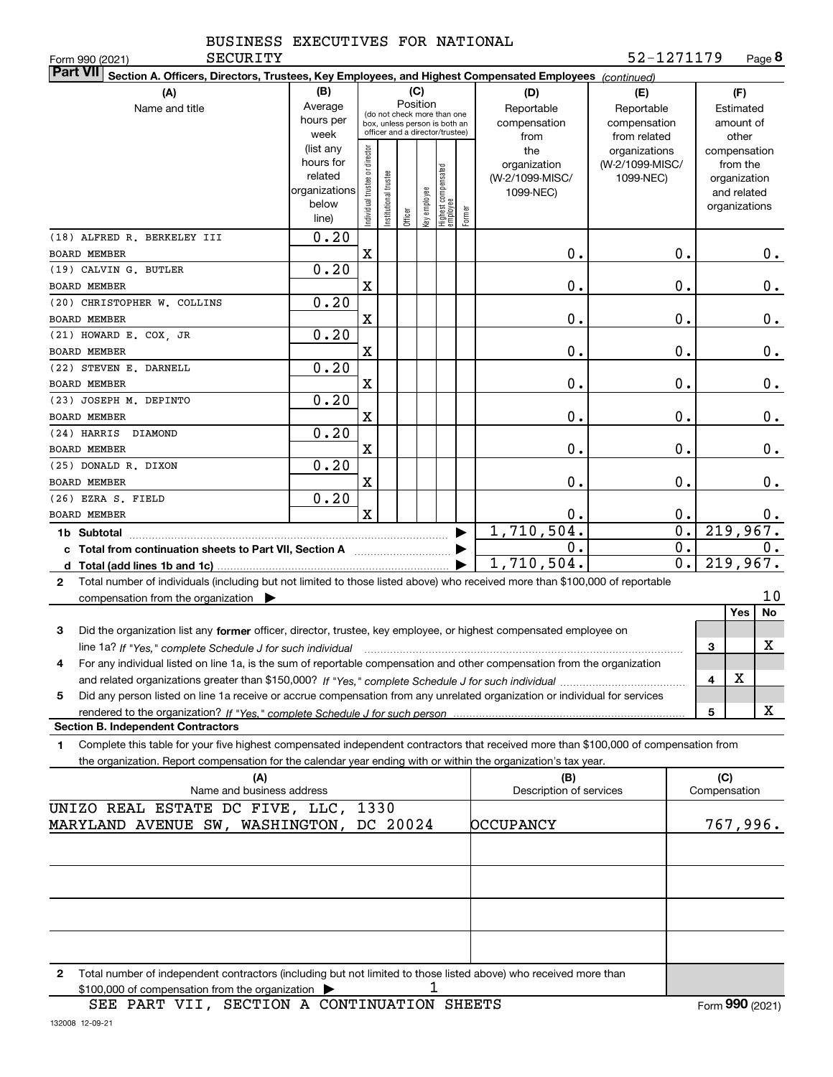| BUSINESS EXECUTIVES FOR NATIONAL |  |
|----------------------------------|--|
|                                  |  |

**SECURITY** 

| Form 990 (2021)<br>SECURITY                                                                                                                     |                        |                               |                       |         |              |                                                              |        |                                | 52-1271179       |                     | Page <b>ö</b> |
|-------------------------------------------------------------------------------------------------------------------------------------------------|------------------------|-------------------------------|-----------------------|---------|--------------|--------------------------------------------------------------|--------|--------------------------------|------------------|---------------------|---------------|
| <b>Part VII</b><br>Section A. Officers, Directors, Trustees, Key Employees, and Highest Compensated Employees (continued)                       |                        |                               |                       |         |              |                                                              |        |                                |                  |                     |               |
| (A)                                                                                                                                             | (B)                    |                               |                       |         | (C)          |                                                              |        | (D)                            | (E)              |                     | (F)           |
| Name and title                                                                                                                                  | Average                |                               |                       |         | Position     |                                                              |        | Reportable                     | Reportable       |                     | Estimated     |
|                                                                                                                                                 | hours per              |                               |                       |         |              | (do not check more than one<br>box, unless person is both an |        | compensation                   | compensation     |                     | amount of     |
|                                                                                                                                                 | week                   |                               |                       |         |              | officer and a director/trustee)                              |        | from                           | from related     |                     | other         |
|                                                                                                                                                 | (list any              |                               |                       |         |              |                                                              |        | the                            | organizations    |                     | compensation  |
|                                                                                                                                                 | hours for              |                               |                       |         |              |                                                              |        | organization                   | (W-2/1099-MISC/  |                     | from the      |
|                                                                                                                                                 | related                |                               |                       |         |              |                                                              |        | (W-2/1099-MISC/                | 1099-NEC)        |                     | organization  |
|                                                                                                                                                 | organizations<br>below |                               |                       |         |              |                                                              |        | 1099-NEC)                      |                  |                     | and related   |
|                                                                                                                                                 | line)                  | ndividual trustee or director | Institutional trustee | Officer | Key employee | Highest compensated<br> employee                             | Former |                                |                  |                     | organizations |
| (18) ALFRED R. BERKELEY III                                                                                                                     | 0.20                   |                               |                       |         |              |                                                              |        |                                |                  |                     |               |
| <b>BOARD MEMBER</b>                                                                                                                             |                        | X                             |                       |         |              |                                                              |        | 0.                             | 0.               |                     | 0.            |
| (19) CALVIN G. BUTLER                                                                                                                           | 0.20                   |                               |                       |         |              |                                                              |        |                                |                  |                     |               |
| BOARD MEMBER                                                                                                                                    |                        | X                             |                       |         |              |                                                              |        | 0.                             | 0.               |                     | 0.            |
| (20) CHRISTOPHER W. COLLINS                                                                                                                     | 0.20                   |                               |                       |         |              |                                                              |        |                                |                  |                     |               |
| <b>BOARD MEMBER</b>                                                                                                                             |                        | X                             |                       |         |              |                                                              |        | 0.                             | 0.               |                     | 0.            |
| (21) HOWARD E. COX, JR                                                                                                                          | 0.20                   |                               |                       |         |              |                                                              |        |                                |                  |                     |               |
| BOARD MEMBER                                                                                                                                    |                        | X                             |                       |         |              |                                                              |        | Ο.                             | 0.               |                     | 0.            |
| (22) STEVEN E. DARNELL                                                                                                                          | 0.20                   |                               |                       |         |              |                                                              |        |                                |                  |                     |               |
| BOARD MEMBER                                                                                                                                    |                        | X                             |                       |         |              |                                                              |        | Ο.                             | 0.               |                     | 0.            |
| (23) JOSEPH M. DEPINTO                                                                                                                          | 0.20                   |                               |                       |         |              |                                                              |        |                                |                  |                     |               |
| BOARD MEMBER                                                                                                                                    |                        | X                             |                       |         |              |                                                              |        | Ο.                             | 0.               |                     | 0.            |
| (24) HARRIS DIAMOND                                                                                                                             | 0.20                   |                               |                       |         |              |                                                              |        |                                |                  |                     |               |
| BOARD MEMBER                                                                                                                                    |                        | X                             |                       |         |              |                                                              |        | Ο.                             | 0.               |                     | 0.            |
| (25) DONALD R. DIXON                                                                                                                            | 0.20                   |                               |                       |         |              |                                                              |        |                                |                  |                     |               |
| BOARD MEMBER                                                                                                                                    |                        | X                             |                       |         |              |                                                              |        | Ο.                             | $\mathbf 0$ .    |                     | 0.            |
| (26) EZRA S. FIELD                                                                                                                              | 0.20                   |                               |                       |         |              |                                                              |        |                                |                  |                     |               |
| BOARD MEMBER                                                                                                                                    |                        | $\mathbf x$                   |                       |         |              |                                                              |        | Ο.                             | 0.               |                     | 0.            |
|                                                                                                                                                 |                        |                               |                       |         |              |                                                              |        | 1,710,504.                     | $\overline{0}$ . |                     | 219,967.      |
|                                                                                                                                                 |                        |                               |                       |         |              |                                                              |        | 0.                             | $\overline{0}$ . |                     | 0.            |
| c Total from continuation sheets to Part VII, Section A manufactured by                                                                         |                        |                               |                       |         |              |                                                              |        | 1,710,504.                     | $\overline{0}$ . |                     | 219,967.      |
|                                                                                                                                                 |                        |                               |                       |         |              |                                                              |        |                                |                  |                     |               |
| Total number of individuals (including but not limited to those listed above) who received more than \$100,000 of reportable<br>$\mathbf{2}$    |                        |                               |                       |         |              |                                                              |        |                                |                  |                     | 10            |
| compensation from the organization $\blacktriangleright$                                                                                        |                        |                               |                       |         |              |                                                              |        |                                |                  |                     | Yes<br>No     |
|                                                                                                                                                 |                        |                               |                       |         |              |                                                              |        |                                |                  |                     |               |
| 3<br>Did the organization list any former officer, director, trustee, key employee, or highest compensated employee on                          |                        |                               |                       |         |              |                                                              |        |                                |                  |                     | х             |
| line 1a? If "Yes," complete Schedule J for such individual manufactured contained and the 1a? If "Yes," complete Schedule J for such individual |                        |                               |                       |         |              |                                                              |        |                                |                  | 3                   |               |
| For any individual listed on line 1a, is the sum of reportable compensation and other compensation from the organization                        |                        |                               |                       |         |              |                                                              |        |                                |                  |                     |               |
|                                                                                                                                                 |                        |                               |                       |         |              |                                                              |        |                                |                  | 4                   | X             |
| Did any person listed on line 1a receive or accrue compensation from any unrelated organization or individual for services<br>5                 |                        |                               |                       |         |              |                                                              |        |                                |                  |                     |               |
|                                                                                                                                                 |                        |                               |                       |         |              |                                                              |        |                                |                  | 5                   | x             |
| <b>Section B. Independent Contractors</b>                                                                                                       |                        |                               |                       |         |              |                                                              |        |                                |                  |                     |               |
| Complete this table for your five highest compensated independent contractors that received more than \$100,000 of compensation from<br>1       |                        |                               |                       |         |              |                                                              |        |                                |                  |                     |               |
| the organization. Report compensation for the calendar year ending with or within the organization's tax year.                                  |                        |                               |                       |         |              |                                                              |        |                                |                  |                     |               |
| (A)<br>Name and business address                                                                                                                |                        |                               |                       |         |              |                                                              |        | (B)<br>Description of services |                  | (C)<br>Compensation |               |
|                                                                                                                                                 |                        |                               |                       |         |              |                                                              |        |                                |                  |                     |               |
| UNIZO REAL ESTATE DC FIVE, LLC, 1330                                                                                                            |                        |                               |                       |         |              |                                                              |        |                                |                  |                     |               |
| MARYLAND AVENUE SW, WASHINGTON, DC 20024                                                                                                        |                        |                               |                       |         |              |                                                              |        | <b>pccupancy</b>               |                  |                     | 767,996.      |
|                                                                                                                                                 |                        |                               |                       |         |              |                                                              |        |                                |                  |                     |               |
|                                                                                                                                                 |                        |                               |                       |         |              |                                                              |        |                                |                  |                     |               |
|                                                                                                                                                 |                        |                               |                       |         |              |                                                              |        |                                |                  |                     |               |
|                                                                                                                                                 |                        |                               |                       |         |              |                                                              |        |                                |                  |                     |               |
|                                                                                                                                                 |                        |                               |                       |         |              |                                                              |        |                                |                  |                     |               |
|                                                                                                                                                 |                        |                               |                       |         |              |                                                              |        |                                |                  |                     |               |
|                                                                                                                                                 |                        |                               |                       |         |              |                                                              |        |                                |                  |                     |               |

**2**Total number of independent contractors (including but not limited to those listed above) who received more than \$100,000 of compensation from the organization 1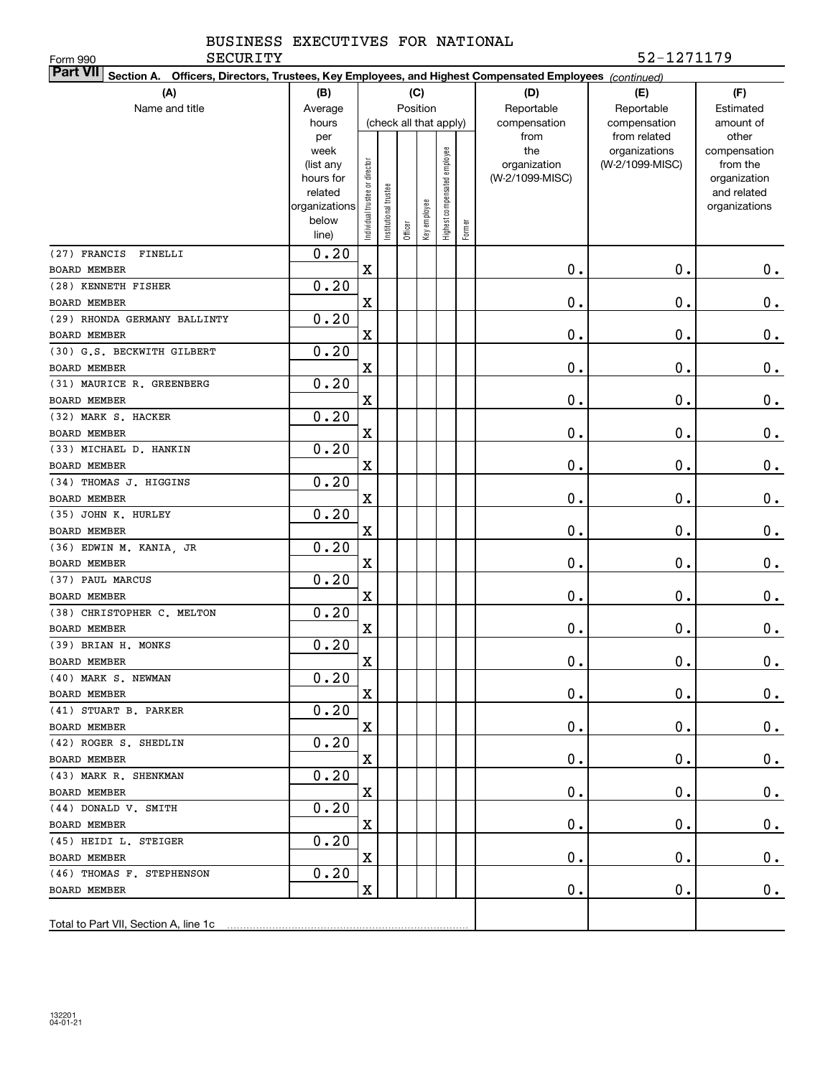| <b>SECURITY</b><br>Form 990                                                                                               |                        |                                |                      |         |                        |                              |        |                                 | 52-1271179      |                          |
|---------------------------------------------------------------------------------------------------------------------------|------------------------|--------------------------------|----------------------|---------|------------------------|------------------------------|--------|---------------------------------|-----------------|--------------------------|
| <b>Part VII</b><br>Section A. Officers, Directors, Trustees, Key Employees, and Highest Compensated Employees (continued) |                        |                                |                      |         |                        |                              |        |                                 |                 |                          |
| (A)                                                                                                                       | (B)                    |                                |                      |         | (C)                    |                              |        | (D)                             | (E)             | (F)                      |
| Name and title                                                                                                            | Average                |                                |                      |         | Position               |                              |        | Reportable                      | Reportable      | Estimated                |
|                                                                                                                           | hours                  |                                |                      |         | (check all that apply) |                              |        | compensation                    | compensation    | amount of                |
|                                                                                                                           | per                    |                                |                      |         |                        |                              |        | from                            | from related    | other                    |
|                                                                                                                           | week                   |                                |                      |         |                        | Highest compensated employee |        | the                             | organizations   | compensation             |
|                                                                                                                           | (list any<br>hours for |                                |                      |         |                        |                              |        | organization<br>(W-2/1099-MISC) | (W-2/1099-MISC) | from the<br>organization |
|                                                                                                                           | related                |                                |                      |         |                        |                              |        |                                 |                 | and related              |
|                                                                                                                           | organizations          |                                |                      |         |                        |                              |        |                                 |                 | organizations            |
|                                                                                                                           | below                  | Individual trustee or director | nstitutional trustee |         | Key employee           |                              |        |                                 |                 |                          |
|                                                                                                                           | line)                  |                                |                      | Officer |                        |                              | Former |                                 |                 |                          |
| (27) FRANCIS<br>FINELLI                                                                                                   | 0.20                   |                                |                      |         |                        |                              |        |                                 |                 |                          |
| <b>BOARD MEMBER</b>                                                                                                       |                        | X                              |                      |         |                        |                              |        | 0.                              | $\mathbf 0$ .   | 0.                       |
| (28) KENNETH FISHER                                                                                                       | 0.20                   |                                |                      |         |                        |                              |        |                                 |                 |                          |
| <b>BOARD MEMBER</b>                                                                                                       |                        | X                              |                      |         |                        |                              |        | 0.                              | $\mathbf 0$ .   | $\mathbf 0$ .            |
| (29) RHONDA GERMANY BALLINTY                                                                                              | 0.20                   |                                |                      |         |                        |                              |        |                                 |                 |                          |
| <b>BOARD MEMBER</b>                                                                                                       |                        | X                              |                      |         |                        |                              |        | 0.                              | $\mathbf 0$ .   | $\mathbf 0$ .            |
| (30) G.S. BECKWITH GILBERT                                                                                                | 0.20                   |                                |                      |         |                        |                              |        |                                 |                 |                          |
| <b>BOARD MEMBER</b>                                                                                                       |                        | X                              |                      |         |                        |                              |        | 0.                              | $\mathbf 0$ .   | $\mathbf 0$ .            |
| (31) MAURICE R. GREENBERG                                                                                                 | 0.20                   |                                |                      |         |                        |                              |        |                                 |                 |                          |
| BOARD MEMBER                                                                                                              |                        | X                              |                      |         |                        |                              |        | 0.                              | $\mathbf 0$ .   | $\mathbf 0$ .            |
| (32) MARK S. HACKER                                                                                                       | 0.20                   |                                |                      |         |                        |                              |        |                                 |                 |                          |
| <b>BOARD MEMBER</b>                                                                                                       |                        | X                              |                      |         |                        |                              |        | 0.                              | $\mathbf 0$ .   | $\mathbf 0$ .            |
| (33) MICHAEL D. HANKIN                                                                                                    | 0.20                   |                                |                      |         |                        |                              |        |                                 |                 |                          |
| <b>BOARD MEMBER</b>                                                                                                       |                        | X                              |                      |         |                        |                              |        | 0.                              | $\mathbf 0$ .   | $\mathbf 0$ .            |
| (34) THOMAS J. HIGGINS                                                                                                    | 0.20                   |                                |                      |         |                        |                              |        |                                 |                 |                          |
| <b>BOARD MEMBER</b>                                                                                                       |                        | X                              |                      |         |                        |                              |        | 0.                              | $\mathbf 0$ .   | $\mathbf 0$ .            |
| (35) JOHN K. HURLEY                                                                                                       | 0.20                   |                                |                      |         |                        |                              |        |                                 |                 |                          |
| BOARD MEMBER                                                                                                              |                        | X                              |                      |         |                        |                              |        | 0.                              | $\mathbf 0$ .   | $\mathbf 0$ .            |
| (36) EDWIN M. KANIA, JR                                                                                                   | 0.20                   |                                |                      |         |                        |                              |        |                                 |                 |                          |
| BOARD MEMBER                                                                                                              |                        | X                              |                      |         |                        |                              |        | 0.                              | $\mathbf 0$ .   | $\mathbf 0$ .            |
| (37) PAUL MARCUS                                                                                                          | 0.20                   |                                |                      |         |                        |                              |        |                                 |                 |                          |
| <b>BOARD MEMBER</b>                                                                                                       |                        | X                              |                      |         |                        |                              |        | 0.                              | $\mathbf 0$ .   | $0$ .                    |
| (38) CHRISTOPHER C. MELTON                                                                                                | 0.20                   |                                |                      |         |                        |                              |        |                                 |                 |                          |
| BOARD MEMBER                                                                                                              |                        | X                              |                      |         |                        |                              |        | 0.                              | $\mathbf 0$ .   | 0.                       |
| (39) BRIAN H. MONKS                                                                                                       | 0.20                   |                                |                      |         |                        |                              |        |                                 |                 |                          |
| BOARD MEMBER                                                                                                              |                        | X                              |                      |         |                        |                              |        | $\mathbf 0$ .                   | $\mathbf 0$ .   | $\mathbf 0$ .            |
| (40) MARK S. NEWMAN                                                                                                       | 0.20                   |                                |                      |         |                        |                              |        |                                 |                 |                          |
| BOARD MEMBER                                                                                                              |                        | X                              |                      |         |                        |                              |        | $\mathbf 0$ .                   | О.              | $0_{.}$                  |
| (41) STUART B. PARKER                                                                                                     | 0.20                   |                                |                      |         |                        |                              |        |                                 |                 |                          |
| BOARD MEMBER                                                                                                              |                        | X                              |                      |         |                        |                              |        | 0.                              | О.              | $0_{.}$                  |
| (42) ROGER S. SHEDLIN                                                                                                     | 0.20                   | $\mathbf X$                    |                      |         |                        |                              |        |                                 |                 |                          |
| BOARD MEMBER<br>(43) MARK R. SHENKMAN                                                                                     | 0.20                   |                                |                      |         |                        |                              |        | $\mathbf 0$ .                   | О.              | $0_{.}$                  |
| BOARD MEMBER                                                                                                              |                        | X                              |                      |         |                        |                              |        | $\mathbf 0$ .                   | О.              | $0_{.}$                  |
| (44) DONALD V. SMITH                                                                                                      | 0.20                   |                                |                      |         |                        |                              |        |                                 |                 |                          |
| BOARD MEMBER                                                                                                              |                        | X                              |                      |         |                        |                              |        | $\mathbf 0$ .                   | О.              | $0\cdot$                 |
| (45) HEIDI L. STEIGER                                                                                                     | 0.20                   |                                |                      |         |                        |                              |        |                                 |                 |                          |
| BOARD MEMBER                                                                                                              |                        | X                              |                      |         |                        |                              |        | $\mathbf 0$ .                   | О.              | $0_{.}$                  |
| (46) THOMAS F. STEPHENSON                                                                                                 | 0.20                   |                                |                      |         |                        |                              |        |                                 |                 |                          |
| BOARD MEMBER                                                                                                              |                        | X                              |                      |         |                        |                              |        | $\mathbf 0$ .                   | О.              | 0.                       |
|                                                                                                                           |                        |                                |                      |         |                        |                              |        |                                 |                 |                          |
| Total to Part VII, Section A, line 1c                                                                                     |                        |                                |                      |         |                        |                              |        |                                 |                 |                          |
|                                                                                                                           |                        |                                |                      |         |                        |                              |        |                                 |                 |                          |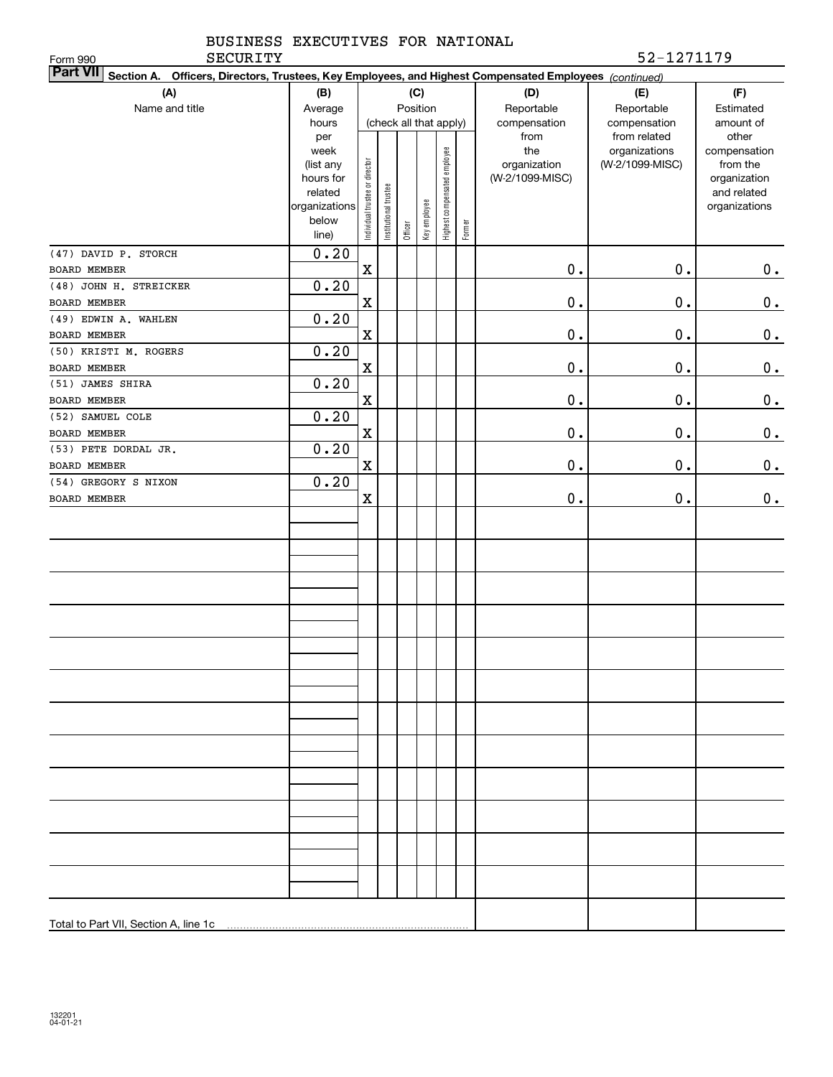| BUSINESS EXECUTIVES FOR NATIONAL |  |
|----------------------------------|--|
|                                  |  |

Form 990

| <b>Part VII</b> Section A. Officers, Directors, Trustees, Key Employees, and Highest Compensated Employees (continued) |                      |                                |                       |         |                        |                              |        |                 |                 |                             |
|------------------------------------------------------------------------------------------------------------------------|----------------------|--------------------------------|-----------------------|---------|------------------------|------------------------------|--------|-----------------|-----------------|-----------------------------|
| (A)                                                                                                                    | (B)                  |                                |                       |         | (C)                    |                              |        | (D)             | (E)             | (F)                         |
| Name and title                                                                                                         | Average              |                                |                       |         | Position               |                              |        | Reportable      | Reportable      | Estimated                   |
|                                                                                                                        | hours                |                                |                       |         | (check all that apply) |                              |        | compensation    | compensation    | amount of                   |
|                                                                                                                        | per                  |                                |                       |         |                        |                              |        | from            | from related    | other                       |
|                                                                                                                        | week                 |                                |                       |         |                        |                              |        | the             | organizations   | compensation                |
|                                                                                                                        | (list any            |                                |                       |         |                        |                              |        | organization    | (W-2/1099-MISC) | from the                    |
|                                                                                                                        | hours for<br>related |                                |                       |         |                        |                              |        | (W-2/1099-MISC) |                 | organization<br>and related |
|                                                                                                                        | organizations        |                                |                       |         |                        |                              |        |                 |                 | organizations               |
|                                                                                                                        | below                |                                |                       |         |                        |                              |        |                 |                 |                             |
|                                                                                                                        | line)                | Individual trustee or director | Institutional trustee | Officer | Key employee           | Highest compensated employee | Former |                 |                 |                             |
| (47) DAVID P. STORCH                                                                                                   | 0.20                 |                                |                       |         |                        |                              |        |                 |                 |                             |
| BOARD MEMBER                                                                                                           |                      | $\mathbf X$                    |                       |         |                        |                              |        | $0$ .           | $\mathbf 0$ .   | $\mathbf 0$ .               |
| (48) JOHN H. STREICKER                                                                                                 | 0.20                 |                                |                       |         |                        |                              |        |                 |                 |                             |
| BOARD MEMBER                                                                                                           |                      | $\mathbf X$                    |                       |         |                        |                              |        | $0$ .           | $\mathbf 0$ .   | $0_{\bullet}$               |
| (49) EDWIN A. WAHLEN                                                                                                   | 0.20                 |                                |                       |         |                        |                              |        |                 |                 |                             |
| BOARD MEMBER                                                                                                           |                      | $\mathbf X$                    |                       |         |                        |                              |        | $0$ .           | $\mathbf 0$ .   | 0.                          |
| (50) KRISTI M. ROGERS                                                                                                  | 0.20                 |                                |                       |         |                        |                              |        |                 |                 |                             |
| <b>BOARD MEMBER</b>                                                                                                    |                      | $\mathbf X$                    |                       |         |                        |                              |        | $0$ .           | $\mathbf 0$ .   | 0.                          |
| (51) JAMES SHIRA                                                                                                       | 0.20                 |                                |                       |         |                        |                              |        |                 |                 |                             |
| <b>BOARD MEMBER</b>                                                                                                    |                      | $\mathbf X$                    |                       |         |                        |                              |        | $0$ .           | $\mathbf 0$ .   | $\mathbf 0$ .               |
| (52) SAMUEL COLE                                                                                                       | 0.20                 |                                |                       |         |                        |                              |        |                 |                 |                             |
| <b>BOARD MEMBER</b>                                                                                                    |                      | $\mathbf X$                    |                       |         |                        |                              |        | $0$ .           | $\mathbf 0$ .   | $\mathbf 0$ .               |
| (53) PETE DORDAL JR.                                                                                                   | 0.20                 |                                |                       |         |                        |                              |        |                 |                 |                             |
| BOARD MEMBER                                                                                                           |                      | $\mathbf X$                    |                       |         |                        |                              |        | $0$ .           | $\mathbf 0$ .   | 0.                          |
| (54) GREGORY S NIXON                                                                                                   | 0.20                 |                                |                       |         |                        |                              |        |                 |                 |                             |
| BOARD MEMBER                                                                                                           |                      | $\mathbf X$                    |                       |         |                        |                              |        | $\mathbf 0$ .   | $\mathbf 0$ .   | 0.                          |
|                                                                                                                        |                      |                                |                       |         |                        |                              |        |                 |                 |                             |
|                                                                                                                        |                      |                                |                       |         |                        |                              |        |                 |                 |                             |
|                                                                                                                        |                      |                                |                       |         |                        |                              |        |                 |                 |                             |
|                                                                                                                        |                      |                                |                       |         |                        |                              |        |                 |                 |                             |
|                                                                                                                        |                      |                                |                       |         |                        |                              |        |                 |                 |                             |
|                                                                                                                        |                      |                                |                       |         |                        |                              |        |                 |                 |                             |
|                                                                                                                        |                      |                                |                       |         |                        |                              |        |                 |                 |                             |
|                                                                                                                        |                      |                                |                       |         |                        |                              |        |                 |                 |                             |
|                                                                                                                        |                      |                                |                       |         |                        |                              |        |                 |                 |                             |
|                                                                                                                        |                      |                                |                       |         |                        |                              |        |                 |                 |                             |
|                                                                                                                        |                      |                                |                       |         |                        |                              |        |                 |                 |                             |
|                                                                                                                        |                      |                                |                       |         |                        |                              |        |                 |                 |                             |
|                                                                                                                        |                      |                                |                       |         |                        |                              |        |                 |                 |                             |
|                                                                                                                        |                      |                                |                       |         |                        |                              |        |                 |                 |                             |
|                                                                                                                        |                      |                                |                       |         |                        |                              |        |                 |                 |                             |
|                                                                                                                        |                      |                                |                       |         |                        |                              |        |                 |                 |                             |
|                                                                                                                        |                      |                                |                       |         |                        |                              |        |                 |                 |                             |
|                                                                                                                        |                      |                                |                       |         |                        |                              |        |                 |                 |                             |
|                                                                                                                        |                      |                                |                       |         |                        |                              |        |                 |                 |                             |
|                                                                                                                        |                      |                                |                       |         |                        |                              |        |                 |                 |                             |
|                                                                                                                        |                      |                                |                       |         |                        |                              |        |                 |                 |                             |
|                                                                                                                        |                      |                                |                       |         |                        |                              |        |                 |                 |                             |
|                                                                                                                        |                      |                                |                       |         |                        |                              |        |                 |                 |                             |
|                                                                                                                        |                      |                                |                       |         |                        |                              |        |                 |                 |                             |
|                                                                                                                        |                      |                                |                       |         |                        |                              |        |                 |                 |                             |
| Total to Part VII, Section A, line 1c [11] [12] [12] [12] [13] [14] [15] [15] [16] [17] [17] [17] [17] [17] [1         |                      |                                |                       |         |                        |                              |        |                 |                 |                             |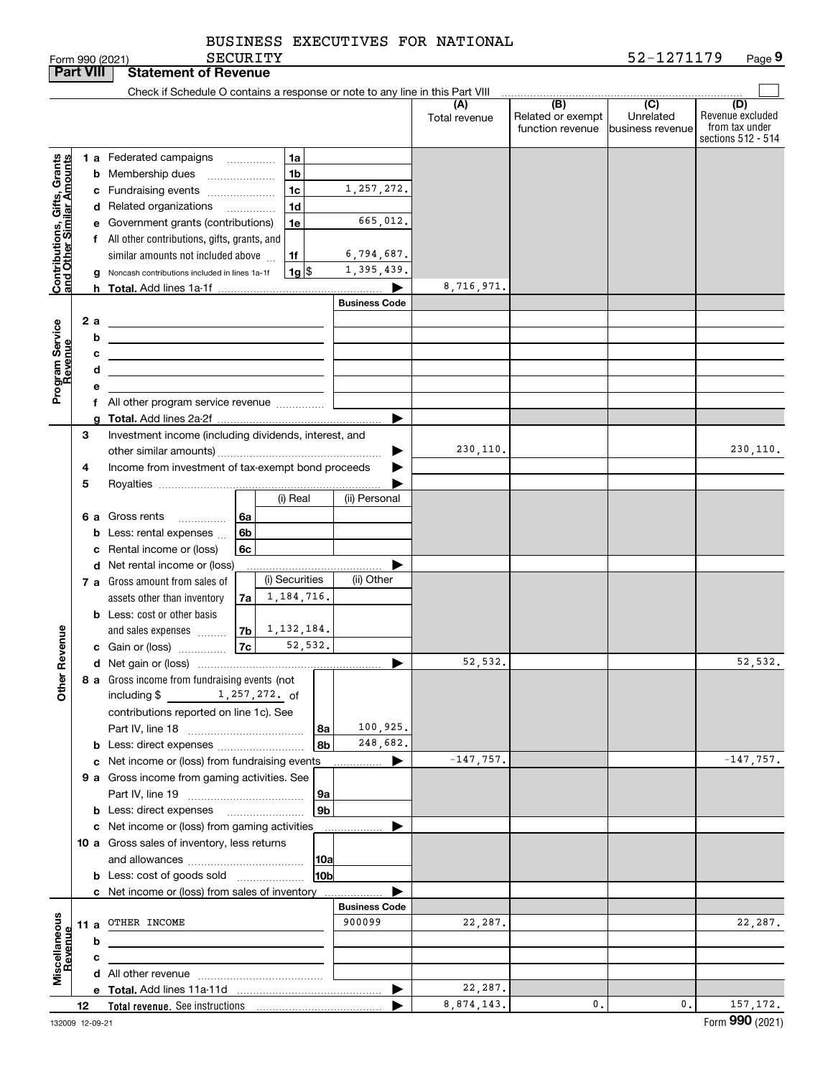| BUSINESS EXECUTIVES FOR NATIONAL |  |
|----------------------------------|--|
|                                  |  |

SECURITY

|                                                                                         | <b>Part VIII</b> |                               | <b>Statement of Revenue</b>                                                                                                                                                                                                                                                                                                                                                                                                                                                                                                                                                                                                                                                       |                                                                                 |                      |                                                           |                                                 |                                           |
|-----------------------------------------------------------------------------------------|------------------|-------------------------------|-----------------------------------------------------------------------------------------------------------------------------------------------------------------------------------------------------------------------------------------------------------------------------------------------------------------------------------------------------------------------------------------------------------------------------------------------------------------------------------------------------------------------------------------------------------------------------------------------------------------------------------------------------------------------------------|---------------------------------------------------------------------------------|----------------------|-----------------------------------------------------------|-------------------------------------------------|-------------------------------------------|
|                                                                                         |                  |                               | Check if Schedule O contains a response or note to any line in this Part VIII                                                                                                                                                                                                                                                                                                                                                                                                                                                                                                                                                                                                     |                                                                                 |                      |                                                           |                                                 |                                           |
|                                                                                         |                  |                               |                                                                                                                                                                                                                                                                                                                                                                                                                                                                                                                                                                                                                                                                                   |                                                                                 | (A)<br>Total revenue | $\overline{(B)}$<br>Related or exempt<br>function revenue | $\overline{C}$<br>Unrelated<br>business revenue | (D)<br>Revenue excluded<br>from tax under |
| Contributions, Gifts, Grants<br>and Other Similar Amounts<br>Program Service<br>Revenue |                  | h.<br>2 a<br>b<br>с<br>d<br>е | 1 a Federated campaigns<br>1a<br>1 <sub>b</sub><br><b>b</b> Membership dues<br>1 <sub>c</sub><br>c Fundraising events<br>1d<br>d Related organizations<br>.<br>e Government grants (contributions)<br>1e<br>f All other contributions, gifts, grants, and<br>1f<br>similar amounts not included above<br>$1g$ $\frac{1}{3}$<br>Noncash contributions included in lines 1a-1f<br><u> 1980 - Johann Barn, amerikansk politiker (</u><br><u> 1989 - Johann Barbara, martxa alemaniar arg</u><br><u> 1989 - Andrea Stadt Britain, amerikansk politiker (</u><br><u> 1989 - Johann Barbara, martin amerikan basar dan berasal dan berasal dalam basar dalam basar dalam basar dala</u> | 1,257,272.<br>665,012.<br>6,794,687.<br>1,395,439.<br>▶<br><b>Business Code</b> | 8,716,971.           |                                                           |                                                 | sections 512 - 514                        |
|                                                                                         |                  |                               | f All other program service revenue                                                                                                                                                                                                                                                                                                                                                                                                                                                                                                                                                                                                                                               |                                                                                 |                      |                                                           |                                                 |                                           |
|                                                                                         | З                |                               | Investment income (including dividends, interest, and                                                                                                                                                                                                                                                                                                                                                                                                                                                                                                                                                                                                                             | ▶                                                                               | 230,110.             |                                                           |                                                 | 230, 110.                                 |
|                                                                                         | 4<br>5           |                               | Income from investment of tax-exempt bond proceeds                                                                                                                                                                                                                                                                                                                                                                                                                                                                                                                                                                                                                                |                                                                                 |                      |                                                           |                                                 |                                           |
|                                                                                         |                  | c                             | (i) Real<br>6 a Gross rents<br>6a<br>.<br>6b<br><b>b</b> Less: rental expenses<br>Rental income or (loss)<br>6c                                                                                                                                                                                                                                                                                                                                                                                                                                                                                                                                                                   | (ii) Personal                                                                   |                      |                                                           |                                                 |                                           |
|                                                                                         |                  |                               | d Net rental income or (loss)<br>(i) Securities<br>7 a Gross amount from sales of<br>1,184,716.<br>7a<br>assets other than inventory<br><b>b</b> Less: cost or other basis                                                                                                                                                                                                                                                                                                                                                                                                                                                                                                        | (ii) Other                                                                      |                      |                                                           |                                                 |                                           |
| Revenue                                                                                 |                  |                               | 1,132,184.<br>7b<br>and sales expenses<br> 7c <br>52,532.<br>c Gain or (loss)                                                                                                                                                                                                                                                                                                                                                                                                                                                                                                                                                                                                     | ▶                                                                               | 52,532.              |                                                           |                                                 | 52,532.                                   |
| Other                                                                                   |                  |                               | 8 a Gross income from fundraising events (not<br>including $$$<br>1,257,272. of<br>contributions reported on line 1c). See<br>8a<br>8b                                                                                                                                                                                                                                                                                                                                                                                                                                                                                                                                            | 100,925.<br>248,682.                                                            |                      |                                                           |                                                 |                                           |
|                                                                                         |                  |                               | c Net income or (loss) from fundraising events                                                                                                                                                                                                                                                                                                                                                                                                                                                                                                                                                                                                                                    | ▶                                                                               | $-147,757.$          |                                                           |                                                 | $-147,757.$                               |
|                                                                                         |                  |                               | 9 a Gross income from gaming activities. See<br>9а<br>9 <sub>b</sub><br><b>b</b> Less: direct expenses                                                                                                                                                                                                                                                                                                                                                                                                                                                                                                                                                                            |                                                                                 |                      |                                                           |                                                 |                                           |
|                                                                                         |                  |                               | c Net income or (loss) from gaming activities                                                                                                                                                                                                                                                                                                                                                                                                                                                                                                                                                                                                                                     | ▶<br>.                                                                          |                      |                                                           |                                                 |                                           |
|                                                                                         |                  |                               | 10 a Gross sales of inventory, less returns<br> 10a<br>10b<br><b>b</b> Less: cost of goods sold                                                                                                                                                                                                                                                                                                                                                                                                                                                                                                                                                                                   |                                                                                 |                      |                                                           |                                                 |                                           |
|                                                                                         |                  |                               | <b>c</b> Net income or (loss) from sales of inventory                                                                                                                                                                                                                                                                                                                                                                                                                                                                                                                                                                                                                             |                                                                                 |                      |                                                           |                                                 |                                           |
| Miscellaneous<br>Revenue                                                                |                  | b                             | 11 a OTHER INCOME                                                                                                                                                                                                                                                                                                                                                                                                                                                                                                                                                                                                                                                                 | <b>Business Code</b><br>900099                                                  | 22,287.              |                                                           |                                                 | 22,287.                                   |
|                                                                                         |                  | c                             |                                                                                                                                                                                                                                                                                                                                                                                                                                                                                                                                                                                                                                                                                   |                                                                                 |                      |                                                           |                                                 |                                           |
|                                                                                         |                  |                               |                                                                                                                                                                                                                                                                                                                                                                                                                                                                                                                                                                                                                                                                                   |                                                                                 |                      |                                                           |                                                 |                                           |
|                                                                                         |                  |                               |                                                                                                                                                                                                                                                                                                                                                                                                                                                                                                                                                                                                                                                                                   | ▶                                                                               | 22,287.              |                                                           |                                                 |                                           |
|                                                                                         | 12               |                               |                                                                                                                                                                                                                                                                                                                                                                                                                                                                                                                                                                                                                                                                                   |                                                                                 | 8,874,143.           | 0.                                                        | 0.                                              | 157, 172.                                 |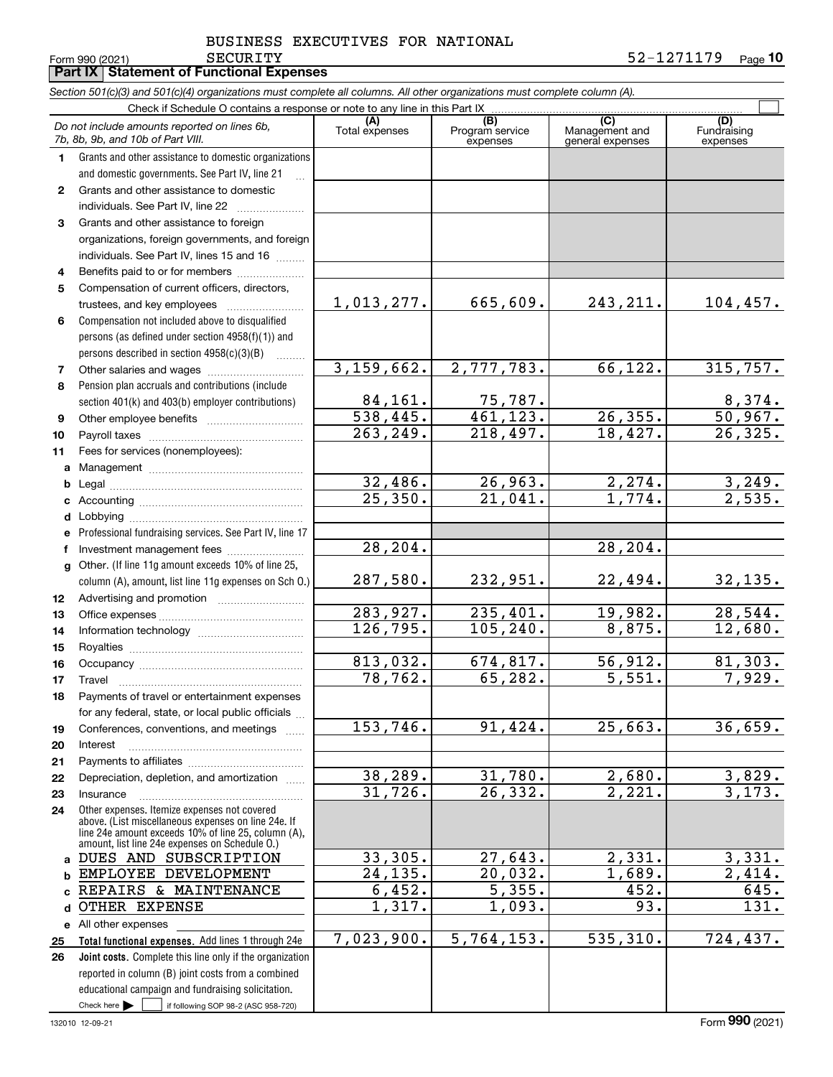**10** SECURITY 52-1271179

Form 990 (2021) Page **Part IX Statement of Functional Expenses**

|                 | Section 501(c)(3) and 501(c)(4) organizations must complete all columns. All other organizations must complete column (A). |                |                             |                                    |                          |
|-----------------|----------------------------------------------------------------------------------------------------------------------------|----------------|-----------------------------|------------------------------------|--------------------------|
|                 | Check if Schedule O contains a response or note to any line in this Part IX                                                | (A)            | (B)                         | (C)                                | (D)                      |
|                 | Do not include amounts reported on lines 6b,<br>7b, 8b, 9b, and 10b of Part VIII.                                          | Total expenses | Program service<br>expenses | Management and<br>general expenses | Fundraising<br>expenses  |
| 1               | Grants and other assistance to domestic organizations                                                                      |                |                             |                                    |                          |
|                 | and domestic governments. See Part IV, line 21                                                                             |                |                             |                                    |                          |
| $\mathbf{2}$    | Grants and other assistance to domestic                                                                                    |                |                             |                                    |                          |
|                 | individuals. See Part IV, line 22                                                                                          |                |                             |                                    |                          |
| 3               | Grants and other assistance to foreign                                                                                     |                |                             |                                    |                          |
|                 | organizations, foreign governments, and foreign                                                                            |                |                             |                                    |                          |
|                 | individuals. See Part IV, lines 15 and 16                                                                                  |                |                             |                                    |                          |
| 4               | Benefits paid to or for members                                                                                            |                |                             |                                    |                          |
| 5               | Compensation of current officers, directors,                                                                               |                |                             |                                    |                          |
|                 | trustees, and key employees                                                                                                | 1,013,277.     | 665,609.                    | 243, 211.                          | 104, 457.                |
| 6               | Compensation not included above to disqualified                                                                            |                |                             |                                    |                          |
|                 | persons (as defined under section 4958(f)(1)) and                                                                          |                |                             |                                    |                          |
|                 | persons described in section 4958(c)(3)(B)<br>.                                                                            |                |                             |                                    |                          |
| 7               |                                                                                                                            | 3,159,662.     | 2,777,783.                  | 66, 122.                           | 315,757.                 |
| 8               | Pension plan accruals and contributions (include                                                                           |                |                             |                                    |                          |
|                 | section 401(k) and 403(b) employer contributions)                                                                          | 84,161.        | 75,787.                     |                                    |                          |
| 9               |                                                                                                                            | 538,445.       | 461, 123.                   | 26, 355.                           | $\frac{8,374}{50,967}$ . |
| 10              |                                                                                                                            | 263,249.       | 218,497.                    | 18,427.                            | 26, 325.                 |
| 11              | Fees for services (nonemployees):                                                                                          |                |                             |                                    |                          |
| a               |                                                                                                                            |                |                             |                                    |                          |
| b               |                                                                                                                            | 32,486.        | 26,963.                     | 2, 274.                            | 3,249.                   |
| с               |                                                                                                                            | 25,350.        | 21,041.                     | 1,774.                             | $\overline{2,535}$ .     |
| d               |                                                                                                                            |                |                             |                                    |                          |
| е               | Professional fundraising services. See Part IV, line 17                                                                    |                |                             |                                    |                          |
| f               | Investment management fees                                                                                                 | 28,204.        |                             | 28,204.                            |                          |
| g               | Other. (If line 11g amount exceeds 10% of line 25,                                                                         |                |                             |                                    |                          |
|                 | column (A), amount, list line 11g expenses on Sch O.)                                                                      | 287,580.       | 232,951.                    | 22,494.                            | <u>32,135.</u>           |
| 12 <sub>2</sub> |                                                                                                                            |                |                             |                                    |                          |
| 13              |                                                                                                                            | 283,927.       | 235,401.                    | 19,982.                            | 28,544.                  |
| 14              |                                                                                                                            | 126,795.       | $\overline{105}$ , 240.     | 8,875.                             | 12,680.                  |
| 15              |                                                                                                                            |                |                             |                                    |                          |
| 16              |                                                                                                                            | 813,032.       | 674,817.                    | 56,912.                            | 81,303.                  |
| 17              |                                                                                                                            | 78,762.        | 65,282.                     | 5,551.                             | 7,929.                   |
| 18              | Payments of travel or entertainment expenses                                                                               |                |                             |                                    |                          |
|                 | for any federal, state, or local public officials                                                                          |                |                             |                                    |                          |
| 19              | Conferences, conventions, and meetings                                                                                     | 153,746.       | 91,424.                     | 25,663.                            | 36,659.                  |
| 20              | Interest                                                                                                                   |                |                             |                                    |                          |
| 21              |                                                                                                                            | 38,289.        | 31,780.                     | 2,680.                             |                          |
| 22              | Depreciation, depletion, and amortization                                                                                  | 31,726.        | 26, 332.                    | 2,221.                             | 3,829.<br>3,173.         |
| 23              | Insurance<br>Other expenses. Itemize expenses not covered                                                                  |                |                             |                                    |                          |
| 24              | above. (List miscellaneous expenses on line 24e. If                                                                        |                |                             |                                    |                          |
|                 | line 24e amount exceeds 10% of line 25, column (A),                                                                        |                |                             |                                    |                          |
| a               | amount, list line 24e expenses on Schedule 0.)<br>DUES AND SUBSCRIPTION                                                    | 33,305.        | 27,643.                     | 2,331.                             | 3,331.                   |
| b               | EMPLOYEE DEVELOPMENT                                                                                                       | 24,135.        | 20,032.                     | 1,689.                             | 2,414.                   |
| C               | REPAIRS & MAINTENANCE                                                                                                      | 6,452.         | 5,355.                      | 452.                               | 645.                     |
| d               | OTHER EXPENSE                                                                                                              | 1,317.         | 1,093.                      | 93.                                | 131.                     |
| е               | All other expenses                                                                                                         |                |                             |                                    |                          |
| 25              | Total functional expenses. Add lines 1 through 24e                                                                         | 7,023,900.     | 5,764,153.                  | 535,310.                           | 724,437.                 |
| 26              | Joint costs. Complete this line only if the organization                                                                   |                |                             |                                    |                          |
|                 | reported in column (B) joint costs from a combined                                                                         |                |                             |                                    |                          |
|                 | educational campaign and fundraising solicitation.                                                                         |                |                             |                                    |                          |

Check here  $\blacktriangleright$ 

Check here  $\begin{array}{|c|c|c|c|c|}\hline \text{ } & \text{ if following SOP 98-2 (ASC 958-720)} \hline \end{array}$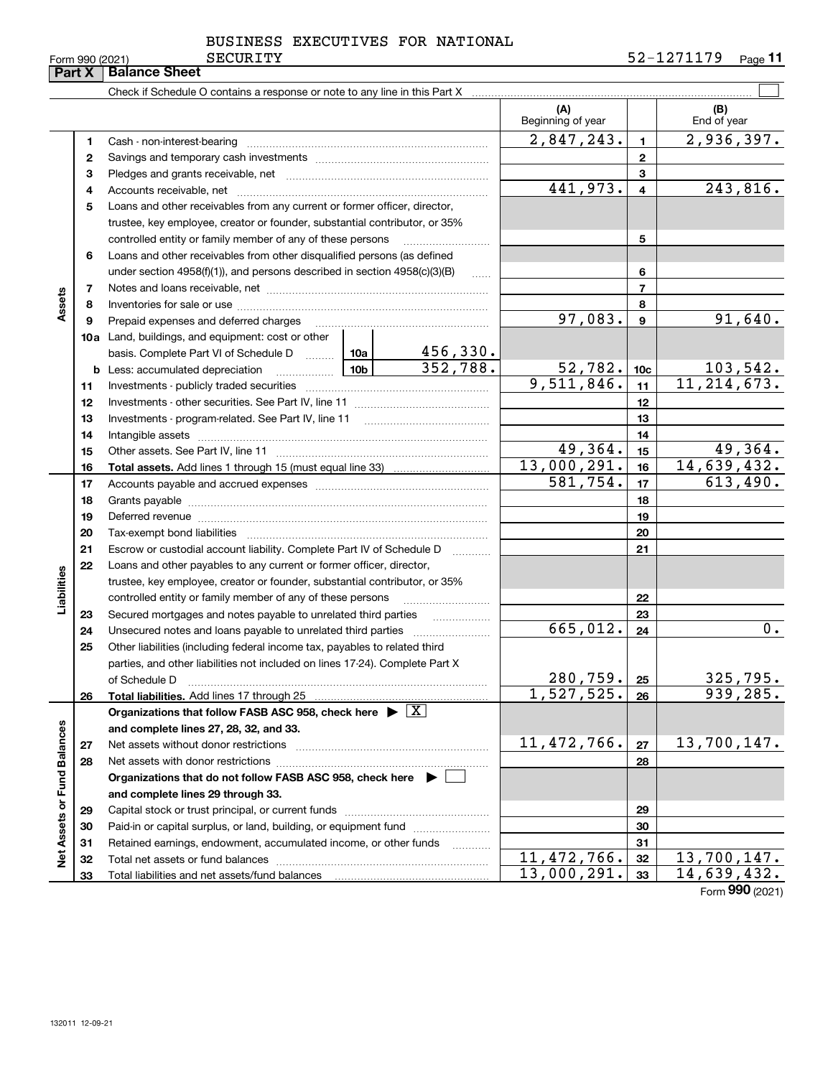132011 12-09-21

|                                                         | BUSINESS EXECUTIVES FOR NATIONAL |  |
|---------------------------------------------------------|----------------------------------|--|
| $\sim$ $\sim$ $\sim$ $\sim$ $\sim$ $\sim$ $\sim$ $\sim$ |                                  |  |

|                             | Part X | <b>Balance Sheet</b>                                                                                                                                                                                                           |                 |                         |                          |                 |                                         |
|-----------------------------|--------|--------------------------------------------------------------------------------------------------------------------------------------------------------------------------------------------------------------------------------|-----------------|-------------------------|--------------------------|-----------------|-----------------------------------------|
|                             |        |                                                                                                                                                                                                                                |                 |                         |                          |                 |                                         |
|                             |        |                                                                                                                                                                                                                                |                 |                         | (A)<br>Beginning of year |                 | (B)<br>End of year                      |
|                             | 1      |                                                                                                                                                                                                                                |                 |                         | 2,847,243.               | $\mathbf{1}$    | 2,936,397.                              |
|                             | 2      |                                                                                                                                                                                                                                |                 |                         |                          | $\overline{2}$  |                                         |
|                             | З      |                                                                                                                                                                                                                                |                 |                         |                          | 3               |                                         |
|                             | 4      |                                                                                                                                                                                                                                | 441,973.        | $\overline{\mathbf{4}}$ | 243,816.                 |                 |                                         |
|                             | 5      | Loans and other receivables from any current or former officer, director,                                                                                                                                                      |                 |                         |                          |                 |                                         |
|                             |        | trustee, key employee, creator or founder, substantial contributor, or 35%                                                                                                                                                     |                 |                         |                          |                 |                                         |
|                             |        | controlled entity or family member of any of these persons                                                                                                                                                                     |                 |                         |                          | 5               |                                         |
|                             | 6      | Loans and other receivables from other disqualified persons (as defined                                                                                                                                                        |                 |                         |                          |                 |                                         |
|                             |        | under section $4958(f)(1)$ , and persons described in section $4958(c)(3)(B)$                                                                                                                                                  |                 | 6                       |                          |                 |                                         |
|                             | 7      |                                                                                                                                                                                                                                |                 |                         |                          | $\overline{7}$  |                                         |
| Assets                      | 8      |                                                                                                                                                                                                                                |                 |                         |                          | 8               |                                         |
|                             | 9      | Prepaid expenses and deferred charges                                                                                                                                                                                          |                 |                         | 97,083.                  | $\mathbf{9}$    | 91,640.                                 |
|                             |        | <b>10a</b> Land, buildings, and equipment: cost or other                                                                                                                                                                       |                 |                         |                          |                 |                                         |
|                             |        | basis. Complete Part VI of Schedule D  10a                                                                                                                                                                                     |                 | 456,330.                |                          |                 |                                         |
|                             |        | <b>b</b> Less: accumulated depreciation<br>$\ldots \ldots \ldots \ldots$                                                                                                                                                       | 10 <sub>b</sub> | 352,788.                | 52,782.                  | 10 <sub>c</sub> | $\frac{103,542}{11,214,673.}$           |
|                             | 11     |                                                                                                                                                                                                                                | 9,511,846.      | 11                      |                          |                 |                                         |
|                             | 12     |                                                                                                                                                                                                                                |                 | 12                      |                          |                 |                                         |
|                             | 13     |                                                                                                                                                                                                                                |                 | 13                      |                          |                 |                                         |
|                             | 14     |                                                                                                                                                                                                                                |                 |                         |                          | 14              |                                         |
|                             | 15     |                                                                                                                                                                                                                                |                 |                         | 49,364.                  | 15              | 49,364.                                 |
|                             | 16     |                                                                                                                                                                                                                                |                 |                         | 13,000,291.              | 16              | 14,639,432.                             |
|                             | 17     |                                                                                                                                                                                                                                | 581,754.        | 17                      | 613,490.                 |                 |                                         |
|                             | 18     |                                                                                                                                                                                                                                |                 |                         |                          | 18              |                                         |
|                             | 19     | Deferred revenue manual contracts and contracts are contracted and contract and contract are contracted and contract are contracted and contract are contracted and contract are contracted and contract are contracted and co |                 |                         |                          | 19              |                                         |
|                             | 20     |                                                                                                                                                                                                                                |                 |                         |                          | 20              |                                         |
|                             | 21     | Escrow or custodial account liability. Complete Part IV of Schedule D                                                                                                                                                          |                 | .                       |                          | 21              |                                         |
|                             | 22     | Loans and other payables to any current or former officer, director,                                                                                                                                                           |                 |                         |                          |                 |                                         |
|                             |        | trustee, key employee, creator or founder, substantial contributor, or 35%                                                                                                                                                     |                 |                         |                          |                 |                                         |
| Liabilities                 |        | controlled entity or family member of any of these persons                                                                                                                                                                     |                 |                         |                          | 22              |                                         |
|                             | 23     | Secured mortgages and notes payable to unrelated third parties                                                                                                                                                                 |                 |                         |                          | 23              |                                         |
|                             | 24     | Unsecured notes and loans payable to unrelated third parties                                                                                                                                                                   |                 |                         | 665,012.                 | 24              | 0.                                      |
|                             | 25     | Other liabilities (including federal income tax, payables to related third                                                                                                                                                     |                 |                         |                          |                 |                                         |
|                             |        | parties, and other liabilities not included on lines 17-24). Complete Part X                                                                                                                                                   |                 |                         |                          |                 | つつに                                     |
|                             |        | of Schedule D                                                                                                                                                                                                                  |                 |                         | 280,759.<br>1,527,525.   | 25              | , <i>כצו</i> , כ <i>ב</i> כ<br>939,285. |
|                             | 26     | Total liabilities. Add lines 17 through 25                                                                                                                                                                                     |                 |                         |                          | 26              |                                         |
|                             |        | Organizations that follow FASB ASC 958, check here $\blacktriangleright \boxed{X}$                                                                                                                                             |                 |                         |                          |                 |                                         |
|                             | 27     | and complete lines 27, 28, 32, and 33.                                                                                                                                                                                         |                 |                         | 11, 472, 766.            | 27              | 13,700,147.                             |
|                             | 28     | Net assets with donor restrictions                                                                                                                                                                                             |                 |                         |                          | 28              |                                         |
|                             |        | Organizations that do not follow FASB ASC 958, check here $\blacktriangleright$                                                                                                                                                |                 |                         |                          |                 |                                         |
|                             |        | and complete lines 29 through 33.                                                                                                                                                                                              |                 |                         |                          |                 |                                         |
|                             | 29     |                                                                                                                                                                                                                                |                 |                         |                          | 29              |                                         |
| Net Assets or Fund Balances | 30     | Paid-in or capital surplus, or land, building, or equipment fund                                                                                                                                                               |                 |                         |                          | 30              |                                         |
|                             | 31     | Retained earnings, endowment, accumulated income, or other funds                                                                                                                                                               |                 |                         |                          | 31              |                                         |
|                             | 32     | Total net assets or fund balances                                                                                                                                                                                              |                 |                         | 11, 472, 766.            | 32              | 13,700,147.                             |
|                             | 33     |                                                                                                                                                                                                                                |                 |                         | 13,000,291.              | 33              | 14,639,432.                             |
|                             |        |                                                                                                                                                                                                                                |                 |                         |                          |                 |                                         |

Form (2021) **990**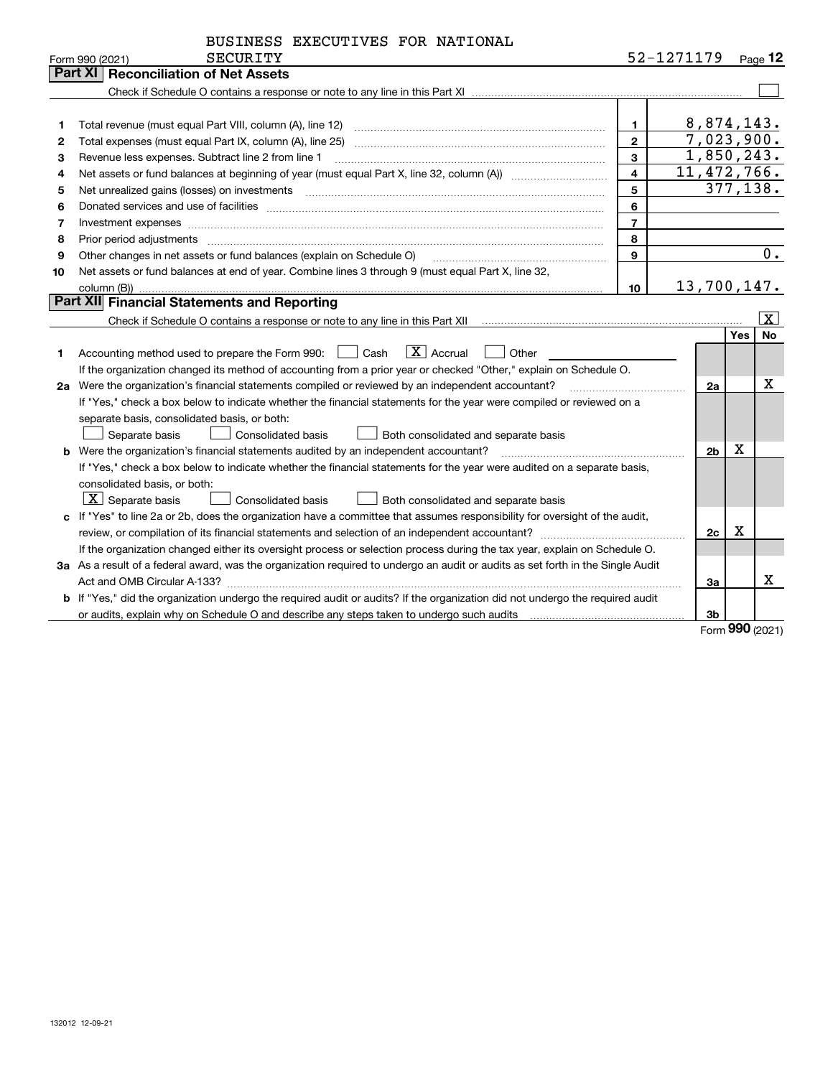| BUSINESS EXECUTIVES FOR NATIONAL |
|----------------------------------|
|----------------------------------|

|    | SECURITY<br>Form 990 (2021)                                                                                                          |                | 52-1271179     |     | Page 12                 |
|----|--------------------------------------------------------------------------------------------------------------------------------------|----------------|----------------|-----|-------------------------|
|    | Part XI<br><b>Reconciliation of Net Assets</b>                                                                                       |                |                |     |                         |
|    |                                                                                                                                      |                |                |     |                         |
|    |                                                                                                                                      |                |                |     |                         |
| 1  |                                                                                                                                      | 1              | 8,874,143.     |     |                         |
| 2  | Total expenses (must equal Part IX, column (A), line 25)                                                                             | $\mathbf{2}$   | 7,023,900.     |     |                         |
| 3  | Revenue less expenses. Subtract line 2 from line 1                                                                                   | 3              | 1,850,243.     |     |                         |
| 4  |                                                                                                                                      | 4              | 11, 472, 766.  |     |                         |
| 5  | Net unrealized gains (losses) on investments                                                                                         | 5              | 377, 138.      |     |                         |
| 6  |                                                                                                                                      | 6              |                |     |                         |
| 7  |                                                                                                                                      | $\overline{7}$ |                |     |                         |
| 8  | Prior period adjustments                                                                                                             | 8              |                |     |                         |
| 9  | Other changes in net assets or fund balances (explain on Schedule O)                                                                 | 9              |                |     | 0.                      |
| 10 | Net assets or fund balances at end of year. Combine lines 3 through 9 (must equal Part X, line 32,                                   |                |                |     |                         |
|    | column (B))                                                                                                                          | 10             | 13,700,147.    |     |                         |
|    | Part XII Financial Statements and Reporting                                                                                          |                |                |     |                         |
|    |                                                                                                                                      |                |                |     | $\overline{\mathbf{x}}$ |
|    |                                                                                                                                      |                |                | Yes | <b>No</b>               |
| 1  | $\mathbf{X}$ Accrual<br>Accounting method used to prepare the Form 990: <u>[</u> Cash<br>Other                                       |                |                |     |                         |
|    | If the organization changed its method of accounting from a prior year or checked "Other," explain on Schedule O.                    |                |                |     |                         |
| 2a | Were the organization's financial statements compiled or reviewed by an independent accountant?                                      |                | 2a             |     | x                       |
|    | If "Yes," check a box below to indicate whether the financial statements for the year were compiled or reviewed on a                 |                |                |     |                         |
|    | separate basis, consolidated basis, or both:                                                                                         |                |                |     |                         |
|    | Both consolidated and separate basis<br>Separate basis<br>Consolidated basis                                                         |                |                |     |                         |
|    | <b>b</b> Were the organization's financial statements audited by an independent accountant?                                          |                | 2 <sub>b</sub> | X   |                         |
|    | If "Yes," check a box below to indicate whether the financial statements for the year were audited on a separate basis,              |                |                |     |                         |
|    | consolidated basis, or both:                                                                                                         |                |                |     |                         |
|    | $\vert$ X $\vert$ Separate basis<br><b>Consolidated basis</b><br>Both consolidated and separate basis                                |                |                |     |                         |
|    | c If "Yes" to line 2a or 2b, does the organization have a committee that assumes responsibility for oversight of the audit,          |                |                |     |                         |
|    |                                                                                                                                      |                | 2c             | х   |                         |
|    | If the organization changed either its oversight process or selection process during the tax year, explain on Schedule O.            |                |                |     |                         |
|    | 3a As a result of a federal award, was the organization required to undergo an audit or audits as set forth in the Single Audit      |                |                |     |                         |
|    |                                                                                                                                      |                | 3a             |     | x                       |
|    | <b>b</b> If "Yes," did the organization undergo the required audit or audits? If the organization did not undergo the required audit |                |                |     |                         |
|    |                                                                                                                                      |                | 3b             |     |                         |

Form (2021) **990**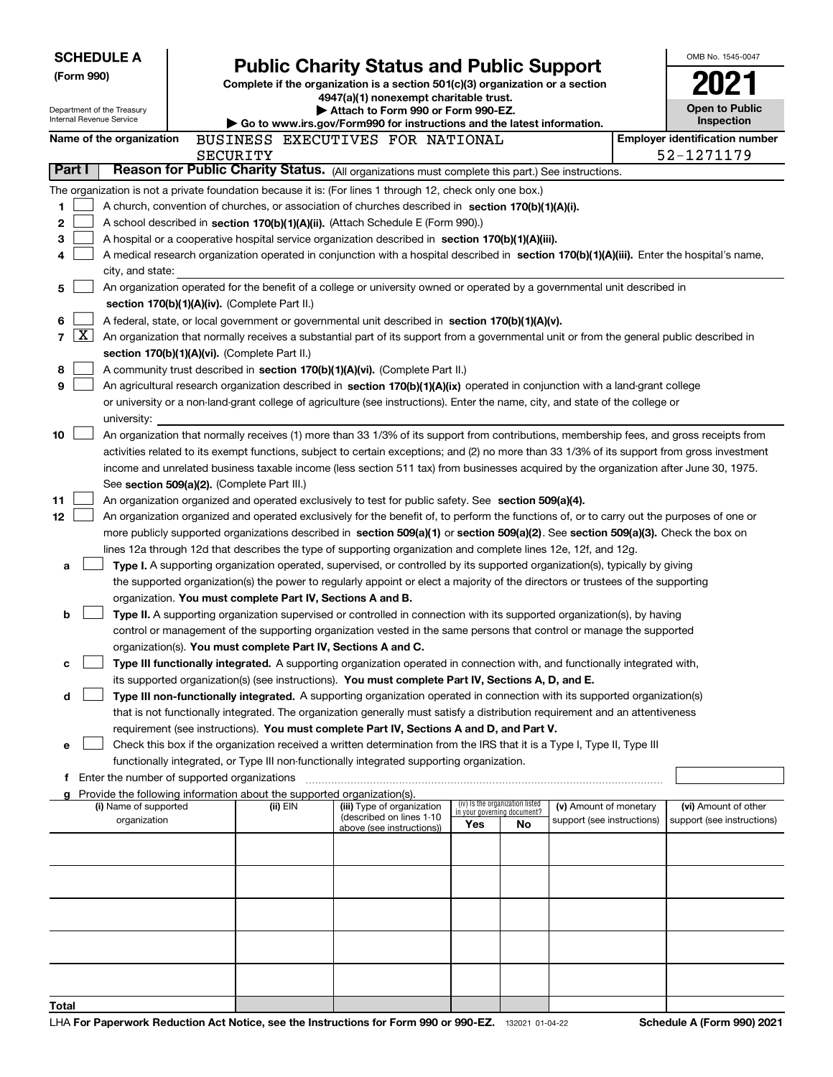| <b>SCHEDULE A</b><br>(Form 990)<br>Department of the Treasury<br>Internal Revenue Service |                                                                                                                                                                                                                                                                                                                                                                                                                                                                                                                                                                                                                                                                                                                                                                                                                                                                                                                                                                                                 |                                                                                                                                                                                                                                                                                                                                                                                                                                                                                                                                                                  | <b>Public Charity Status and Public Support</b><br>Complete if the organization is a section 501(c)(3) organization or a section<br>4947(a)(1) nonexempt charitable trust.<br>Attach to Form 990 or Form 990-EZ.<br>Go to www.irs.gov/Form990 for instructions and the latest information. |                                                                          |                                                                                                                                                                                                                                                                                                                                                                                                                                   |                                    |                                       |                                                      |  | OMB No. 1545-0047<br><b>Open to Public</b><br>Inspection |
|-------------------------------------------------------------------------------------------|-------------------------------------------------------------------------------------------------------------------------------------------------------------------------------------------------------------------------------------------------------------------------------------------------------------------------------------------------------------------------------------------------------------------------------------------------------------------------------------------------------------------------------------------------------------------------------------------------------------------------------------------------------------------------------------------------------------------------------------------------------------------------------------------------------------------------------------------------------------------------------------------------------------------------------------------------------------------------------------------------|------------------------------------------------------------------------------------------------------------------------------------------------------------------------------------------------------------------------------------------------------------------------------------------------------------------------------------------------------------------------------------------------------------------------------------------------------------------------------------------------------------------------------------------------------------------|--------------------------------------------------------------------------------------------------------------------------------------------------------------------------------------------------------------------------------------------------------------------------------------------|--------------------------------------------------------------------------|-----------------------------------------------------------------------------------------------------------------------------------------------------------------------------------------------------------------------------------------------------------------------------------------------------------------------------------------------------------------------------------------------------------------------------------|------------------------------------|---------------------------------------|------------------------------------------------------|--|----------------------------------------------------------|
|                                                                                           |                                                                                                                                                                                                                                                                                                                                                                                                                                                                                                                                                                                                                                                                                                                                                                                                                                                                                                                                                                                                 | Name of the organization                                                                                                                                                                                                                                                                                                                                                                                                                                                                                                                                         |                                                                                                                                                                                                                                                                                            |                                                                          | BUSINESS EXECUTIVES FOR NATIONAL                                                                                                                                                                                                                                                                                                                                                                                                  |                                    |                                       |                                                      |  | <b>Employer identification number</b>                    |
|                                                                                           | Part I                                                                                                                                                                                                                                                                                                                                                                                                                                                                                                                                                                                                                                                                                                                                                                                                                                                                                                                                                                                          |                                                                                                                                                                                                                                                                                                                                                                                                                                                                                                                                                                  |                                                                                                                                                                                                                                                                                            | SECURITY                                                                 | Reason for Public Charity Status. (All organizations must complete this part.) See instructions.                                                                                                                                                                                                                                                                                                                                  |                                    |                                       |                                                      |  | 52-1271179                                               |
|                                                                                           |                                                                                                                                                                                                                                                                                                                                                                                                                                                                                                                                                                                                                                                                                                                                                                                                                                                                                                                                                                                                 |                                                                                                                                                                                                                                                                                                                                                                                                                                                                                                                                                                  |                                                                                                                                                                                                                                                                                            |                                                                          |                                                                                                                                                                                                                                                                                                                                                                                                                                   |                                    |                                       |                                                      |  |                                                          |
| 1<br>2<br>3<br>4                                                                          | The organization is not a private foundation because it is: (For lines 1 through 12, check only one box.)<br>A church, convention of churches, or association of churches described in section 170(b)(1)(A)(i).<br>A school described in section 170(b)(1)(A)(ii). (Attach Schedule E (Form 990).)<br>A hospital or a cooperative hospital service organization described in section 170(b)(1)(A)(iii).<br>A medical research organization operated in conjunction with a hospital described in section 170(b)(1)(A)(iii). Enter the hospital's name,<br>city, and state:                                                                                                                                                                                                                                                                                                                                                                                                                       |                                                                                                                                                                                                                                                                                                                                                                                                                                                                                                                                                                  |                                                                                                                                                                                                                                                                                            |                                                                          |                                                                                                                                                                                                                                                                                                                                                                                                                                   |                                    |                                       |                                                      |  |                                                          |
| 5                                                                                         |                                                                                                                                                                                                                                                                                                                                                                                                                                                                                                                                                                                                                                                                                                                                                                                                                                                                                                                                                                                                 |                                                                                                                                                                                                                                                                                                                                                                                                                                                                                                                                                                  |                                                                                                                                                                                                                                                                                            |                                                                          | An organization operated for the benefit of a college or university owned or operated by a governmental unit described in                                                                                                                                                                                                                                                                                                         |                                    |                                       |                                                      |  |                                                          |
| 6<br>7<br>8<br>9                                                                          | $\lfloor x \rfloor$                                                                                                                                                                                                                                                                                                                                                                                                                                                                                                                                                                                                                                                                                                                                                                                                                                                                                                                                                                             | section 170(b)(1)(A)(iv). (Complete Part II.)<br>A federal, state, or local government or governmental unit described in section 170(b)(1)(A)(v).<br>An organization that normally receives a substantial part of its support from a governmental unit or from the general public described in<br>section 170(b)(1)(A)(vi). (Complete Part II.)<br>A community trust described in section 170(b)(1)(A)(vi). (Complete Part II.)<br>An agricultural research organization described in section 170(b)(1)(A)(ix) operated in conjunction with a land-grant college |                                                                                                                                                                                                                                                                                            |                                                                          |                                                                                                                                                                                                                                                                                                                                                                                                                                   |                                    |                                       |                                                      |  |                                                          |
|                                                                                           |                                                                                                                                                                                                                                                                                                                                                                                                                                                                                                                                                                                                                                                                                                                                                                                                                                                                                                                                                                                                 | university:                                                                                                                                                                                                                                                                                                                                                                                                                                                                                                                                                      |                                                                                                                                                                                                                                                                                            |                                                                          | or university or a non-land-grant college of agriculture (see instructions). Enter the name, city, and state of the college or                                                                                                                                                                                                                                                                                                    |                                    |                                       |                                                      |  |                                                          |
| 10                                                                                        |                                                                                                                                                                                                                                                                                                                                                                                                                                                                                                                                                                                                                                                                                                                                                                                                                                                                                                                                                                                                 |                                                                                                                                                                                                                                                                                                                                                                                                                                                                                                                                                                  |                                                                                                                                                                                                                                                                                            | See section 509(a)(2). (Complete Part III.)                              | An organization that normally receives (1) more than 33 1/3% of its support from contributions, membership fees, and gross receipts from<br>activities related to its exempt functions, subject to certain exceptions; and (2) no more than 33 1/3% of its support from gross investment<br>income and unrelated business taxable income (less section 511 tax) from businesses acquired by the organization after June 30, 1975. |                                    |                                       |                                                      |  |                                                          |
| 11                                                                                        |                                                                                                                                                                                                                                                                                                                                                                                                                                                                                                                                                                                                                                                                                                                                                                                                                                                                                                                                                                                                 |                                                                                                                                                                                                                                                                                                                                                                                                                                                                                                                                                                  |                                                                                                                                                                                                                                                                                            |                                                                          | An organization organized and operated exclusively to test for public safety. See section 509(a)(4).                                                                                                                                                                                                                                                                                                                              |                                    |                                       |                                                      |  |                                                          |
| 12                                                                                        | An organization organized and operated exclusively for the benefit of, to perform the functions of, or to carry out the purposes of one or<br>more publicly supported organizations described in section 509(a)(1) or section 509(a)(2). See section 509(a)(3). Check the box on<br>lines 12a through 12d that describes the type of supporting organization and complete lines 12e, 12f, and 12g.<br>Type I. A supporting organization operated, supervised, or controlled by its supported organization(s), typically by giving<br>a<br>the supported organization(s) the power to regularly appoint or elect a majority of the directors or trustees of the supporting<br>organization. You must complete Part IV, Sections A and B.<br>Type II. A supporting organization supervised or controlled in connection with its supported organization(s), by having<br>b<br>control or management of the supporting organization vested in the same persons that control or manage the supported |                                                                                                                                                                                                                                                                                                                                                                                                                                                                                                                                                                  |                                                                                                                                                                                                                                                                                            |                                                                          |                                                                                                                                                                                                                                                                                                                                                                                                                                   |                                    |                                       |                                                      |  |                                                          |
| c                                                                                         |                                                                                                                                                                                                                                                                                                                                                                                                                                                                                                                                                                                                                                                                                                                                                                                                                                                                                                                                                                                                 |                                                                                                                                                                                                                                                                                                                                                                                                                                                                                                                                                                  |                                                                                                                                                                                                                                                                                            | organization(s). You must complete Part IV, Sections A and C.            | Type III functionally integrated. A supporting organization operated in connection with, and functionally integrated with,                                                                                                                                                                                                                                                                                                        |                                    |                                       |                                                      |  |                                                          |
|                                                                                           |                                                                                                                                                                                                                                                                                                                                                                                                                                                                                                                                                                                                                                                                                                                                                                                                                                                                                                                                                                                                 |                                                                                                                                                                                                                                                                                                                                                                                                                                                                                                                                                                  |                                                                                                                                                                                                                                                                                            |                                                                          |                                                                                                                                                                                                                                                                                                                                                                                                                                   |                                    |                                       |                                                      |  |                                                          |
|                                                                                           | its supported organization(s) (see instructions). You must complete Part IV, Sections A, D, and E.<br>Type III non-functionally integrated. A supporting organization operated in connection with its supported organization(s)<br>d<br>that is not functionally integrated. The organization generally must satisfy a distribution requirement and an attentiveness<br>requirement (see instructions). You must complete Part IV, Sections A and D, and Part V.<br>Check this box if the organization received a written determination from the IRS that it is a Type I, Type II, Type III<br>е                                                                                                                                                                                                                                                                                                                                                                                                |                                                                                                                                                                                                                                                                                                                                                                                                                                                                                                                                                                  |                                                                                                                                                                                                                                                                                            |                                                                          |                                                                                                                                                                                                                                                                                                                                                                                                                                   |                                    |                                       |                                                      |  |                                                          |
|                                                                                           |                                                                                                                                                                                                                                                                                                                                                                                                                                                                                                                                                                                                                                                                                                                                                                                                                                                                                                                                                                                                 |                                                                                                                                                                                                                                                                                                                                                                                                                                                                                                                                                                  |                                                                                                                                                                                                                                                                                            |                                                                          | functionally integrated, or Type III non-functionally integrated supporting organization.                                                                                                                                                                                                                                                                                                                                         |                                    |                                       |                                                      |  |                                                          |
|                                                                                           |                                                                                                                                                                                                                                                                                                                                                                                                                                                                                                                                                                                                                                                                                                                                                                                                                                                                                                                                                                                                 | Enter the number of supported organizations                                                                                                                                                                                                                                                                                                                                                                                                                                                                                                                      |                                                                                                                                                                                                                                                                                            | g Provide the following information about the supported organization(s). |                                                                                                                                                                                                                                                                                                                                                                                                                                   |                                    |                                       |                                                      |  |                                                          |
|                                                                                           |                                                                                                                                                                                                                                                                                                                                                                                                                                                                                                                                                                                                                                                                                                                                                                                                                                                                                                                                                                                                 | (i) Name of supported<br>organization                                                                                                                                                                                                                                                                                                                                                                                                                                                                                                                            |                                                                                                                                                                                                                                                                                            | (ii) EIN                                                                 | (iii) Type of organization<br>(described on lines 1-10                                                                                                                                                                                                                                                                                                                                                                            | in your governing document?<br>Yes | (iv) Is the organization listed<br>No | (v) Amount of monetary<br>support (see instructions) |  | (vi) Amount of other<br>support (see instructions)       |
|                                                                                           |                                                                                                                                                                                                                                                                                                                                                                                                                                                                                                                                                                                                                                                                                                                                                                                                                                                                                                                                                                                                 |                                                                                                                                                                                                                                                                                                                                                                                                                                                                                                                                                                  |                                                                                                                                                                                                                                                                                            |                                                                          | above (see instructions))                                                                                                                                                                                                                                                                                                                                                                                                         |                                    |                                       |                                                      |  |                                                          |
|                                                                                           |                                                                                                                                                                                                                                                                                                                                                                                                                                                                                                                                                                                                                                                                                                                                                                                                                                                                                                                                                                                                 |                                                                                                                                                                                                                                                                                                                                                                                                                                                                                                                                                                  |                                                                                                                                                                                                                                                                                            |                                                                          |                                                                                                                                                                                                                                                                                                                                                                                                                                   |                                    |                                       |                                                      |  |                                                          |
|                                                                                           |                                                                                                                                                                                                                                                                                                                                                                                                                                                                                                                                                                                                                                                                                                                                                                                                                                                                                                                                                                                                 |                                                                                                                                                                                                                                                                                                                                                                                                                                                                                                                                                                  |                                                                                                                                                                                                                                                                                            |                                                                          |                                                                                                                                                                                                                                                                                                                                                                                                                                   |                                    |                                       |                                                      |  |                                                          |
| Total                                                                                     |                                                                                                                                                                                                                                                                                                                                                                                                                                                                                                                                                                                                                                                                                                                                                                                                                                                                                                                                                                                                 |                                                                                                                                                                                                                                                                                                                                                                                                                                                                                                                                                                  |                                                                                                                                                                                                                                                                                            |                                                                          |                                                                                                                                                                                                                                                                                                                                                                                                                                   |                                    |                                       |                                                      |  |                                                          |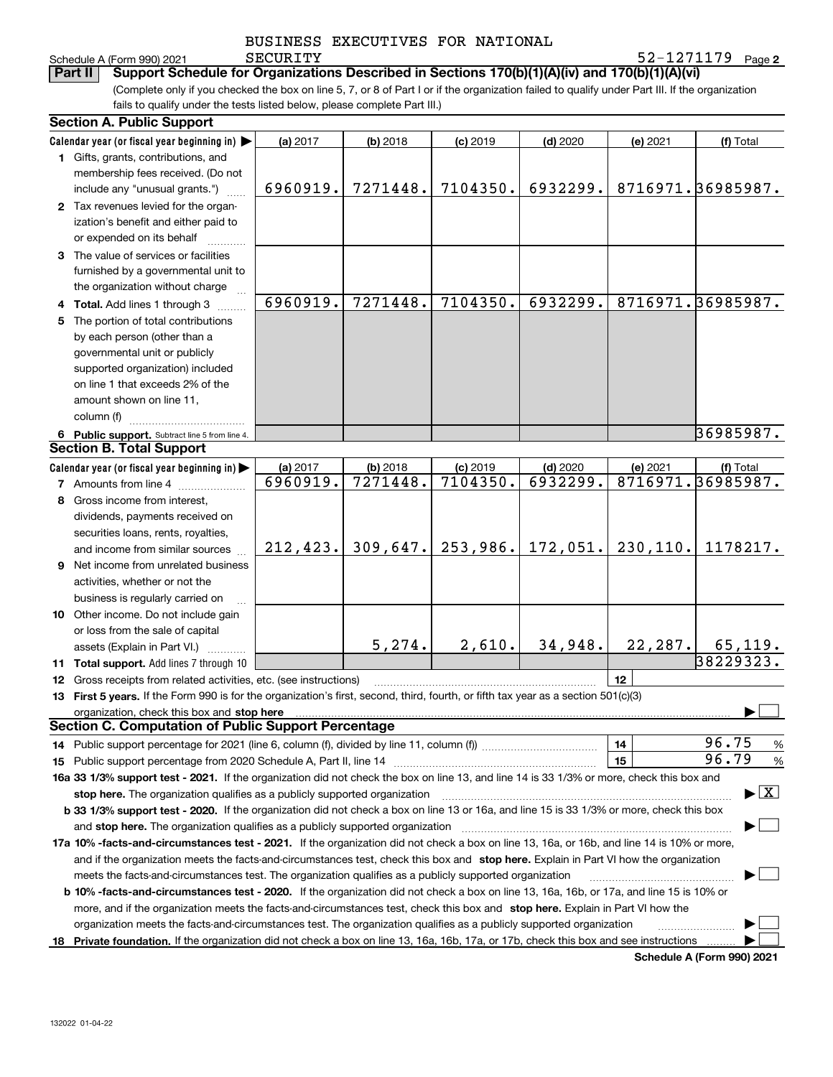**2** Schedule A (Form 990) 2021 Page SECURITY 52-1271179

(Complete only if you checked the box on line 5, 7, or 8 of Part I or if the organization failed to qualify under Part III. If the organization **Part II Support Schedule for Organizations Described in Sections 170(b)(1)(A)(iv) and 170(b)(1)(A)(vi)**

fails to qualify under the tests listed below, please complete Part III.)

|   | <b>Section A. Public Support</b>                                                                                                               |           |            |            |            |           |                                          |  |  |
|---|------------------------------------------------------------------------------------------------------------------------------------------------|-----------|------------|------------|------------|-----------|------------------------------------------|--|--|
|   | Calendar year (or fiscal year beginning in) $\blacktriangleright$                                                                              | (a) 2017  | $(b)$ 2018 | $(c)$ 2019 | $(d)$ 2020 | (e) 2021  | (f) Total                                |  |  |
|   | 1 Gifts, grants, contributions, and                                                                                                            |           |            |            |            |           |                                          |  |  |
|   | membership fees received. (Do not                                                                                                              |           |            |            |            |           |                                          |  |  |
|   | include any "unusual grants.")                                                                                                                 | 6960919.  | 7271448.   | 7104350.   | 6932299.   |           | 8716971.36985987.                        |  |  |
|   | 2 Tax revenues levied for the organ-                                                                                                           |           |            |            |            |           |                                          |  |  |
|   | ization's benefit and either paid to                                                                                                           |           |            |            |            |           |                                          |  |  |
|   | or expended on its behalf                                                                                                                      |           |            |            |            |           |                                          |  |  |
|   | 3 The value of services or facilities                                                                                                          |           |            |            |            |           |                                          |  |  |
|   | furnished by a governmental unit to                                                                                                            |           |            |            |            |           |                                          |  |  |
|   | the organization without charge                                                                                                                |           |            |            |            |           |                                          |  |  |
|   | <b>Total.</b> Add lines 1 through 3                                                                                                            | 6960919.  | 7271448.   | 7104350.   | 6932299.   |           | 8716971.36985987.                        |  |  |
| 5 | The portion of total contributions                                                                                                             |           |            |            |            |           |                                          |  |  |
|   | by each person (other than a                                                                                                                   |           |            |            |            |           |                                          |  |  |
|   | governmental unit or publicly                                                                                                                  |           |            |            |            |           |                                          |  |  |
|   | supported organization) included                                                                                                               |           |            |            |            |           |                                          |  |  |
|   | on line 1 that exceeds 2% of the                                                                                                               |           |            |            |            |           |                                          |  |  |
|   | amount shown on line 11,                                                                                                                       |           |            |            |            |           |                                          |  |  |
|   | column (f)                                                                                                                                     |           |            |            |            |           |                                          |  |  |
|   | 6 Public support. Subtract line 5 from line 4.                                                                                                 |           |            |            |            |           | 36985987.                                |  |  |
|   | <b>Section B. Total Support</b>                                                                                                                |           |            |            |            |           |                                          |  |  |
|   | Calendar year (or fiscal year beginning in) $\blacktriangleright$                                                                              | (a) 2017  | $(b)$ 2018 | $(c)$ 2019 | $(d)$ 2020 | (e) 2021  | (f) Total                                |  |  |
|   | <b>7</b> Amounts from line 4                                                                                                                   | 6960919.  | 7271448.   | 7104350.   | 6932299.   |           | 8716971.36985987.                        |  |  |
|   | Gross income from interest,                                                                                                                    |           |            |            |            |           |                                          |  |  |
|   | dividends, payments received on                                                                                                                |           |            |            |            |           |                                          |  |  |
|   | securities loans, rents, royalties,                                                                                                            |           |            |            |            |           |                                          |  |  |
|   | and income from similar sources                                                                                                                | 212, 423. | 309,647.   | 253,986.   | 172,051.   | 230, 110. | 1178217.                                 |  |  |
| 9 | Net income from unrelated business                                                                                                             |           |            |            |            |           |                                          |  |  |
|   | activities, whether or not the                                                                                                                 |           |            |            |            |           |                                          |  |  |
|   | business is regularly carried on                                                                                                               |           |            |            |            |           |                                          |  |  |
|   | 10 Other income. Do not include gain                                                                                                           |           |            |            |            |           |                                          |  |  |
|   | or loss from the sale of capital                                                                                                               |           |            |            |            |           |                                          |  |  |
|   | assets (Explain in Part VI.)                                                                                                                   |           | 5,274.     | 2,610.     | 34,948.    | 22, 287.  | 65, 119.                                 |  |  |
|   | 11 Total support. Add lines 7 through 10                                                                                                       |           |            |            |            |           | 38229323.                                |  |  |
|   | 12 Gross receipts from related activities, etc. (see instructions)                                                                             |           |            |            |            | 12        |                                          |  |  |
|   | 13 First 5 years. If the Form 990 is for the organization's first, second, third, fourth, or fifth tax year as a section 501(c)(3)             |           |            |            |            |           |                                          |  |  |
|   |                                                                                                                                                |           |            |            |            |           |                                          |  |  |
|   | <b>Section C. Computation of Public Support Percentage</b>                                                                                     |           |            |            |            |           |                                          |  |  |
|   |                                                                                                                                                |           |            |            |            | 14        | 96.75<br>%                               |  |  |
|   | 15 Public support percentage from 2020 Schedule A, Part II, line 14                                                                            |           |            |            |            | 15        | 96.79<br>$\%$                            |  |  |
|   | 16a 33 1/3% support test - 2021. If the organization did not check the box on line 13, and line 14 is 33 1/3% or more, check this box and      |           |            |            |            |           |                                          |  |  |
|   | stop here. The organization qualifies as a publicly supported organization                                                                     |           |            |            |            |           | $\blacktriangleright$ $\boxed{\text{X}}$ |  |  |
|   | b 33 1/3% support test - 2020. If the organization did not check a box on line 13 or 16a, and line 15 is 33 1/3% or more, check this box       |           |            |            |            |           |                                          |  |  |
|   | and stop here. The organization qualifies as a publicly supported organization                                                                 |           |            |            |            |           |                                          |  |  |
|   | 17a 10% -facts-and-circumstances test - 2021. If the organization did not check a box on line 13, 16a, or 16b, and line 14 is 10% or more,     |           |            |            |            |           |                                          |  |  |
|   | and if the organization meets the facts-and-circumstances test, check this box and stop here. Explain in Part VI how the organization          |           |            |            |            |           |                                          |  |  |
|   | meets the facts-and-circumstances test. The organization qualifies as a publicly supported organization                                        |           |            |            |            |           |                                          |  |  |
|   | <b>b 10% -facts-and-circumstances test - 2020.</b> If the organization did not check a box on line 13, 16a, 16b, or 17a, and line 15 is 10% or |           |            |            |            |           |                                          |  |  |
|   | more, and if the organization meets the facts-and-circumstances test, check this box and stop here. Explain in Part VI how the                 |           |            |            |            |           |                                          |  |  |
|   | organization meets the facts-and-circumstances test. The organization qualifies as a publicly supported organization                           |           |            |            |            |           |                                          |  |  |
|   | 18 Private foundation. If the organization did not check a box on line 13, 16a, 16b, 17a, or 17b, check this box and see instructions          |           |            |            |            |           |                                          |  |  |

**Schedule A (Form 990) 2021**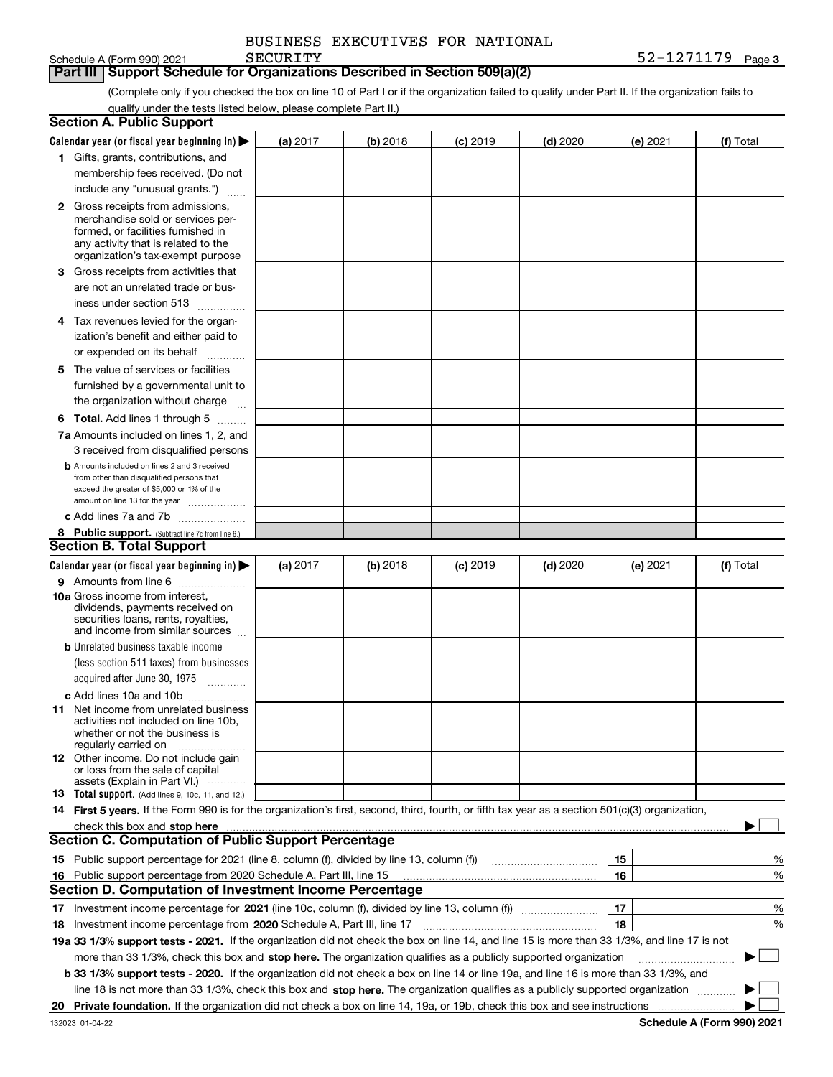| BUSINESS EXECUTIVES FOR NATIONAL |  |
|----------------------------------|--|
|                                  |  |

## **Part III Support Schedule for Organizations Described in Section 509(a)(2)**

(Complete only if you checked the box on line 10 of Part I or if the organization failed to qualify under Part II. If the organization fails to qualify under the tests listed below, please complete Part II.)

|    | <b>Section A. Public Support</b>                                                                                                                                                                                                                                                             |            |          |            |            |          |           |        |
|----|----------------------------------------------------------------------------------------------------------------------------------------------------------------------------------------------------------------------------------------------------------------------------------------------|------------|----------|------------|------------|----------|-----------|--------|
|    | Calendar year (or fiscal year beginning in) $\blacktriangleright$                                                                                                                                                                                                                            | (a) 2017   | (b) 2018 | $(c)$ 2019 | $(d)$ 2020 | (e) 2021 | (f) Total |        |
|    | 1 Gifts, grants, contributions, and                                                                                                                                                                                                                                                          |            |          |            |            |          |           |        |
|    | membership fees received. (Do not                                                                                                                                                                                                                                                            |            |          |            |            |          |           |        |
|    | include any "unusual grants.")                                                                                                                                                                                                                                                               |            |          |            |            |          |           |        |
|    | <b>2</b> Gross receipts from admissions,                                                                                                                                                                                                                                                     |            |          |            |            |          |           |        |
|    | merchandise sold or services per-                                                                                                                                                                                                                                                            |            |          |            |            |          |           |        |
|    | formed, or facilities furnished in                                                                                                                                                                                                                                                           |            |          |            |            |          |           |        |
|    | any activity that is related to the<br>organization's tax-exempt purpose                                                                                                                                                                                                                     |            |          |            |            |          |           |        |
|    | 3 Gross receipts from activities that                                                                                                                                                                                                                                                        |            |          |            |            |          |           |        |
|    | are not an unrelated trade or bus-                                                                                                                                                                                                                                                           |            |          |            |            |          |           |        |
|    | iness under section 513                                                                                                                                                                                                                                                                      |            |          |            |            |          |           |        |
|    | 4 Tax revenues levied for the organ-                                                                                                                                                                                                                                                         |            |          |            |            |          |           |        |
|    | ization's benefit and either paid to                                                                                                                                                                                                                                                         |            |          |            |            |          |           |        |
|    | or expended on its behalf                                                                                                                                                                                                                                                                    |            |          |            |            |          |           |        |
|    | .                                                                                                                                                                                                                                                                                            |            |          |            |            |          |           |        |
|    | 5 The value of services or facilities                                                                                                                                                                                                                                                        |            |          |            |            |          |           |        |
|    | furnished by a governmental unit to                                                                                                                                                                                                                                                          |            |          |            |            |          |           |        |
|    | the organization without charge                                                                                                                                                                                                                                                              |            |          |            |            |          |           |        |
|    | <b>6 Total.</b> Add lines 1 through 5                                                                                                                                                                                                                                                        |            |          |            |            |          |           |        |
|    | 7a Amounts included on lines 1, 2, and                                                                                                                                                                                                                                                       |            |          |            |            |          |           |        |
|    | 3 received from disqualified persons                                                                                                                                                                                                                                                         |            |          |            |            |          |           |        |
|    | <b>b</b> Amounts included on lines 2 and 3 received<br>from other than disqualified persons that                                                                                                                                                                                             |            |          |            |            |          |           |        |
|    | exceed the greater of \$5,000 or 1% of the                                                                                                                                                                                                                                                   |            |          |            |            |          |           |        |
|    | amount on line 13 for the year                                                                                                                                                                                                                                                               |            |          |            |            |          |           |        |
|    | c Add lines 7a and 7b                                                                                                                                                                                                                                                                        |            |          |            |            |          |           |        |
|    | 8 Public support. (Subtract line 7c from line 6.)                                                                                                                                                                                                                                            |            |          |            |            |          |           |        |
|    | <b>Section B. Total Support</b>                                                                                                                                                                                                                                                              |            |          |            |            |          |           |        |
|    | Calendar year (or fiscal year beginning in)                                                                                                                                                                                                                                                  | (a) $2017$ | (b) 2018 | $(c)$ 2019 | $(d)$ 2020 | (e) 2021 | (f) Total |        |
|    | 9 Amounts from line 6                                                                                                                                                                                                                                                                        |            |          |            |            |          |           |        |
|    | <b>10a</b> Gross income from interest,                                                                                                                                                                                                                                                       |            |          |            |            |          |           |        |
|    | dividends, payments received on<br>securities loans, rents, royalties,                                                                                                                                                                                                                       |            |          |            |            |          |           |        |
|    | and income from similar sources                                                                                                                                                                                                                                                              |            |          |            |            |          |           |        |
|    | <b>b</b> Unrelated business taxable income                                                                                                                                                                                                                                                   |            |          |            |            |          |           |        |
|    | (less section 511 taxes) from businesses                                                                                                                                                                                                                                                     |            |          |            |            |          |           |        |
|    | acquired after June 30, 1975 [10001]                                                                                                                                                                                                                                                         |            |          |            |            |          |           |        |
|    | c Add lines 10a and 10b                                                                                                                                                                                                                                                                      |            |          |            |            |          |           |        |
|    | 11 Net income from unrelated business                                                                                                                                                                                                                                                        |            |          |            |            |          |           |        |
|    | activities not included on line 10b,                                                                                                                                                                                                                                                         |            |          |            |            |          |           |        |
|    | whether or not the business is<br>regularly carried on                                                                                                                                                                                                                                       |            |          |            |            |          |           |        |
|    | <b>12</b> Other income. Do not include gain                                                                                                                                                                                                                                                  |            |          |            |            |          |           |        |
|    | or loss from the sale of capital                                                                                                                                                                                                                                                             |            |          |            |            |          |           |        |
|    | assets (Explain in Part VI.)                                                                                                                                                                                                                                                                 |            |          |            |            |          |           |        |
|    | <b>13</b> Total support. (Add lines 9, 10c, 11, and 12.)<br>14 First 5 years. If the Form 990 is for the organization's first, second, third, fourth, or fifth tax year as a section 501(c)(3) organization,                                                                                 |            |          |            |            |          |           |        |
|    |                                                                                                                                                                                                                                                                                              |            |          |            |            |          |           |        |
|    | check this box and stop here measured and contained a state of the state of the state of the state of the state of the state of the state of the state of the state of the state of the state of the state of the state of the<br><b>Section C. Computation of Public Support Percentage</b> |            |          |            |            |          |           |        |
|    | 15 Public support percentage for 2021 (line 8, column (f), divided by line 13, column (f))                                                                                                                                                                                                   |            |          |            |            | 15       |           |        |
|    |                                                                                                                                                                                                                                                                                              |            |          |            |            | 16       |           | %      |
|    | 16 Public support percentage from 2020 Schedule A, Part III, line 15<br><b>Section D. Computation of Investment Income Percentage</b>                                                                                                                                                        |            |          |            |            |          |           | %      |
|    |                                                                                                                                                                                                                                                                                              |            |          |            |            |          |           |        |
|    | 17 Investment income percentage for 2021 (line 10c, column (f), divided by line 13, column (f))                                                                                                                                                                                              |            |          |            |            | 17       |           | %      |
|    | <b>18</b> Investment income percentage from <b>2020</b> Schedule A, Part III, line 17                                                                                                                                                                                                        |            |          |            |            | 18       |           | %      |
|    | 19a 33 1/3% support tests - 2021. If the organization did not check the box on line 14, and line 15 is more than 33 1/3%, and line 17 is not                                                                                                                                                 |            |          |            |            |          |           |        |
|    | more than 33 1/3%, check this box and stop here. The organization qualifies as a publicly supported organization                                                                                                                                                                             |            |          |            |            |          | ▶         | $\sim$ |
|    | b 33 1/3% support tests - 2020. If the organization did not check a box on line 14 or line 19a, and line 16 is more than 33 1/3%, and                                                                                                                                                        |            |          |            |            |          |           |        |
|    | line 18 is not more than 33 1/3%, check this box and stop here. The organization qualifies as a publicly supported organization                                                                                                                                                              |            |          |            |            |          |           |        |
| 20 |                                                                                                                                                                                                                                                                                              |            |          |            |            |          |           |        |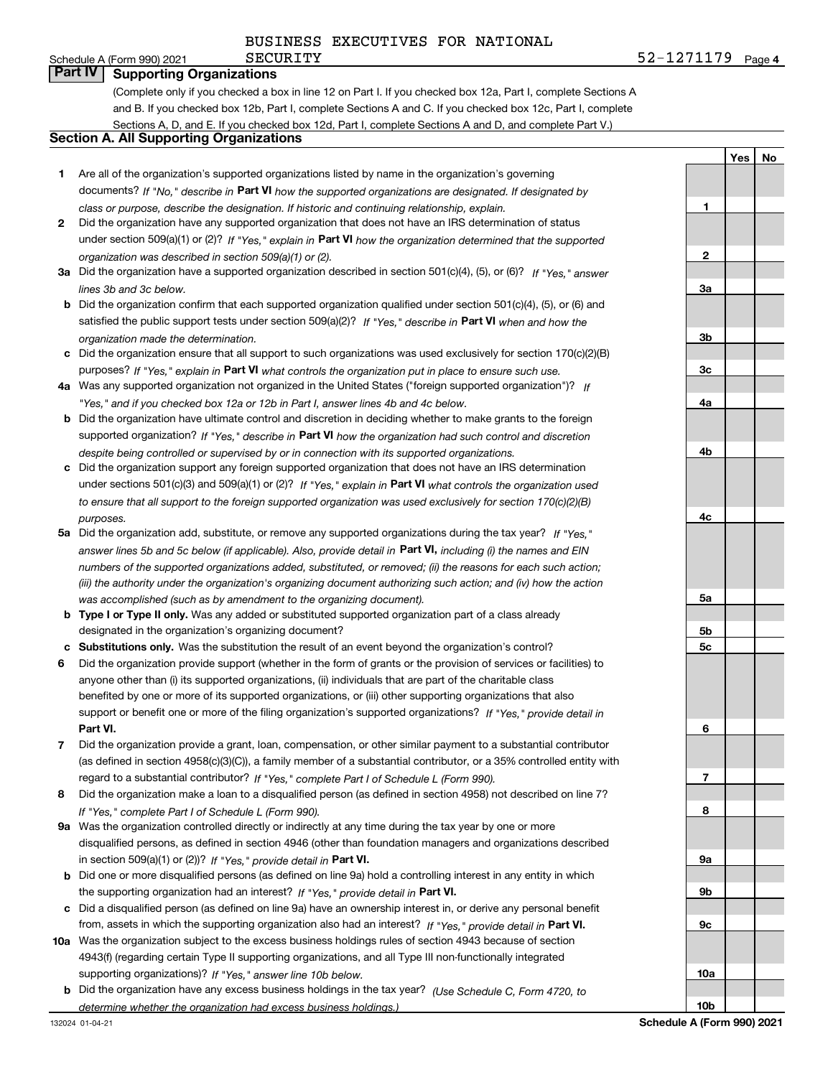**Yes**

**No**

# **Part IV Supporting Organizations**

(Complete only if you checked a box in line 12 on Part I. If you checked box 12a, Part I, complete Sections A and B. If you checked box 12b, Part I, complete Sections A and C. If you checked box 12c, Part I, complete Sections A, D, and E. If you checked box 12d, Part I, complete Sections A and D, and complete Part V.)

## **Section A. All Supporting Organizations**

- **1** Are all of the organization's supported organizations listed by name in the organization's governing documents? If "No," describe in **Part VI** how the supported organizations are designated. If designated by *class or purpose, describe the designation. If historic and continuing relationship, explain.*
- **2** Did the organization have any supported organization that does not have an IRS determination of status under section 509(a)(1) or (2)? If "Yes," explain in Part VI how the organization determined that the supported *organization was described in section 509(a)(1) or (2).*
- **3a** Did the organization have a supported organization described in section 501(c)(4), (5), or (6)? If "Yes," answer *lines 3b and 3c below.*
- **b** Did the organization confirm that each supported organization qualified under section 501(c)(4), (5), or (6) and satisfied the public support tests under section 509(a)(2)? If "Yes," describe in **Part VI** when and how the *organization made the determination.*
- **c**Did the organization ensure that all support to such organizations was used exclusively for section 170(c)(2)(B) purposes? If "Yes," explain in **Part VI** what controls the organization put in place to ensure such use.
- **4a***If* Was any supported organization not organized in the United States ("foreign supported organization")? *"Yes," and if you checked box 12a or 12b in Part I, answer lines 4b and 4c below.*
- **b** Did the organization have ultimate control and discretion in deciding whether to make grants to the foreign supported organization? If "Yes," describe in **Part VI** how the organization had such control and discretion *despite being controlled or supervised by or in connection with its supported organizations.*
- **c** Did the organization support any foreign supported organization that does not have an IRS determination under sections 501(c)(3) and 509(a)(1) or (2)? If "Yes," explain in **Part VI** what controls the organization used *to ensure that all support to the foreign supported organization was used exclusively for section 170(c)(2)(B) purposes.*
- **5a***If "Yes,"* Did the organization add, substitute, or remove any supported organizations during the tax year? answer lines 5b and 5c below (if applicable). Also, provide detail in **Part VI,** including (i) the names and EIN *numbers of the supported organizations added, substituted, or removed; (ii) the reasons for each such action; (iii) the authority under the organization's organizing document authorizing such action; and (iv) how the action was accomplished (such as by amendment to the organizing document).*
- **b** Type I or Type II only. Was any added or substituted supported organization part of a class already designated in the organization's organizing document?
- **cSubstitutions only.**  Was the substitution the result of an event beyond the organization's control?
- **6** Did the organization provide support (whether in the form of grants or the provision of services or facilities) to **Part VI.** *If "Yes," provide detail in* support or benefit one or more of the filing organization's supported organizations? anyone other than (i) its supported organizations, (ii) individuals that are part of the charitable class benefited by one or more of its supported organizations, or (iii) other supporting organizations that also
- **7**Did the organization provide a grant, loan, compensation, or other similar payment to a substantial contributor *If "Yes," complete Part I of Schedule L (Form 990).* regard to a substantial contributor? (as defined in section 4958(c)(3)(C)), a family member of a substantial contributor, or a 35% controlled entity with
- **8** Did the organization make a loan to a disqualified person (as defined in section 4958) not described on line 7? *If "Yes," complete Part I of Schedule L (Form 990).*
- **9a** Was the organization controlled directly or indirectly at any time during the tax year by one or more in section 509(a)(1) or (2))? If "Yes," *provide detail in* <code>Part VI.</code> disqualified persons, as defined in section 4946 (other than foundation managers and organizations described
- **b** Did one or more disqualified persons (as defined on line 9a) hold a controlling interest in any entity in which the supporting organization had an interest? If "Yes," provide detail in P**art VI**.
- **c**Did a disqualified person (as defined on line 9a) have an ownership interest in, or derive any personal benefit from, assets in which the supporting organization also had an interest? If "Yes," provide detail in P**art VI.**
- **10a** Was the organization subject to the excess business holdings rules of section 4943 because of section supporting organizations)? If "Yes," answer line 10b below. 4943(f) (regarding certain Type II supporting organizations, and all Type III non-functionally integrated
- **b** Did the organization have any excess business holdings in the tax year? (Use Schedule C, Form 4720, to *determine whether the organization had excess business holdings.)*

**123a3b3c4a4b4c5a5b5c6789a 9b9c10a**

Schedule A (Form 990) 2021  $\texttt{SECURITY}$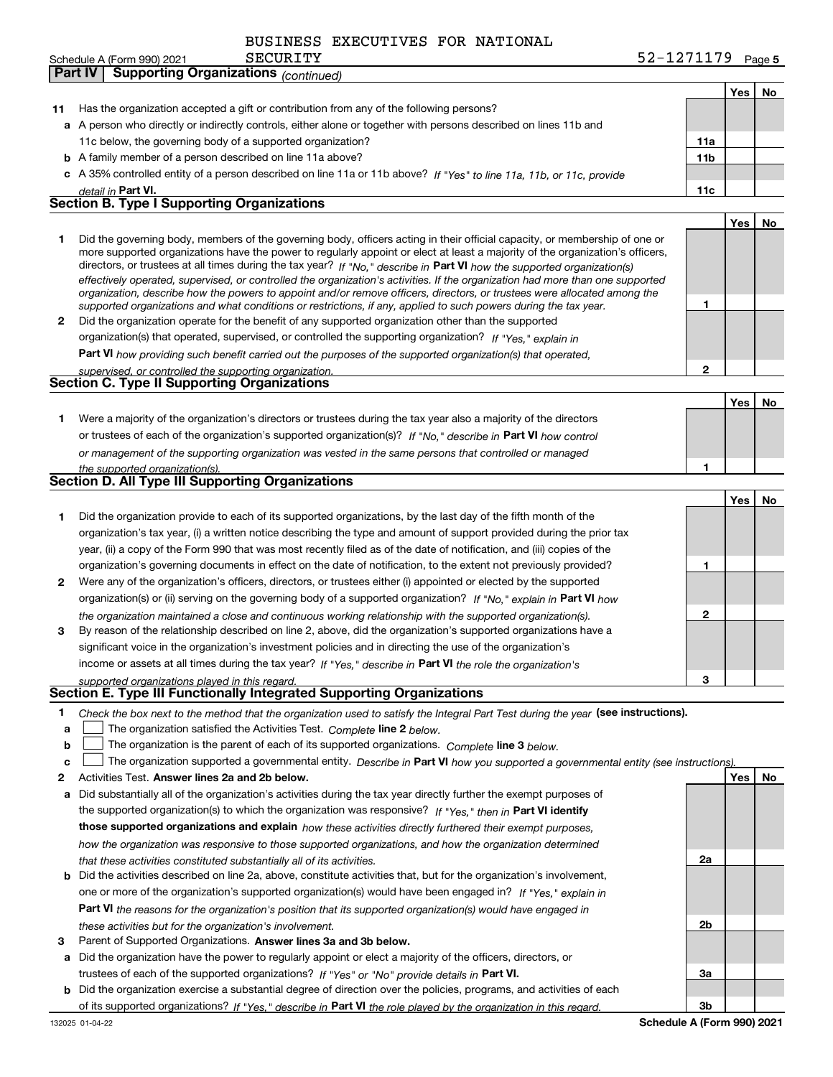|    | <b>Part IV   Supporting Organizations (continued)</b>                                                                                                                                                                                                       |                 |     |    |
|----|-------------------------------------------------------------------------------------------------------------------------------------------------------------------------------------------------------------------------------------------------------------|-----------------|-----|----|
|    |                                                                                                                                                                                                                                                             |                 | Yes | No |
| 11 | Has the organization accepted a gift or contribution from any of the following persons?                                                                                                                                                                     |                 |     |    |
|    | a A person who directly or indirectly controls, either alone or together with persons described on lines 11b and                                                                                                                                            |                 |     |    |
|    | 11c below, the governing body of a supported organization?                                                                                                                                                                                                  | 11a             |     |    |
|    | <b>b</b> A family member of a person described on line 11a above?                                                                                                                                                                                           | 11 <sub>b</sub> |     |    |
|    | c A 35% controlled entity of a person described on line 11a or 11b above? If "Yes" to line 11a, 11b, or 11c, provide                                                                                                                                        |                 |     |    |
|    | detail in Part VI.                                                                                                                                                                                                                                          | 11c             |     |    |
|    | <b>Section B. Type I Supporting Organizations</b>                                                                                                                                                                                                           |                 |     |    |
|    |                                                                                                                                                                                                                                                             |                 | Yes | No |
| 1  | Did the governing body, members of the governing body, officers acting in their official capacity, or membership of one or<br>more supported organizations have the power to regularly appoint or elect at least a majority of the organization's officers, |                 |     |    |
|    | directors, or trustees at all times during the tax year? If "No," describe in Part VI how the supported organization(s)                                                                                                                                     |                 |     |    |
|    | effectively operated, supervised, or controlled the organization's activities. If the organization had more than one supported<br>organization, describe how the powers to appoint and/or remove officers, directors, or trustees were allocated among the  |                 |     |    |
|    | supported organizations and what conditions or restrictions, if any, applied to such powers during the tax year.                                                                                                                                            | 1               |     |    |
| 2  | Did the organization operate for the benefit of any supported organization other than the supported                                                                                                                                                         |                 |     |    |
|    | organization(s) that operated, supervised, or controlled the supporting organization? If "Yes," explain in                                                                                                                                                  |                 |     |    |
|    | Part VI how providing such benefit carried out the purposes of the supported organization(s) that operated,                                                                                                                                                 |                 |     |    |
|    | supervised, or controlled the supporting organization.                                                                                                                                                                                                      | $\mathbf{2}$    |     |    |
|    | Section C. Type II Supporting Organizations                                                                                                                                                                                                                 |                 |     |    |
|    |                                                                                                                                                                                                                                                             |                 | Yes | No |
| 1. | Were a majority of the organization's directors or trustees during the tax year also a majority of the directors                                                                                                                                            |                 |     |    |
|    | or trustees of each of the organization's supported organization(s)? If "No," describe in Part VI how control                                                                                                                                               |                 |     |    |
|    | or management of the supporting organization was vested in the same persons that controlled or managed                                                                                                                                                      |                 |     |    |
|    | the supported organization(s).                                                                                                                                                                                                                              | 1               |     |    |
|    | Section D. All Type III Supporting Organizations                                                                                                                                                                                                            |                 |     |    |
|    |                                                                                                                                                                                                                                                             |                 | Yes | No |
| 1  | Did the organization provide to each of its supported organizations, by the last day of the fifth month of the                                                                                                                                              |                 |     |    |
|    | organization's tax year, (i) a written notice describing the type and amount of support provided during the prior tax                                                                                                                                       |                 |     |    |
|    | year, (ii) a copy of the Form 990 that was most recently filed as of the date of notification, and (iii) copies of the                                                                                                                                      |                 |     |    |
|    | organization's governing documents in effect on the date of notification, to the extent not previously provided?                                                                                                                                            | 1               |     |    |
| 2  | Were any of the organization's officers, directors, or trustees either (i) appointed or elected by the supported                                                                                                                                            |                 |     |    |
|    | organization(s) or (ii) serving on the governing body of a supported organization? If "No," explain in Part VI how                                                                                                                                          |                 |     |    |
|    | the organization maintained a close and continuous working relationship with the supported organization(s).                                                                                                                                                 | $\mathbf{2}$    |     |    |
| 3  | By reason of the relationship described on line 2, above, did the organization's supported organizations have a                                                                                                                                             |                 |     |    |
|    | significant voice in the organization's investment policies and in directing the use of the organization's                                                                                                                                                  |                 |     |    |
|    | income or assets at all times during the tax year? If "Yes," describe in Part VI the role the organization's                                                                                                                                                |                 |     |    |
|    | supported organizations played in this regard.                                                                                                                                                                                                              |                 |     |    |
|    | Section E. Type III Functionally Integrated Supporting Organizations                                                                                                                                                                                        |                 |     |    |
| 1  | Check the box next to the method that the organization used to satisfy the Integral Part Test during the year (see instructions).                                                                                                                           |                 |     |    |
| a  | The organization satisfied the Activities Test. Complete line 2 below.                                                                                                                                                                                      |                 |     |    |
| b  | The organization is the parent of each of its supported organizations. Complete line 3 below.                                                                                                                                                               |                 |     |    |
| c  | The organization supported a governmental entity. Describe in Part VI how you supported a governmental entity (see instructions).                                                                                                                           |                 |     |    |
| 2  | Activities Test. Answer lines 2a and 2b below.                                                                                                                                                                                                              |                 | Yes | No |
| a  | Did substantially all of the organization's activities during the tax year directly further the exempt purposes of                                                                                                                                          |                 |     |    |
|    | the supported organization(s) to which the organization was responsive? If "Yes," then in Part VI identify                                                                                                                                                  |                 |     |    |
|    | those supported organizations and explain how these activities directly furthered their exempt purposes,                                                                                                                                                    |                 |     |    |
|    | how the organization was responsive to those supported organizations, and how the organization determined                                                                                                                                                   |                 |     |    |
|    | that these activities constituted substantially all of its activities.                                                                                                                                                                                      | 2a              |     |    |
| b  | Did the activities described on line 2a, above, constitute activities that, but for the organization's involvement,                                                                                                                                         |                 |     |    |
|    | one or more of the organization's supported organization(s) would have been engaged in? If "Yes," explain in                                                                                                                                                |                 |     |    |
|    | Part VI the reasons for the organization's position that its supported organization(s) would have engaged in                                                                                                                                                |                 |     |    |
|    | these activities but for the organization's involvement.                                                                                                                                                                                                    | 2b              |     |    |
| з  | Parent of Supported Organizations. Answer lines 3a and 3b below.                                                                                                                                                                                            |                 |     |    |
| а  | Did the organization have the power to regularly appoint or elect a majority of the officers, directors, or                                                                                                                                                 |                 |     |    |
|    | trustees of each of the supported organizations? If "Yes" or "No" provide details in Part VI.                                                                                                                                                               | 3a              |     |    |

**b** Did the organization exercise a substantial degree of direction over the policies, programs, and activities of each trustees of each of the supported organizations? If "Yes" or "No" provide details in P**art VI.** of its supported organizations? If "Yes," describe in Part VI the role played by the organization in this regard.

**Schedule A (Form 990) 2021**

**3b**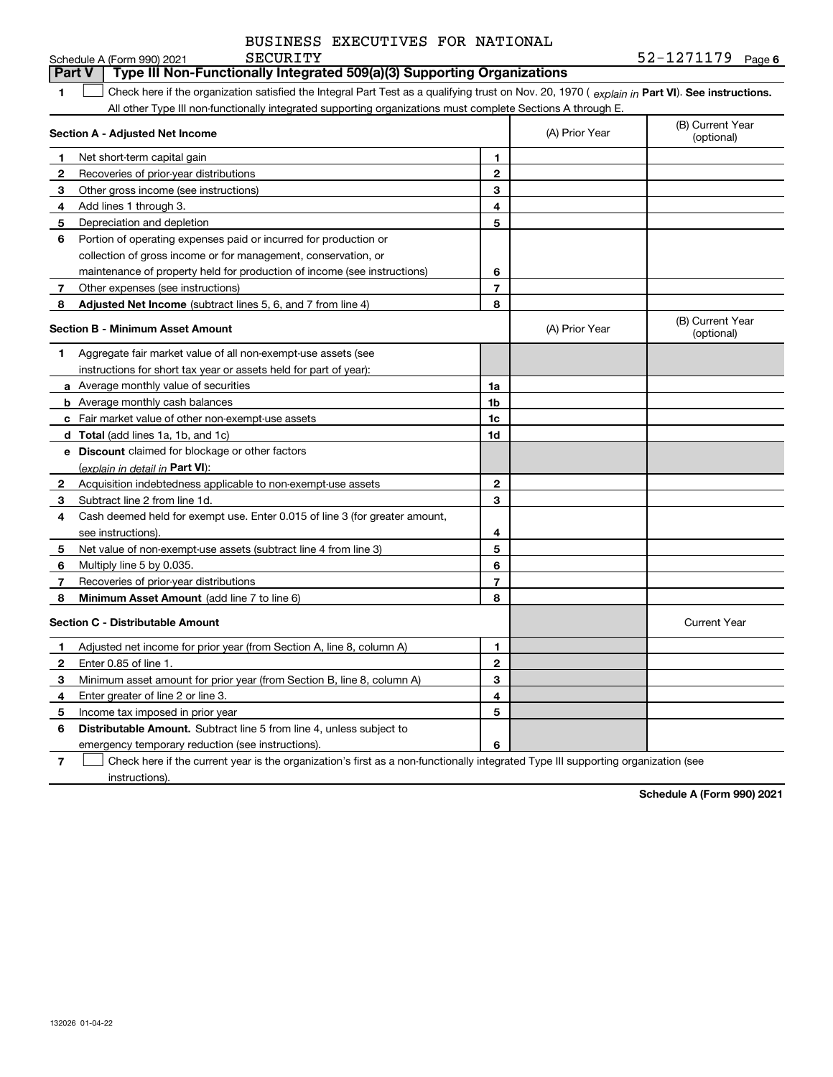|                                                                                                                                                     | SECURITY<br>Schedule A (Form 990) 2021                                                                      |                |                | $52 - 1271179$ Page 6          |  |  |  |  |  |
|-----------------------------------------------------------------------------------------------------------------------------------------------------|-------------------------------------------------------------------------------------------------------------|----------------|----------------|--------------------------------|--|--|--|--|--|
|                                                                                                                                                     | Type III Non-Functionally Integrated 509(a)(3) Supporting Organizations<br><b>Part V</b>                    |                |                |                                |  |  |  |  |  |
| Check here if the organization satisfied the Integral Part Test as a qualifying trust on Nov. 20, 1970 (explain in Part VI). See instructions.<br>1 |                                                                                                             |                |                |                                |  |  |  |  |  |
|                                                                                                                                                     | All other Type III non-functionally integrated supporting organizations must complete Sections A through E. |                |                |                                |  |  |  |  |  |
|                                                                                                                                                     | Section A - Adjusted Net Income                                                                             |                | (A) Prior Year | (B) Current Year<br>(optional) |  |  |  |  |  |
| 1                                                                                                                                                   | Net short-term capital gain                                                                                 | 1              |                |                                |  |  |  |  |  |
| $\mathbf 2$                                                                                                                                         | Recoveries of prior-year distributions                                                                      | $\bf 2$        |                |                                |  |  |  |  |  |
| 3                                                                                                                                                   | Other gross income (see instructions)                                                                       | 3              |                |                                |  |  |  |  |  |
| 4                                                                                                                                                   | Add lines 1 through 3.                                                                                      | 4              |                |                                |  |  |  |  |  |
| 5                                                                                                                                                   | Depreciation and depletion                                                                                  | 5              |                |                                |  |  |  |  |  |
| 6                                                                                                                                                   | Portion of operating expenses paid or incurred for production or                                            |                |                |                                |  |  |  |  |  |
|                                                                                                                                                     | collection of gross income or for management, conservation, or                                              |                |                |                                |  |  |  |  |  |
|                                                                                                                                                     | maintenance of property held for production of income (see instructions)                                    | 6              |                |                                |  |  |  |  |  |
| 7                                                                                                                                                   | Other expenses (see instructions)                                                                           | $\overline{7}$ |                |                                |  |  |  |  |  |
| 8                                                                                                                                                   | <b>Adjusted Net Income</b> (subtract lines 5, 6, and 7 from line 4)                                         | 8              |                |                                |  |  |  |  |  |
|                                                                                                                                                     | Section B - Minimum Asset Amount                                                                            |                | (A) Prior Year | (B) Current Year<br>(optional) |  |  |  |  |  |
| 1                                                                                                                                                   | Aggregate fair market value of all non-exempt-use assets (see                                               |                |                |                                |  |  |  |  |  |
|                                                                                                                                                     | instructions for short tax year or assets held for part of year):                                           |                |                |                                |  |  |  |  |  |
|                                                                                                                                                     | <b>a</b> Average monthly value of securities                                                                | 1a             |                |                                |  |  |  |  |  |
|                                                                                                                                                     | <b>b</b> Average monthly cash balances                                                                      | 1 <sub>b</sub> |                |                                |  |  |  |  |  |
|                                                                                                                                                     | c Fair market value of other non-exempt-use assets                                                          | 1c             |                |                                |  |  |  |  |  |
|                                                                                                                                                     | d Total (add lines 1a, 1b, and 1c)                                                                          | 1d             |                |                                |  |  |  |  |  |
|                                                                                                                                                     | e Discount claimed for blockage or other factors                                                            |                |                |                                |  |  |  |  |  |
|                                                                                                                                                     | (explain in detail in <b>Part VI</b> ):                                                                     |                |                |                                |  |  |  |  |  |
| 2                                                                                                                                                   | Acquisition indebtedness applicable to non-exempt-use assets                                                | $\mathbf{2}$   |                |                                |  |  |  |  |  |
| 3                                                                                                                                                   | Subtract line 2 from line 1d.                                                                               | 3              |                |                                |  |  |  |  |  |
| 4                                                                                                                                                   | Cash deemed held for exempt use. Enter 0.015 of line 3 (for greater amount,                                 |                |                |                                |  |  |  |  |  |
|                                                                                                                                                     | see instructions).                                                                                          | 4              |                |                                |  |  |  |  |  |
| 5                                                                                                                                                   | Net value of non-exempt-use assets (subtract line 4 from line 3)                                            | 5              |                |                                |  |  |  |  |  |
| 6                                                                                                                                                   | Multiply line 5 by 0.035.                                                                                   | 6              |                |                                |  |  |  |  |  |
| 7                                                                                                                                                   | Recoveries of prior-year distributions                                                                      | $\overline{7}$ |                |                                |  |  |  |  |  |
| 8                                                                                                                                                   | Minimum Asset Amount (add line 7 to line 6)                                                                 | 8              |                |                                |  |  |  |  |  |
|                                                                                                                                                     | <b>Section C - Distributable Amount</b>                                                                     |                |                | <b>Current Year</b>            |  |  |  |  |  |
| 1                                                                                                                                                   | Adjusted net income for prior year (from Section A, line 8, column A)                                       | 1              |                |                                |  |  |  |  |  |
| $\mathbf{2}$                                                                                                                                        | Enter 0.85 of line 1.                                                                                       | $\mathbf{2}$   |                |                                |  |  |  |  |  |
| 3                                                                                                                                                   | Minimum asset amount for prior year (from Section B, line 8, column A)                                      | 3              |                |                                |  |  |  |  |  |
| 4                                                                                                                                                   | Enter greater of line 2 or line 3.                                                                          | 4              |                |                                |  |  |  |  |  |
| 5                                                                                                                                                   | Income tax imposed in prior year                                                                            | 5              |                |                                |  |  |  |  |  |
| 6                                                                                                                                                   | <b>Distributable Amount.</b> Subtract line 5 from line 4, unless subject to                                 |                |                |                                |  |  |  |  |  |
|                                                                                                                                                     | emergency temporary reduction (see instructions).                                                           | 6              |                |                                |  |  |  |  |  |

**7** Check here if the current year is the organization's first as a non-functionally integrated Type III supporting organization (see instructions).

**Schedule A (Form 990) 2021**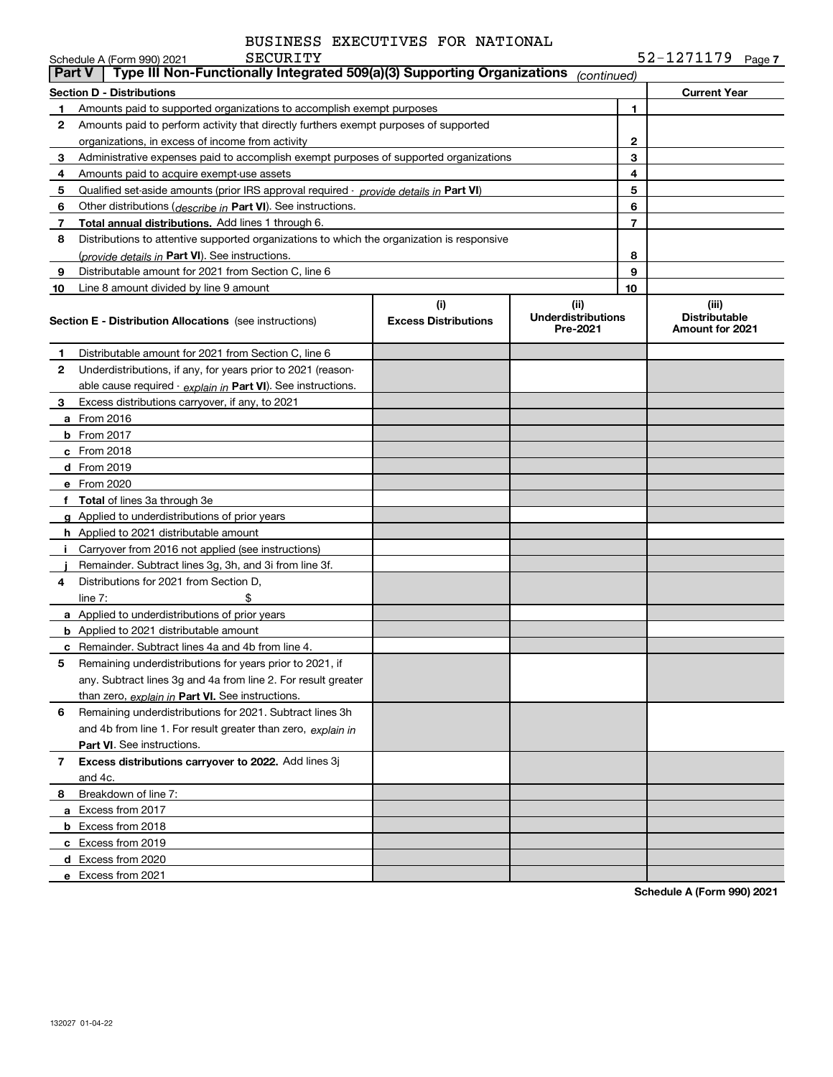|               | SECURITY<br>Schedule A (Form 990) 2021                                                        |                                    |                                               |    | $52 - 1271179$ Page 7                            |
|---------------|-----------------------------------------------------------------------------------------------|------------------------------------|-----------------------------------------------|----|--------------------------------------------------|
| <b>Part V</b> | Type III Non-Functionally Integrated 509(a)(3) Supporting Organizations                       |                                    | (continued)                                   |    |                                                  |
|               | Section D - Distributions                                                                     |                                    |                                               |    | <b>Current Year</b>                              |
| 1.            | Amounts paid to supported organizations to accomplish exempt purposes                         |                                    |                                               | 1  |                                                  |
| 2             | Amounts paid to perform activity that directly furthers exempt purposes of supported          |                                    |                                               |    |                                                  |
|               | organizations, in excess of income from activity                                              |                                    |                                               | 2  |                                                  |
| 3             | Administrative expenses paid to accomplish exempt purposes of supported organizations         |                                    | 3                                             |    |                                                  |
| 4             | Amounts paid to acquire exempt-use assets                                                     |                                    |                                               | 4  |                                                  |
| 5             | Qualified set-aside amounts (prior IRS approval required - <i>provide details in</i> Part VI) |                                    |                                               | 5  |                                                  |
| 6             | Other distributions (describe in Part VI). See instructions.                                  |                                    |                                               | 6  |                                                  |
| 7             | Total annual distributions. Add lines 1 through 6.                                            |                                    |                                               | 7  |                                                  |
| 8             | Distributions to attentive supported organizations to which the organization is responsive    |                                    |                                               |    |                                                  |
|               | ( <i>provide details in</i> Part VI). See instructions.                                       |                                    |                                               | 8  |                                                  |
| 9             | Distributable amount for 2021 from Section C, line 6                                          |                                    |                                               | 9  |                                                  |
| 10            | Line 8 amount divided by line 9 amount                                                        |                                    |                                               | 10 |                                                  |
|               | <b>Section E - Distribution Allocations</b> (see instructions)                                | (i)<br><b>Excess Distributions</b> | (ii)<br><b>Underdistributions</b><br>Pre-2021 |    | (iii)<br><b>Distributable</b><br>Amount for 2021 |
| 1             | Distributable amount for 2021 from Section C, line 6                                          |                                    |                                               |    |                                                  |
| 2             | Underdistributions, if any, for years prior to 2021 (reason-                                  |                                    |                                               |    |                                                  |
|               | able cause required $\cdot$ explain in Part VI). See instructions.                            |                                    |                                               |    |                                                  |
| 3             | Excess distributions carryover, if any, to 2021                                               |                                    |                                               |    |                                                  |
|               | a From 2016                                                                                   |                                    |                                               |    |                                                  |
|               | $b$ From 2017                                                                                 |                                    |                                               |    |                                                  |
|               | $c$ From 2018                                                                                 |                                    |                                               |    |                                                  |
|               | d From 2019                                                                                   |                                    |                                               |    |                                                  |
|               | e From 2020                                                                                   |                                    |                                               |    |                                                  |
|               | f Total of lines 3a through 3e                                                                |                                    |                                               |    |                                                  |
|               | g Applied to underdistributions of prior years                                                |                                    |                                               |    |                                                  |
|               | <b>h</b> Applied to 2021 distributable amount                                                 |                                    |                                               |    |                                                  |
| Ť.            | Carryover from 2016 not applied (see instructions)                                            |                                    |                                               |    |                                                  |
|               | Remainder. Subtract lines 3g, 3h, and 3i from line 3f.                                        |                                    |                                               |    |                                                  |
| 4             | Distributions for 2021 from Section D.                                                        |                                    |                                               |    |                                                  |
|               | \$<br>line $7:$                                                                               |                                    |                                               |    |                                                  |
|               | a Applied to underdistributions of prior years                                                |                                    |                                               |    |                                                  |
|               | <b>b</b> Applied to 2021 distributable amount                                                 |                                    |                                               |    |                                                  |
|               | <b>c</b> Remainder. Subtract lines 4a and 4b from line 4.                                     |                                    |                                               |    |                                                  |
|               | Remaining underdistributions for years prior to 2021, if                                      |                                    |                                               |    |                                                  |
|               | any. Subtract lines 3g and 4a from line 2. For result greater                                 |                                    |                                               |    |                                                  |
|               | than zero, explain in Part VI. See instructions.                                              |                                    |                                               |    |                                                  |
| 6             | Remaining underdistributions for 2021. Subtract lines 3h                                      |                                    |                                               |    |                                                  |
|               | and 4b from line 1. For result greater than zero, explain in                                  |                                    |                                               |    |                                                  |
|               | <b>Part VI.</b> See instructions.                                                             |                                    |                                               |    |                                                  |
| 7             | Excess distributions carryover to 2022. Add lines 3j                                          |                                    |                                               |    |                                                  |
|               | and 4c.                                                                                       |                                    |                                               |    |                                                  |
| 8             | Breakdown of line 7:                                                                          |                                    |                                               |    |                                                  |
|               | a Excess from 2017                                                                            |                                    |                                               |    |                                                  |
|               | <b>b</b> Excess from 2018                                                                     |                                    |                                               |    |                                                  |
|               | c Excess from 2019                                                                            |                                    |                                               |    |                                                  |
|               | d Excess from 2020                                                                            |                                    |                                               |    |                                                  |
|               | e Excess from 2021                                                                            |                                    |                                               |    |                                                  |
|               |                                                                                               |                                    |                                               |    |                                                  |

**Schedule A (Form 990) 2021**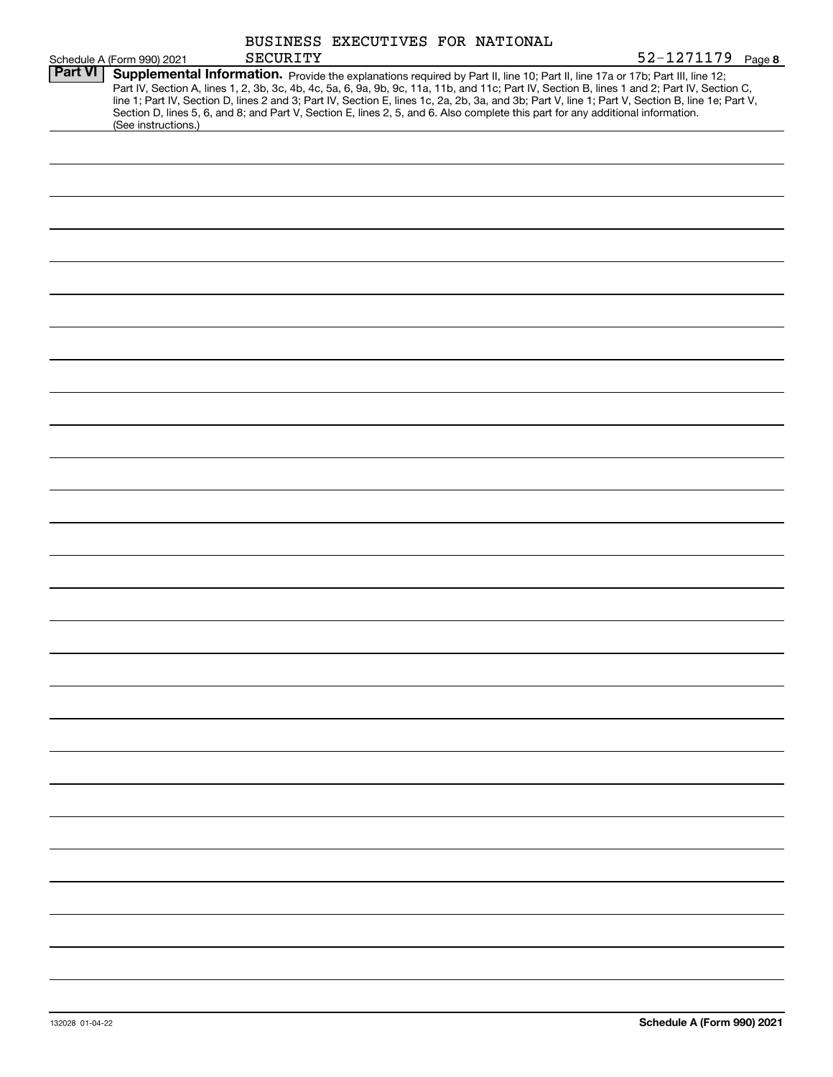|                |                                                   | <b>SECURITY</b> | BUSINESS EXECUTIVES FOR NATIONAL | 52-1271179 Page 8                                                                                                                                                                                                                                                                                                                                                                                                                                                                                                                                                    |
|----------------|---------------------------------------------------|-----------------|----------------------------------|----------------------------------------------------------------------------------------------------------------------------------------------------------------------------------------------------------------------------------------------------------------------------------------------------------------------------------------------------------------------------------------------------------------------------------------------------------------------------------------------------------------------------------------------------------------------|
| <b>Part VI</b> | Schedule A (Form 990) 2021<br>(See instructions.) |                 |                                  | Supplemental Information. Provide the explanations required by Part II, line 10; Part II, line 17a or 17b; Part III, line 12;<br>Part IV, Section A, lines 1, 2, 3b, 3c, 4b, 4c, 5a, 6, 9a, 9b, 9c, 11a, 11b, and 11c; Part IV, Section B, lines 1 and 2; Part IV, Section C,<br>line 1; Part IV, Section D, lines 2 and 3; Part IV, Section E, lines 1c, 2a, 2b, 3a, and 3b; Part V, line 1; Part V, Section B, line 1e; Part V,<br>Section D, lines 5, 6, and 8; and Part V, Section E, lines 2, 5, and 6. Also complete this part for any additional information. |
|                |                                                   |                 |                                  |                                                                                                                                                                                                                                                                                                                                                                                                                                                                                                                                                                      |
|                |                                                   |                 |                                  |                                                                                                                                                                                                                                                                                                                                                                                                                                                                                                                                                                      |
|                |                                                   |                 |                                  |                                                                                                                                                                                                                                                                                                                                                                                                                                                                                                                                                                      |
|                |                                                   |                 |                                  |                                                                                                                                                                                                                                                                                                                                                                                                                                                                                                                                                                      |
|                |                                                   |                 |                                  |                                                                                                                                                                                                                                                                                                                                                                                                                                                                                                                                                                      |
|                |                                                   |                 |                                  |                                                                                                                                                                                                                                                                                                                                                                                                                                                                                                                                                                      |
|                |                                                   |                 |                                  |                                                                                                                                                                                                                                                                                                                                                                                                                                                                                                                                                                      |
|                |                                                   |                 |                                  |                                                                                                                                                                                                                                                                                                                                                                                                                                                                                                                                                                      |
|                |                                                   |                 |                                  |                                                                                                                                                                                                                                                                                                                                                                                                                                                                                                                                                                      |
|                |                                                   |                 |                                  |                                                                                                                                                                                                                                                                                                                                                                                                                                                                                                                                                                      |
|                |                                                   |                 |                                  |                                                                                                                                                                                                                                                                                                                                                                                                                                                                                                                                                                      |
|                |                                                   |                 |                                  |                                                                                                                                                                                                                                                                                                                                                                                                                                                                                                                                                                      |
|                |                                                   |                 |                                  |                                                                                                                                                                                                                                                                                                                                                                                                                                                                                                                                                                      |
|                |                                                   |                 |                                  |                                                                                                                                                                                                                                                                                                                                                                                                                                                                                                                                                                      |
|                |                                                   |                 |                                  |                                                                                                                                                                                                                                                                                                                                                                                                                                                                                                                                                                      |
|                |                                                   |                 |                                  |                                                                                                                                                                                                                                                                                                                                                                                                                                                                                                                                                                      |
|                |                                                   |                 |                                  |                                                                                                                                                                                                                                                                                                                                                                                                                                                                                                                                                                      |
|                |                                                   |                 |                                  |                                                                                                                                                                                                                                                                                                                                                                                                                                                                                                                                                                      |
|                |                                                   |                 |                                  |                                                                                                                                                                                                                                                                                                                                                                                                                                                                                                                                                                      |
|                |                                                   |                 |                                  |                                                                                                                                                                                                                                                                                                                                                                                                                                                                                                                                                                      |
|                |                                                   |                 |                                  |                                                                                                                                                                                                                                                                                                                                                                                                                                                                                                                                                                      |
|                |                                                   |                 |                                  |                                                                                                                                                                                                                                                                                                                                                                                                                                                                                                                                                                      |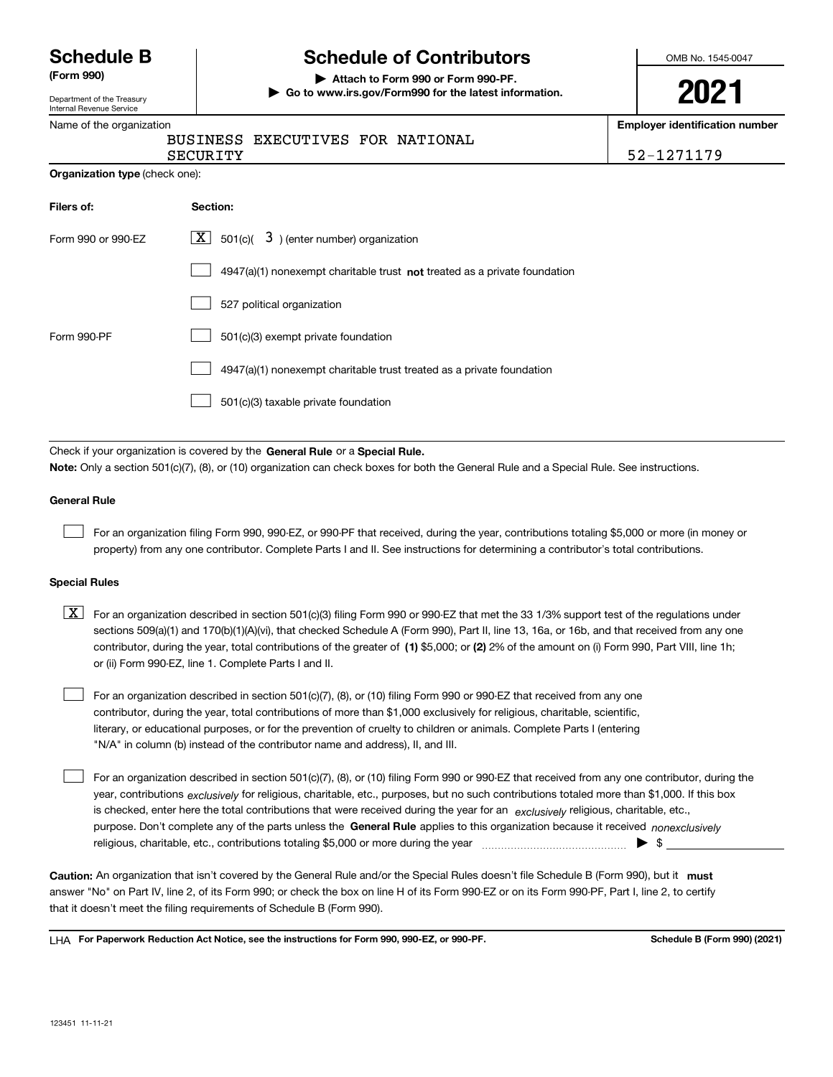| <b>Schedule B</b> |  |
|-------------------|--|
|-------------------|--|

Department of the Treasury Internal Revenue Service

# **Schedule of Contributors**

**(Form 990) | Attach to Form 990 or Form 990-PF. | Go to www.irs.gov/Form990 for the latest information.** OMB No. 1545-0047

**Employer identification number**

Name of the organization

|          | BUSINESS EXECUTIVES FOR NATIONAL |  |            |
|----------|----------------------------------|--|------------|
| SECURITY |                                  |  | 52-1271179 |

| Organization type (check one): |  |  |
|--------------------------------|--|--|
|--------------------------------|--|--|

| Filers of:         | Section:                                                                           |
|--------------------|------------------------------------------------------------------------------------|
| Form 990 or 990-EZ | $\lfloor x \rfloor$ 501(c)( 3) (enter number) organization                         |
|                    | $4947(a)(1)$ nonexempt charitable trust <b>not</b> treated as a private foundation |
|                    | 527 political organization                                                         |
| Form 990-PF        | 501(c)(3) exempt private foundation                                                |
|                    | 4947(a)(1) nonexempt charitable trust treated as a private foundation              |
|                    | 501(c)(3) taxable private foundation                                               |

Check if your organization is covered by the **General Rule** or a **Special Rule. Note:**  Only a section 501(c)(7), (8), or (10) organization can check boxes for both the General Rule and a Special Rule. See instructions.

## **General Rule**

 $\mathcal{L}^{\text{max}}$ 

For an organization filing Form 990, 990-EZ, or 990-PF that received, during the year, contributions totaling \$5,000 or more (in money or property) from any one contributor. Complete Parts I and II. See instructions for determining a contributor's total contributions.

### **Special Rules**

contributor, during the year, total contributions of the greater of (1**)** \$5,000; or (2) 2% of the amount on (i) Form 990, Part VIII, line 1h;  $\boxed{\textbf{X}}$  For an organization described in section 501(c)(3) filing Form 990 or 990-EZ that met the 33 1/3% support test of the regulations under sections 509(a)(1) and 170(b)(1)(A)(vi), that checked Schedule A (Form 990), Part II, line 13, 16a, or 16b, and that received from any one or (ii) Form 990-EZ, line 1. Complete Parts I and II.

For an organization described in section 501(c)(7), (8), or (10) filing Form 990 or 990-EZ that received from any one contributor, during the year, total contributions of more than \$1,000 exclusively for religious, charitable, scientific, literary, or educational purposes, or for the prevention of cruelty to children or animals. Complete Parts I (entering "N/A" in column (b) instead of the contributor name and address), II, and III.

purpose. Don't complete any of the parts unless the **General Rule** applies to this organization because it received *nonexclusively* year, contributions <sub>exclusively</sub> for religious, charitable, etc., purposes, but no such contributions totaled more than \$1,000. If this box is checked, enter here the total contributions that were received during the year for an  $\;$ exclusively religious, charitable, etc., For an organization described in section 501(c)(7), (8), or (10) filing Form 990 or 990-EZ that received from any one contributor, during the religious, charitable, etc., contributions totaling \$5,000 or more during the year  $\Box$ — $\Box$   $\Box$  $\mathcal{L}^{\text{max}}$ 

Caution: An organization that isn't covered by the General Rule and/or the Special Rules doesn't file Schedule B (Form 990), but it **must** answer "No" on Part IV, line 2, of its Form 990; or check the box on line H of its Form 990-EZ or on its Form 990-PF, Part I, line 2, to certify that it doesn't meet the filing requirements of Schedule B (Form 990).

LHA For Paperwork Reduction Act Notice, see the instructions for Form 990, 990-EZ, or 990-PF. **In the act and Schedule B** (Form 990) (2021)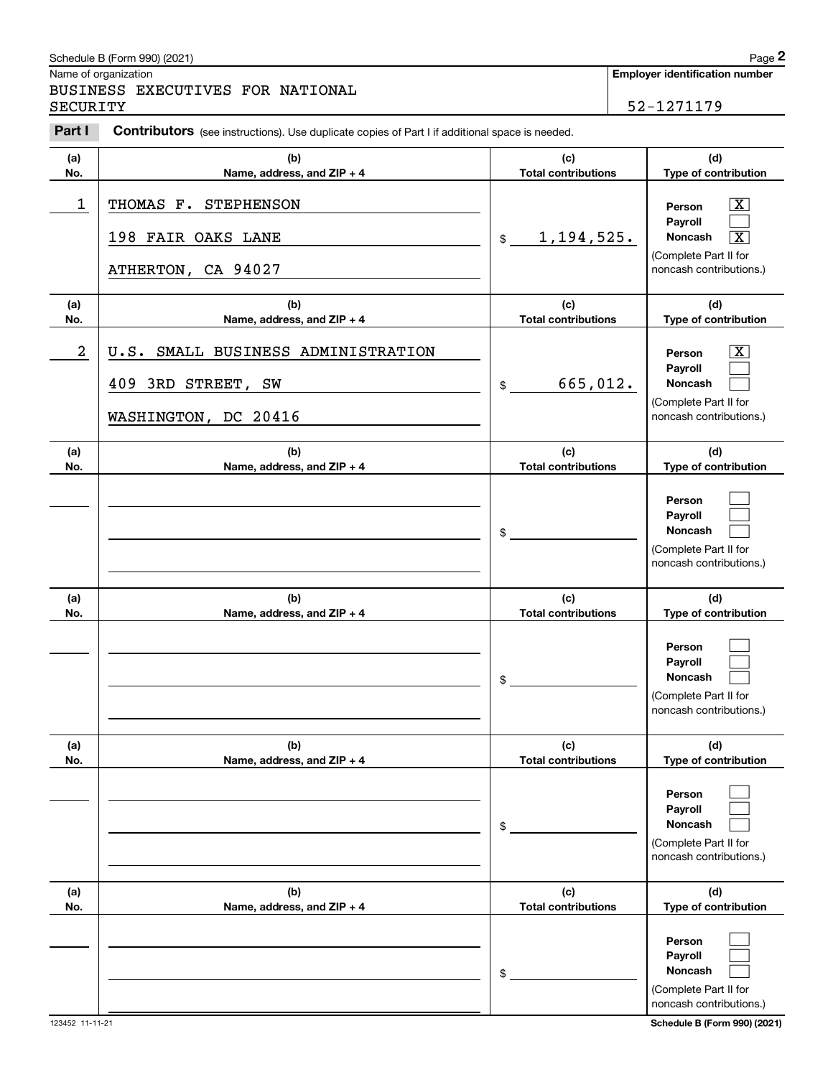|                | Schedule B (Form 990) (2021)                                                                   |                                   |                            | Page 2                                                                           |  |
|----------------|------------------------------------------------------------------------------------------------|-----------------------------------|----------------------------|----------------------------------------------------------------------------------|--|
|                | Name of organization<br>BUSINESS EXECUTIVES FOR NATIONAL                                       |                                   |                            | <b>Employer identification number</b>                                            |  |
| SECURITY       |                                                                                                |                                   |                            | 52-1271179                                                                       |  |
| Part I         | Contributors (see instructions). Use duplicate copies of Part I if additional space is needed. |                                   |                            |                                                                                  |  |
| (a)<br>No.     | (b)<br>Name, address, and ZIP + 4                                                              | (c)<br><b>Total contributions</b> |                            | (d)<br>Type of contribution                                                      |  |
| 1              | THOMAS F. STEPHENSON                                                                           |                                   |                            | $\boxed{\text{X}}$<br>Person<br>Payroll                                          |  |
|                | 198 FAIR OAKS LANE                                                                             | 1,194,525.<br>\$                  |                            | <b>Noncash</b><br>$\overline{\mathbf{X}}$<br>(Complete Part II for               |  |
|                | ATHERTON, CA 94027                                                                             |                                   |                            | noncash contributions.)                                                          |  |
| (a)<br>No.     | (b)<br>Name, address, and ZIP + 4                                                              | (c)<br><b>Total contributions</b> |                            | (d)<br>Type of contribution                                                      |  |
| $\overline{a}$ | SMALL BUSINESS ADMINISTRATION<br>U.S.                                                          |                                   |                            | $\mathbf{X}$<br>Person<br>Payroll                                                |  |
|                | 409 3RD STREET, SW                                                                             | 665,012.<br>\$                    |                            | Noncash<br>(Complete Part II for                                                 |  |
|                | WASHINGTON, DC 20416                                                                           |                                   |                            | noncash contributions.)                                                          |  |
| (a)<br>No.     | (b)<br>Name, address, and ZIP + 4                                                              | (c)<br><b>Total contributions</b> |                            | (d)<br>Type of contribution                                                      |  |
|                |                                                                                                | \$                                |                            | Person<br>Payroll<br>Noncash<br>(Complete Part II for<br>noncash contributions.) |  |
| (a)<br>No.     | (b)<br>Name, address, and ZIP + 4                                                              | (c)<br><b>Total contributions</b> |                            | (d)<br>Type of contribution                                                      |  |
|                |                                                                                                | \$                                |                            | Person<br>Payroll<br>Noncash<br>(Complete Part II for<br>noncash contributions.) |  |
| (a)<br>No.     | (b)<br>Name, address, and ZIP + 4                                                              | (c)<br><b>Total contributions</b> |                            | (d)<br>Type of contribution                                                      |  |
|                |                                                                                                | \$                                |                            | Person<br>Payroll<br>Noncash<br>(Complete Part II for<br>noncash contributions.) |  |
| (a)<br>No.     | (b)<br>Name, address, and ZIP + 4                                                              | (c)                               | <b>Total contributions</b> |                                                                                  |  |
|                |                                                                                                | \$                                |                            | Person<br>Payroll<br>Noncash<br>(Complete Part II for<br>noncash contributions.) |  |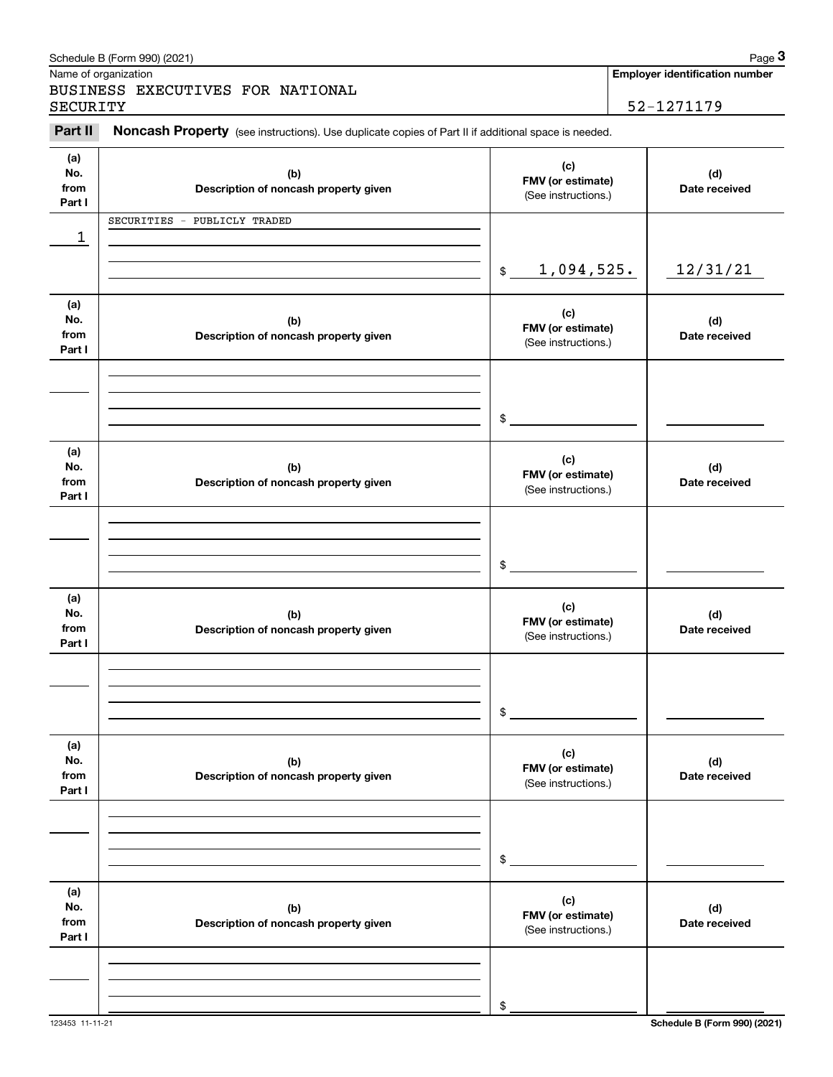|                              | Schedule B (Form 990) (2021)                                                                        |                                                 | Page 3                                              |
|------------------------------|-----------------------------------------------------------------------------------------------------|-------------------------------------------------|-----------------------------------------------------|
| SECURITY                     | Name of organization<br>BUSINESS EXECUTIVES FOR NATIONAL                                            |                                                 | <b>Employer identification number</b><br>52-1271179 |
| Part II                      | Noncash Property (see instructions). Use duplicate copies of Part II if additional space is needed. |                                                 |                                                     |
| (a)<br>No.<br>from<br>Part I | (b)<br>Description of noncash property given                                                        | (c)<br>FMV (or estimate)<br>(See instructions.) | (d)<br>Date received                                |
| 1                            | SECURITIES - PUBLICLY TRADED                                                                        |                                                 |                                                     |
|                              |                                                                                                     | 1,094,525.<br>$\frac{1}{2}$                     | 12/31/21                                            |
| (a)<br>No.<br>from<br>Part I | (b)<br>Description of noncash property given                                                        | (c)<br>FMV (or estimate)<br>(See instructions.) | (d)<br>Date received                                |
|                              |                                                                                                     | \$                                              |                                                     |
| (a)<br>No.<br>from<br>Part I | (b)<br>Description of noncash property given                                                        | (c)<br>FMV (or estimate)<br>(See instructions.) | (d)<br>Date received                                |
|                              |                                                                                                     | \$                                              |                                                     |
| (a)<br>No.<br>from<br>Part I | (b)<br>Description of noncash property given                                                        | (c)<br>FMV (or estimate)<br>(See instructions.) | (d)<br>Date received                                |
|                              |                                                                                                     | \$                                              |                                                     |
| (a)<br>No.<br>from<br>Part I | (b)<br>Description of noncash property given                                                        | (c)<br>FMV (or estimate)<br>(See instructions.) | (d)<br>Date received                                |
|                              |                                                                                                     | \$                                              |                                                     |
| (a)<br>No.<br>from<br>Part I | (b)<br>Description of noncash property given                                                        | (c)<br>FMV (or estimate)<br>(See instructions.) | (d)<br>Date received                                |
|                              |                                                                                                     | \$                                              |                                                     |

123453 11-11-21 **Schedule B (Form 990) (2021)**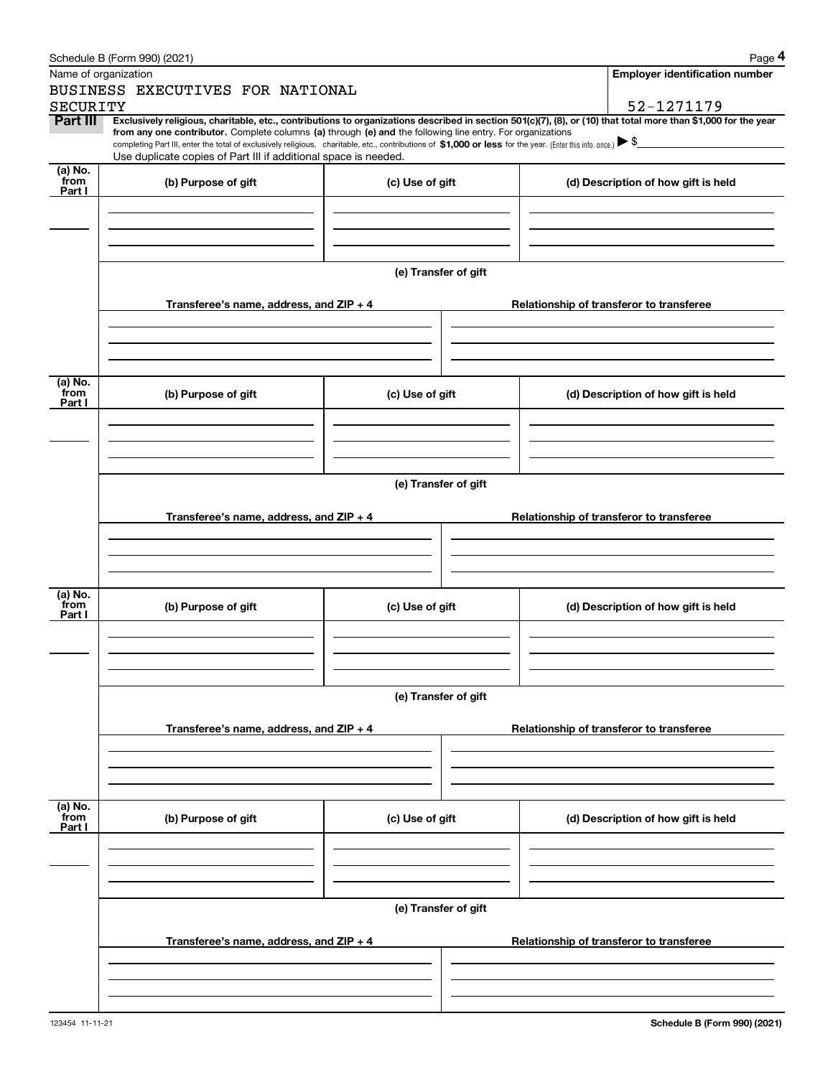|                 | Schedule B (Form 990) (2021)                                                                                                                                                                                                                                                                                                                                                                                                                                      |                      |                                          |  | Page 4                                   |  |  |  |  |  |  |  |  |
|-----------------|-------------------------------------------------------------------------------------------------------------------------------------------------------------------------------------------------------------------------------------------------------------------------------------------------------------------------------------------------------------------------------------------------------------------------------------------------------------------|----------------------|------------------------------------------|--|------------------------------------------|--|--|--|--|--|--|--|--|
|                 | Name of organization                                                                                                                                                                                                                                                                                                                                                                                                                                              |                      |                                          |  | Employer identification number           |  |  |  |  |  |  |  |  |
|                 | BUSINESS EXECUTIVES FOR NATIONAL                                                                                                                                                                                                                                                                                                                                                                                                                                  |                      |                                          |  |                                          |  |  |  |  |  |  |  |  |
| <b>SECURITY</b> |                                                                                                                                                                                                                                                                                                                                                                                                                                                                   |                      |                                          |  | 52-1271179                               |  |  |  |  |  |  |  |  |
| Part III        | Exclusively religious, charitable, etc., contributions to organizations described in section 501(c)(7), (8), or (10) that total more than \$1,000 for the year<br>from any one contributor. Complete columns (a) through (e) and the following line entry. For organizations<br>completing Part III, enter the total of exclusively religious, charitable, etc., contributions of \$1,000 or less for the year. (Enter this info. once.) $\blacktriangleright$ \$ |                      |                                          |  |                                          |  |  |  |  |  |  |  |  |
|                 | Use duplicate copies of Part III if additional space is needed.                                                                                                                                                                                                                                                                                                                                                                                                   |                      |                                          |  |                                          |  |  |  |  |  |  |  |  |
| (a) No.<br>from |                                                                                                                                                                                                                                                                                                                                                                                                                                                                   |                      | (d) Description of how gift is held      |  |                                          |  |  |  |  |  |  |  |  |
| Part I          | (b) Purpose of gift                                                                                                                                                                                                                                                                                                                                                                                                                                               | (c) Use of gift      |                                          |  |                                          |  |  |  |  |  |  |  |  |
|                 |                                                                                                                                                                                                                                                                                                                                                                                                                                                                   |                      |                                          |  |                                          |  |  |  |  |  |  |  |  |
|                 |                                                                                                                                                                                                                                                                                                                                                                                                                                                                   |                      |                                          |  |                                          |  |  |  |  |  |  |  |  |
|                 |                                                                                                                                                                                                                                                                                                                                                                                                                                                                   |                      |                                          |  |                                          |  |  |  |  |  |  |  |  |
|                 |                                                                                                                                                                                                                                                                                                                                                                                                                                                                   |                      |                                          |  |                                          |  |  |  |  |  |  |  |  |
|                 | (e) Transfer of gift                                                                                                                                                                                                                                                                                                                                                                                                                                              |                      |                                          |  |                                          |  |  |  |  |  |  |  |  |
|                 |                                                                                                                                                                                                                                                                                                                                                                                                                                                                   |                      |                                          |  |                                          |  |  |  |  |  |  |  |  |
|                 | Transferee's name, address, and ZIP + 4                                                                                                                                                                                                                                                                                                                                                                                                                           |                      |                                          |  | Relationship of transferor to transferee |  |  |  |  |  |  |  |  |
|                 |                                                                                                                                                                                                                                                                                                                                                                                                                                                                   |                      |                                          |  |                                          |  |  |  |  |  |  |  |  |
|                 |                                                                                                                                                                                                                                                                                                                                                                                                                                                                   |                      |                                          |  |                                          |  |  |  |  |  |  |  |  |
|                 |                                                                                                                                                                                                                                                                                                                                                                                                                                                                   |                      |                                          |  |                                          |  |  |  |  |  |  |  |  |
| (a) No.         |                                                                                                                                                                                                                                                                                                                                                                                                                                                                   |                      |                                          |  |                                          |  |  |  |  |  |  |  |  |
| from<br>Part I  | (b) Purpose of gift                                                                                                                                                                                                                                                                                                                                                                                                                                               | (c) Use of gift      |                                          |  | (d) Description of how gift is held      |  |  |  |  |  |  |  |  |
|                 |                                                                                                                                                                                                                                                                                                                                                                                                                                                                   |                      |                                          |  |                                          |  |  |  |  |  |  |  |  |
|                 |                                                                                                                                                                                                                                                                                                                                                                                                                                                                   |                      |                                          |  |                                          |  |  |  |  |  |  |  |  |
|                 |                                                                                                                                                                                                                                                                                                                                                                                                                                                                   |                      |                                          |  |                                          |  |  |  |  |  |  |  |  |
|                 |                                                                                                                                                                                                                                                                                                                                                                                                                                                                   |                      |                                          |  |                                          |  |  |  |  |  |  |  |  |
|                 | (e) Transfer of gift                                                                                                                                                                                                                                                                                                                                                                                                                                              |                      |                                          |  |                                          |  |  |  |  |  |  |  |  |
|                 |                                                                                                                                                                                                                                                                                                                                                                                                                                                                   |                      | Relationship of transferor to transferee |  |                                          |  |  |  |  |  |  |  |  |
|                 | Transferee's name, address, and ZIP + 4                                                                                                                                                                                                                                                                                                                                                                                                                           |                      |                                          |  |                                          |  |  |  |  |  |  |  |  |
|                 |                                                                                                                                                                                                                                                                                                                                                                                                                                                                   |                      |                                          |  |                                          |  |  |  |  |  |  |  |  |
|                 |                                                                                                                                                                                                                                                                                                                                                                                                                                                                   |                      |                                          |  |                                          |  |  |  |  |  |  |  |  |
|                 |                                                                                                                                                                                                                                                                                                                                                                                                                                                                   |                      |                                          |  |                                          |  |  |  |  |  |  |  |  |
| (a) No.<br>from |                                                                                                                                                                                                                                                                                                                                                                                                                                                                   |                      |                                          |  |                                          |  |  |  |  |  |  |  |  |
| Part I          | (b) Purpose of gift                                                                                                                                                                                                                                                                                                                                                                                                                                               | (c) Use of gift      |                                          |  | (d) Description of how gift is held      |  |  |  |  |  |  |  |  |
|                 |                                                                                                                                                                                                                                                                                                                                                                                                                                                                   |                      |                                          |  |                                          |  |  |  |  |  |  |  |  |
|                 |                                                                                                                                                                                                                                                                                                                                                                                                                                                                   |                      |                                          |  |                                          |  |  |  |  |  |  |  |  |
|                 |                                                                                                                                                                                                                                                                                                                                                                                                                                                                   |                      |                                          |  |                                          |  |  |  |  |  |  |  |  |
|                 |                                                                                                                                                                                                                                                                                                                                                                                                                                                                   |                      |                                          |  |                                          |  |  |  |  |  |  |  |  |
|                 |                                                                                                                                                                                                                                                                                                                                                                                                                                                                   | (e) Transfer of gift |                                          |  |                                          |  |  |  |  |  |  |  |  |
|                 | Transferee's name, address, and ZIP + 4                                                                                                                                                                                                                                                                                                                                                                                                                           |                      |                                          |  | Relationship of transferor to transferee |  |  |  |  |  |  |  |  |
|                 |                                                                                                                                                                                                                                                                                                                                                                                                                                                                   |                      |                                          |  |                                          |  |  |  |  |  |  |  |  |
|                 |                                                                                                                                                                                                                                                                                                                                                                                                                                                                   |                      |                                          |  |                                          |  |  |  |  |  |  |  |  |
|                 |                                                                                                                                                                                                                                                                                                                                                                                                                                                                   |                      |                                          |  |                                          |  |  |  |  |  |  |  |  |
|                 |                                                                                                                                                                                                                                                                                                                                                                                                                                                                   |                      |                                          |  |                                          |  |  |  |  |  |  |  |  |
| (a) No.<br>from | (b) Purpose of gift                                                                                                                                                                                                                                                                                                                                                                                                                                               | (c) Use of gift      |                                          |  | (d) Description of how gift is held      |  |  |  |  |  |  |  |  |
| Part I          |                                                                                                                                                                                                                                                                                                                                                                                                                                                                   |                      |                                          |  |                                          |  |  |  |  |  |  |  |  |
|                 |                                                                                                                                                                                                                                                                                                                                                                                                                                                                   |                      |                                          |  |                                          |  |  |  |  |  |  |  |  |
|                 |                                                                                                                                                                                                                                                                                                                                                                                                                                                                   |                      |                                          |  |                                          |  |  |  |  |  |  |  |  |
|                 |                                                                                                                                                                                                                                                                                                                                                                                                                                                                   |                      |                                          |  |                                          |  |  |  |  |  |  |  |  |
|                 |                                                                                                                                                                                                                                                                                                                                                                                                                                                                   | (e) Transfer of gift |                                          |  |                                          |  |  |  |  |  |  |  |  |
|                 |                                                                                                                                                                                                                                                                                                                                                                                                                                                                   |                      |                                          |  |                                          |  |  |  |  |  |  |  |  |
|                 | Transferee's name, address, and $ZIP + 4$                                                                                                                                                                                                                                                                                                                                                                                                                         |                      |                                          |  | Relationship of transferor to transferee |  |  |  |  |  |  |  |  |
|                 |                                                                                                                                                                                                                                                                                                                                                                                                                                                                   |                      |                                          |  |                                          |  |  |  |  |  |  |  |  |
|                 |                                                                                                                                                                                                                                                                                                                                                                                                                                                                   |                      |                                          |  |                                          |  |  |  |  |  |  |  |  |
|                 |                                                                                                                                                                                                                                                                                                                                                                                                                                                                   |                      |                                          |  |                                          |  |  |  |  |  |  |  |  |
|                 |                                                                                                                                                                                                                                                                                                                                                                                                                                                                   |                      |                                          |  |                                          |  |  |  |  |  |  |  |  |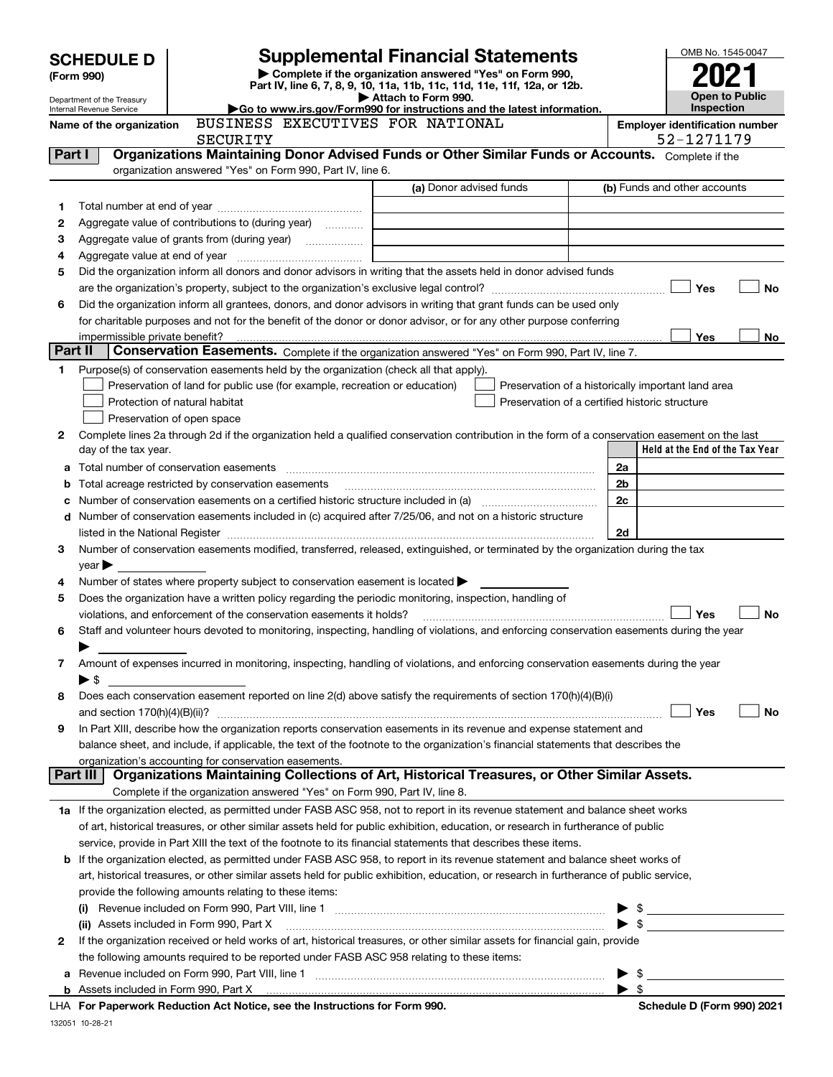|         | <b>Supplemental Financial Statements</b><br><b>SCHEDULE D</b> |                                                                                                                                                                |                                  |                                                                                                 |                                                |  |                          |                                                     | OMB No. 1545-0047     |
|---------|---------------------------------------------------------------|----------------------------------------------------------------------------------------------------------------------------------------------------------------|----------------------------------|-------------------------------------------------------------------------------------------------|------------------------------------------------|--|--------------------------|-----------------------------------------------------|-----------------------|
|         | (Form 990)                                                    |                                                                                                                                                                |                                  | Complete if the organization answered "Yes" on Form 990,                                        |                                                |  |                          |                                                     |                       |
|         | Department of the Treasury                                    |                                                                                                                                                                |                                  | Part IV, line 6, 7, 8, 9, 10, 11a, 11b, 11c, 11d, 11e, 11f, 12a, or 12b.<br>Attach to Form 990. |                                                |  |                          |                                                     | <b>Open to Public</b> |
|         | Internal Revenue Service                                      |                                                                                                                                                                |                                  | Go to www.irs.gov/Form990 for instructions and the latest information.                          |                                                |  |                          | <b>Inspection</b>                                   |                       |
|         | Name of the organization                                      | SECURITY                                                                                                                                                       |                                  | BUSINESS EXECUTIVES FOR NATIONAL                                                                |                                                |  |                          | <b>Employer identification number</b><br>52-1271179 |                       |
| Part I  |                                                               | Organizations Maintaining Donor Advised Funds or Other Similar Funds or Accounts. Complete if the<br>organization answered "Yes" on Form 990, Part IV, line 6. |                                  |                                                                                                 |                                                |  |                          |                                                     |                       |
|         |                                                               |                                                                                                                                                                |                                  | (a) Donor advised funds                                                                         |                                                |  |                          | (b) Funds and other accounts                        |                       |
|         |                                                               |                                                                                                                                                                |                                  |                                                                                                 |                                                |  |                          |                                                     |                       |
| 1       |                                                               |                                                                                                                                                                |                                  |                                                                                                 |                                                |  |                          |                                                     |                       |
| 2<br>з  | Aggregate value of contributions to (during year)             |                                                                                                                                                                |                                  |                                                                                                 |                                                |  |                          |                                                     |                       |
| 4       |                                                               | Aggregate value of grants from (during year)                                                                                                                   |                                  |                                                                                                 |                                                |  |                          |                                                     |                       |
| 5       |                                                               | Did the organization inform all donors and donor advisors in writing that the assets held in donor advised funds                                               |                                  |                                                                                                 |                                                |  |                          |                                                     |                       |
|         |                                                               |                                                                                                                                                                |                                  |                                                                                                 |                                                |  |                          | Yes                                                 | <b>No</b>             |
| 6       |                                                               | Did the organization inform all grantees, donors, and donor advisors in writing that grant funds can be used only                                              |                                  |                                                                                                 |                                                |  |                          |                                                     |                       |
|         |                                                               | for charitable purposes and not for the benefit of the donor or donor advisor, or for any other purpose conferring                                             |                                  |                                                                                                 |                                                |  |                          |                                                     |                       |
|         |                                                               |                                                                                                                                                                |                                  |                                                                                                 |                                                |  |                          | Yes                                                 | No                    |
| Part II |                                                               | Conservation Easements. Complete if the organization answered "Yes" on Form 990, Part IV, line 7.                                                              |                                  |                                                                                                 |                                                |  |                          |                                                     |                       |
| 1       |                                                               | Purpose(s) of conservation easements held by the organization (check all that apply).                                                                          |                                  |                                                                                                 |                                                |  |                          |                                                     |                       |
|         |                                                               | Preservation of land for public use (for example, recreation or education)                                                                                     |                                  |                                                                                                 |                                                |  |                          | Preservation of a historically important land area  |                       |
|         |                                                               | Protection of natural habitat                                                                                                                                  |                                  |                                                                                                 | Preservation of a certified historic structure |  |                          |                                                     |                       |
|         |                                                               | Preservation of open space                                                                                                                                     |                                  |                                                                                                 |                                                |  |                          |                                                     |                       |
| 2       |                                                               | Complete lines 2a through 2d if the organization held a qualified conservation contribution in the form of a conservation easement on the last                 |                                  |                                                                                                 |                                                |  |                          |                                                     |                       |
|         | day of the tax year.                                          |                                                                                                                                                                |                                  |                                                                                                 |                                                |  |                          | Held at the End of the Tax Year                     |                       |
| a       |                                                               |                                                                                                                                                                |                                  |                                                                                                 |                                                |  | 2a                       |                                                     |                       |
| b       |                                                               | Total acreage restricted by conservation easements                                                                                                             |                                  |                                                                                                 |                                                |  | 2 <sub>b</sub>           |                                                     |                       |
|         |                                                               | Number of conservation easements on a certified historic structure included in (a) manufacture included in (a)                                                 |                                  |                                                                                                 |                                                |  | 2c                       |                                                     |                       |
|         |                                                               | d Number of conservation easements included in (c) acquired after 7/25/06, and not on a historic structure                                                     |                                  |                                                                                                 |                                                |  |                          |                                                     |                       |
|         |                                                               |                                                                                                                                                                |                                  |                                                                                                 |                                                |  |                          |                                                     |                       |
| 3       |                                                               | Number of conservation easements modified, transferred, released, extinguished, or terminated by the organization during the tax                               |                                  |                                                                                                 |                                                |  |                          |                                                     |                       |
|         | $year \blacktriangleright$                                    |                                                                                                                                                                |                                  |                                                                                                 |                                                |  |                          |                                                     |                       |
| 4       |                                                               | Number of states where property subject to conservation easement is located $\blacktriangleright$                                                              |                                  |                                                                                                 |                                                |  |                          |                                                     |                       |
| 5       |                                                               | Does the organization have a written policy regarding the periodic monitoring, inspection, handling of                                                         |                                  |                                                                                                 |                                                |  |                          |                                                     |                       |
|         |                                                               | violations, and enforcement of the conservation easements it holds?                                                                                            |                                  |                                                                                                 |                                                |  |                          | Yes                                                 | <b>No</b>             |
| 6       |                                                               | Staff and volunteer hours devoted to monitoring, inspecting, handling of violations, and enforcing conservation easements during the year                      |                                  |                                                                                                 |                                                |  |                          |                                                     |                       |
| 7       |                                                               | Amount of expenses incurred in monitoring, inspecting, handling of violations, and enforcing conservation easements during the year                            |                                  |                                                                                                 |                                                |  |                          |                                                     |                       |
|         | $\blacktriangleright$ \$                                      |                                                                                                                                                                |                                  |                                                                                                 |                                                |  |                          |                                                     |                       |
| 8       |                                                               | Does each conservation easement reported on line 2(d) above satisfy the requirements of section 170(h)(4)(B)(i)                                                |                                  |                                                                                                 |                                                |  |                          |                                                     |                       |
|         | and section 170(h)(4)(B)(ii)?                                 |                                                                                                                                                                |                                  |                                                                                                 |                                                |  |                          | Yes                                                 | No                    |
| 9       |                                                               | In Part XIII, describe how the organization reports conservation easements in its revenue and expense statement and                                            |                                  |                                                                                                 |                                                |  |                          |                                                     |                       |
|         |                                                               | balance sheet, and include, if applicable, the text of the footnote to the organization's financial statements that describes the                              |                                  |                                                                                                 |                                                |  |                          |                                                     |                       |
|         |                                                               | organization's accounting for conservation easements.                                                                                                          |                                  |                                                                                                 |                                                |  |                          |                                                     |                       |
|         | Part III                                                      | Organizations Maintaining Collections of Art, Historical Treasures, or Other Similar Assets.                                                                   |                                  |                                                                                                 |                                                |  |                          |                                                     |                       |
|         |                                                               | Complete if the organization answered "Yes" on Form 990, Part IV, line 8.                                                                                      |                                  |                                                                                                 |                                                |  |                          |                                                     |                       |
|         |                                                               | 1a If the organization elected, as permitted under FASB ASC 958, not to report in its revenue statement and balance sheet works                                |                                  |                                                                                                 |                                                |  |                          |                                                     |                       |
|         |                                                               | of art, historical treasures, or other similar assets held for public exhibition, education, or research in furtherance of public                              |                                  |                                                                                                 |                                                |  |                          |                                                     |                       |
|         |                                                               | service, provide in Part XIII the text of the footnote to its financial statements that describes these items.                                                 |                                  |                                                                                                 |                                                |  |                          |                                                     |                       |
|         |                                                               | <b>b</b> If the organization elected, as permitted under FASB ASC 958, to report in its revenue statement and balance sheet works of                           |                                  |                                                                                                 |                                                |  |                          |                                                     |                       |
|         |                                                               | art, historical treasures, or other similar assets held for public exhibition, education, or research in furtherance of public service,                        |                                  |                                                                                                 |                                                |  |                          |                                                     |                       |
|         |                                                               | provide the following amounts relating to these items:                                                                                                         |                                  |                                                                                                 |                                                |  |                          |                                                     |                       |
|         |                                                               |                                                                                                                                                                |                                  |                                                                                                 |                                                |  | $\blacktriangleright$ \$ |                                                     |                       |
|         |                                                               | (ii) Assets included in Form 990, Part X                                                                                                                       |                                  |                                                                                                 |                                                |  | ► \$                     |                                                     |                       |
| 2       |                                                               | If the organization received or held works of art, historical treasures, or other similar assets for financial gain, provide                                   |                                  |                                                                                                 |                                                |  |                          |                                                     |                       |
|         |                                                               | the following amounts required to be reported under FASB ASC 958 relating to these items:                                                                      |                                  |                                                                                                 |                                                |  |                          |                                                     |                       |
|         |                                                               |                                                                                                                                                                |                                  |                                                                                                 |                                                |  | - \$                     |                                                     |                       |
|         |                                                               |                                                                                                                                                                | a tha books offices for Form 000 |                                                                                                 |                                                |  | $\blacktriangleright$ \$ | <b>Cohodule D. Form 00010004</b>                    |                       |

**For Paperwork Reduction Act Notice, see the Instructions for Form 990. Schedule D (Form 990) 2021** LHA

132051 10-28-21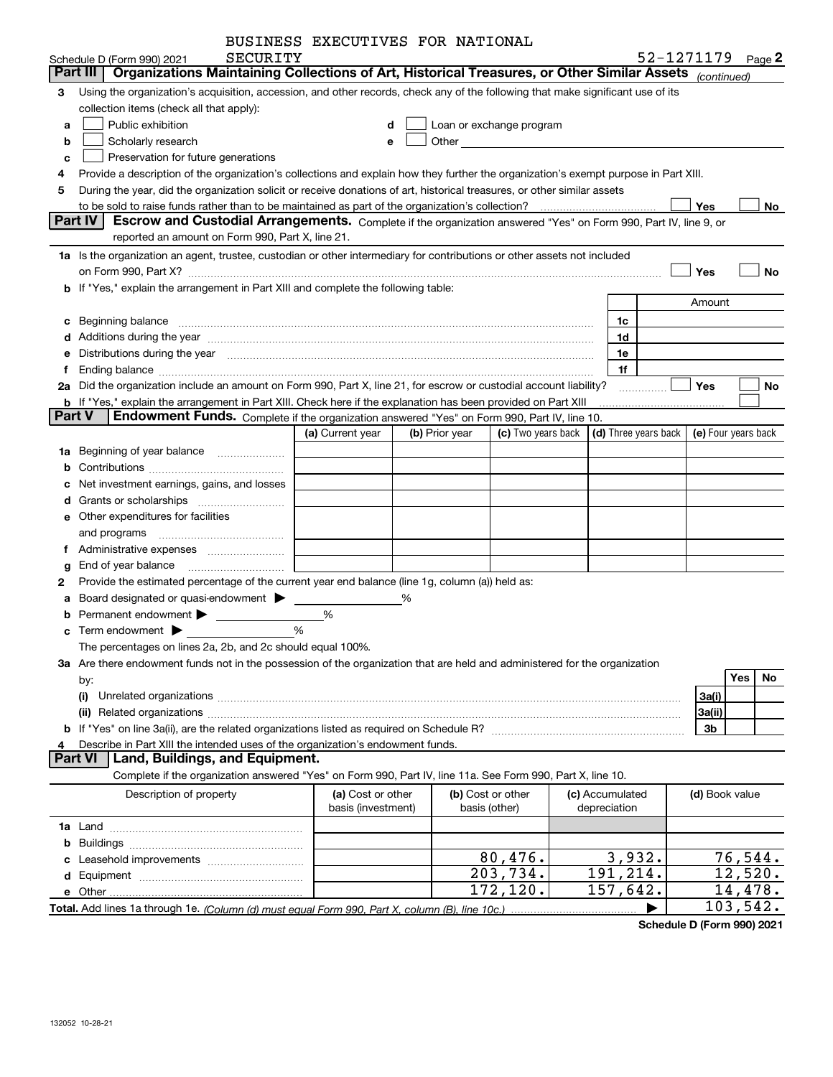| BUSINESS EXECUTIVES FOR NATIONAL |  |
|----------------------------------|--|
|                                  |  |

|               | SECURITY<br>Schedule D (Form 990) 2021                                                                                                                                                                                         | DUSINGSS EAGCUIIVES FUR NAIIUNAL |   |                |                          |                      | 52-1271179 |                | Page $2$            |
|---------------|--------------------------------------------------------------------------------------------------------------------------------------------------------------------------------------------------------------------------------|----------------------------------|---|----------------|--------------------------|----------------------|------------|----------------|---------------------|
|               | Organizations Maintaining Collections of Art, Historical Treasures, or Other Similar Assets (continued)<br>Part III                                                                                                            |                                  |   |                |                          |                      |            |                |                     |
| 3             | Using the organization's acquisition, accession, and other records, check any of the following that make significant use of its                                                                                                |                                  |   |                |                          |                      |            |                |                     |
|               | collection items (check all that apply):                                                                                                                                                                                       |                                  |   |                |                          |                      |            |                |                     |
| a             | Public exhibition                                                                                                                                                                                                              | d                                |   |                | Loan or exchange program |                      |            |                |                     |
| b             | Scholarly research                                                                                                                                                                                                             | е                                |   |                |                          |                      |            |                |                     |
| c             | Preservation for future generations                                                                                                                                                                                            |                                  |   |                |                          |                      |            |                |                     |
| 4             | Provide a description of the organization's collections and explain how they further the organization's exempt purpose in Part XIII.                                                                                           |                                  |   |                |                          |                      |            |                |                     |
| 5             | During the year, did the organization solicit or receive donations of art, historical treasures, or other similar assets                                                                                                       |                                  |   |                |                          |                      |            |                |                     |
|               |                                                                                                                                                                                                                                |                                  |   |                |                          |                      |            | Yes            | No                  |
|               | Part IV<br>Escrow and Custodial Arrangements. Complete if the organization answered "Yes" on Form 990, Part IV, line 9, or                                                                                                     |                                  |   |                |                          |                      |            |                |                     |
|               | reported an amount on Form 990, Part X, line 21.                                                                                                                                                                               |                                  |   |                |                          |                      |            |                |                     |
|               | 1a Is the organization an agent, trustee, custodian or other intermediary for contributions or other assets not included                                                                                                       |                                  |   |                |                          |                      |            |                |                     |
|               | on Form 990, Part X? [11] matter contracts and contracts and contracts are contracted to the contract of the contract of the contract of the contract of the contract of the contract of the contract of the contract of the c |                                  |   |                |                          |                      |            | Yes            | <b>No</b>           |
|               | b If "Yes," explain the arrangement in Part XIII and complete the following table:                                                                                                                                             |                                  |   |                |                          |                      |            |                |                     |
|               |                                                                                                                                                                                                                                |                                  |   |                |                          |                      |            | Amount         |                     |
| c             | Beginning balance measurements and contain a series of the series of the series of the series of the series of                                                                                                                 |                                  |   |                |                          | 1c                   |            |                |                     |
|               | d Additions during the year manufactured and an account of the state of a distribution of Additions during the year manufactured and account of Additions during the year manufactured and account of Additional Additional Ad |                                  |   |                |                          | 1d                   |            |                |                     |
|               | Distributions during the year manufactured and continuum and contained and the year manufactured and contained                                                                                                                 |                                  |   |                |                          | 1e                   |            |                |                     |
| f             | Ending balance manufactured and contract the contract of the contract of the contract of the contract of the contract of the contract of the contract of the contract of the contract of the contract of the contract of the c |                                  |   |                |                          | 1f                   |            |                |                     |
|               | 2a Did the organization include an amount on Form 990, Part X, line 21, for escrow or custodial account liability?                                                                                                             |                                  |   |                |                          |                      |            | Yes            | No                  |
|               | <b>b</b> If "Yes," explain the arrangement in Part XIII. Check here if the explanation has been provided on Part XIII                                                                                                          |                                  |   |                |                          |                      |            |                |                     |
| <b>Part V</b> | Endowment Funds. Complete if the organization answered "Yes" on Form 990, Part IV, line 10.                                                                                                                                    |                                  |   |                |                          |                      |            |                |                     |
|               |                                                                                                                                                                                                                                | (a) Current year                 |   | (b) Prior year | (c) Two years back       | (d) Three years back |            |                | (e) Four years back |
| 1a            | Beginning of year balance                                                                                                                                                                                                      |                                  |   |                |                          |                      |            |                |                     |
| b             |                                                                                                                                                                                                                                |                                  |   |                |                          |                      |            |                |                     |
|               | Net investment earnings, gains, and losses                                                                                                                                                                                     |                                  |   |                |                          |                      |            |                |                     |
| d             |                                                                                                                                                                                                                                |                                  |   |                |                          |                      |            |                |                     |
|               | e Other expenditures for facilities                                                                                                                                                                                            |                                  |   |                |                          |                      |            |                |                     |
|               | and programs                                                                                                                                                                                                                   |                                  |   |                |                          |                      |            |                |                     |
| Ť.            |                                                                                                                                                                                                                                |                                  |   |                |                          |                      |            |                |                     |
| g             | End of year balance                                                                                                                                                                                                            |                                  |   |                |                          |                      |            |                |                     |
| 2             | Provide the estimated percentage of the current year end balance (line 1g, column (a)) held as:                                                                                                                                |                                  |   |                |                          |                      |            |                |                     |
| а             |                                                                                                                                                                                                                                |                                  | % |                |                          |                      |            |                |                     |
| b             |                                                                                                                                                                                                                                | %                                |   |                |                          |                      |            |                |                     |
|               |                                                                                                                                                                                                                                | %                                |   |                |                          |                      |            |                |                     |
|               | The percentages on lines 2a, 2b, and 2c should equal 100%.                                                                                                                                                                     |                                  |   |                |                          |                      |            |                |                     |
|               | 3a Are there endowment funds not in the possession of the organization that are held and administered for the organization                                                                                                     |                                  |   |                |                          |                      |            |                |                     |
|               | by:                                                                                                                                                                                                                            |                                  |   |                |                          |                      |            |                | <b>Yes</b><br>No.   |
|               | (i)                                                                                                                                                                                                                            |                                  |   |                |                          |                      |            | 3a(i)          |                     |
|               |                                                                                                                                                                                                                                |                                  |   |                |                          |                      |            | 3a(ii)         |                     |
|               |                                                                                                                                                                                                                                |                                  |   |                |                          |                      |            | 3 <sub>b</sub> |                     |
| 4             | Describe in Part XIII the intended uses of the organization's endowment funds.                                                                                                                                                 |                                  |   |                |                          |                      |            |                |                     |
|               | Land, Buildings, and Equipment.<br><b>Part VI</b>                                                                                                                                                                              |                                  |   |                |                          |                      |            |                |                     |
|               | Complete if the organization answered "Yes" on Form 990, Part IV, line 11a. See Form 990, Part X, line 10.                                                                                                                     |                                  |   |                |                          |                      |            |                |                     |
|               | Description of property                                                                                                                                                                                                        | (a) Cost or other                |   |                | (b) Cost or other        | (c) Accumulated      |            | (d) Book value |                     |
|               |                                                                                                                                                                                                                                | basis (investment)               |   |                | basis (other)            | depreciation         |            |                |                     |
|               |                                                                                                                                                                                                                                |                                  |   |                |                          |                      |            |                |                     |
| b             |                                                                                                                                                                                                                                |                                  |   |                |                          |                      |            |                |                     |
|               |                                                                                                                                                                                                                                |                                  |   |                | 80,476.                  | 3,932.               |            |                | 76,544.             |
|               |                                                                                                                                                                                                                                |                                  |   |                | 203,734.                 | 191, 214.            |            |                | 12,520.             |
|               | e Other                                                                                                                                                                                                                        |                                  |   |                | 172, 120.                | 157,642.             |            |                | 14,478.             |
|               |                                                                                                                                                                                                                                |                                  |   |                |                          |                      |            |                | 103,542.            |

**Schedule D (Form 990) 2021**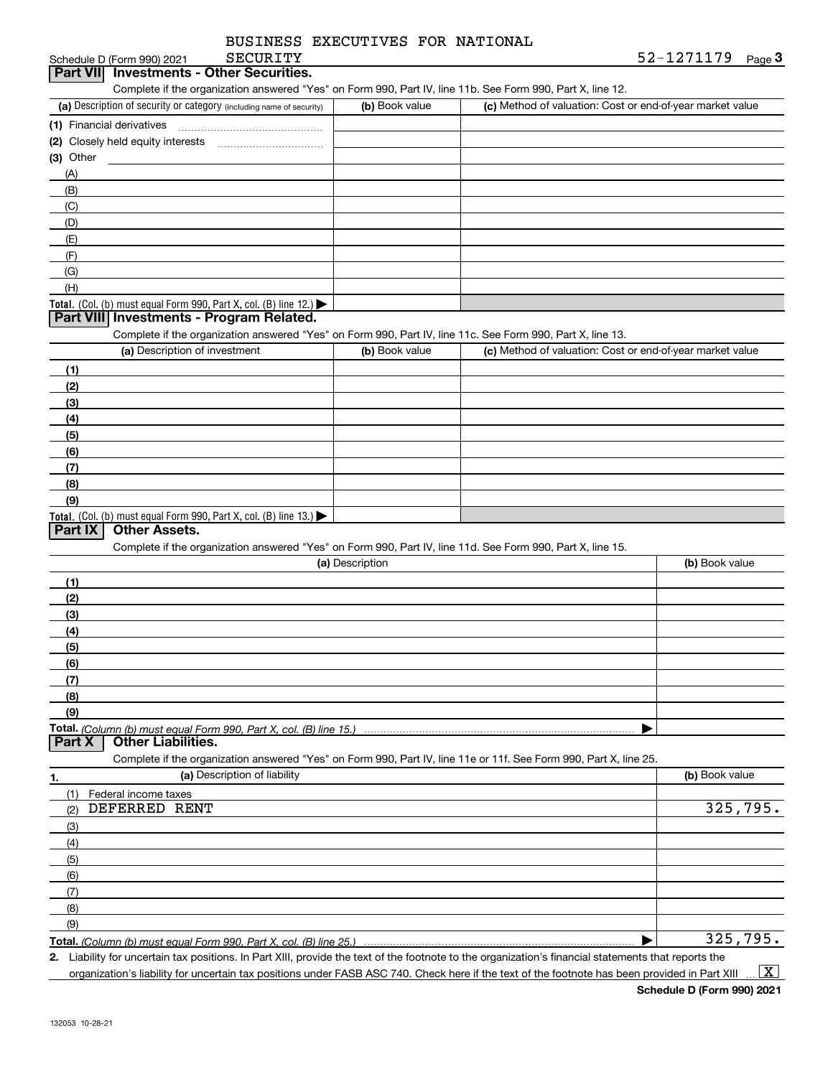| Part VII Investments - Other Securities.                                                                          |                 |                                                           | 52-1271179 <sub>Page</sub> 3 |
|-------------------------------------------------------------------------------------------------------------------|-----------------|-----------------------------------------------------------|------------------------------|
| Complete if the organization answered "Yes" on Form 990, Part IV, line 11b. See Form 990, Part X, line 12.        |                 |                                                           |                              |
| (a) Description of security or category (including name of security)                                              | (b) Book value  | (c) Method of valuation: Cost or end-of-year market value |                              |
|                                                                                                                   |                 |                                                           |                              |
|                                                                                                                   |                 |                                                           |                              |
| $(3)$ Other<br><u> 1980 - Jan Stein, amerikansk politiker (</u>                                                   |                 |                                                           |                              |
| (A)                                                                                                               |                 |                                                           |                              |
| (B)                                                                                                               |                 |                                                           |                              |
| (C)                                                                                                               |                 |                                                           |                              |
| (D)                                                                                                               |                 |                                                           |                              |
| (E)                                                                                                               |                 |                                                           |                              |
| (F)                                                                                                               |                 |                                                           |                              |
| (G)                                                                                                               |                 |                                                           |                              |
| (H)                                                                                                               |                 |                                                           |                              |
| Total. (Col. (b) must equal Form 990, Part X, col. (B) line 12.)                                                  |                 |                                                           |                              |
| Part VIII Investments - Program Related.                                                                          |                 |                                                           |                              |
| Complete if the organization answered "Yes" on Form 990, Part IV, line 11c. See Form 990, Part X, line 13.        |                 |                                                           |                              |
| (a) Description of investment                                                                                     | (b) Book value  | (c) Method of valuation: Cost or end-of-year market value |                              |
| (1)                                                                                                               |                 |                                                           |                              |
| (2)                                                                                                               |                 |                                                           |                              |
| (3)                                                                                                               |                 |                                                           |                              |
| (4)                                                                                                               |                 |                                                           |                              |
| (5)                                                                                                               |                 |                                                           |                              |
| (6)                                                                                                               |                 |                                                           |                              |
| (7)                                                                                                               |                 |                                                           |                              |
| (8)                                                                                                               |                 |                                                           |                              |
| (9)                                                                                                               |                 |                                                           |                              |
| Total. (Col. (b) must equal Form 990, Part X, col. (B) line 13.)                                                  |                 |                                                           |                              |
| <b>Other Assets.</b><br>Part IX                                                                                   |                 |                                                           |                              |
| Complete if the organization answered "Yes" on Form 990, Part IV, line 11d. See Form 990, Part X, line 15.        |                 |                                                           |                              |
|                                                                                                                   |                 |                                                           |                              |
|                                                                                                                   | (a) Description |                                                           | (b) Book value               |
| (1)                                                                                                               |                 |                                                           |                              |
| (2)                                                                                                               |                 |                                                           |                              |
|                                                                                                                   |                 |                                                           |                              |
| (3)                                                                                                               |                 |                                                           |                              |
| (4)<br>(5)                                                                                                        |                 |                                                           |                              |
|                                                                                                                   |                 |                                                           |                              |
| (6)                                                                                                               |                 |                                                           |                              |
| (7)                                                                                                               |                 |                                                           |                              |
| (8)                                                                                                               |                 |                                                           |                              |
| (9)                                                                                                               |                 |                                                           |                              |
|                                                                                                                   |                 |                                                           |                              |
| <b>Other Liabilities.</b>                                                                                         |                 |                                                           |                              |
| Complete if the organization answered "Yes" on Form 990, Part IV, line 11e or 11f. See Form 990, Part X, line 25. |                 |                                                           |                              |
| (a) Description of liability                                                                                      |                 |                                                           | (b) Book value               |
| (1) Federal income taxes                                                                                          |                 |                                                           |                              |
| DEFERRED RENT<br>(2)                                                                                              |                 |                                                           | 325,795.                     |
| (3)                                                                                                               |                 |                                                           |                              |
| (4)                                                                                                               |                 |                                                           |                              |
| (5)                                                                                                               |                 |                                                           |                              |
| (6)                                                                                                               |                 |                                                           |                              |
| Part X<br>1.<br>(7)                                                                                               |                 |                                                           |                              |
| (8)                                                                                                               |                 |                                                           |                              |
| (9)                                                                                                               |                 |                                                           | 325,795.                     |

organization's liability for uncertain tax positions under FASB ASC 740. Check here if the text of the footnote has been provided in Part XIII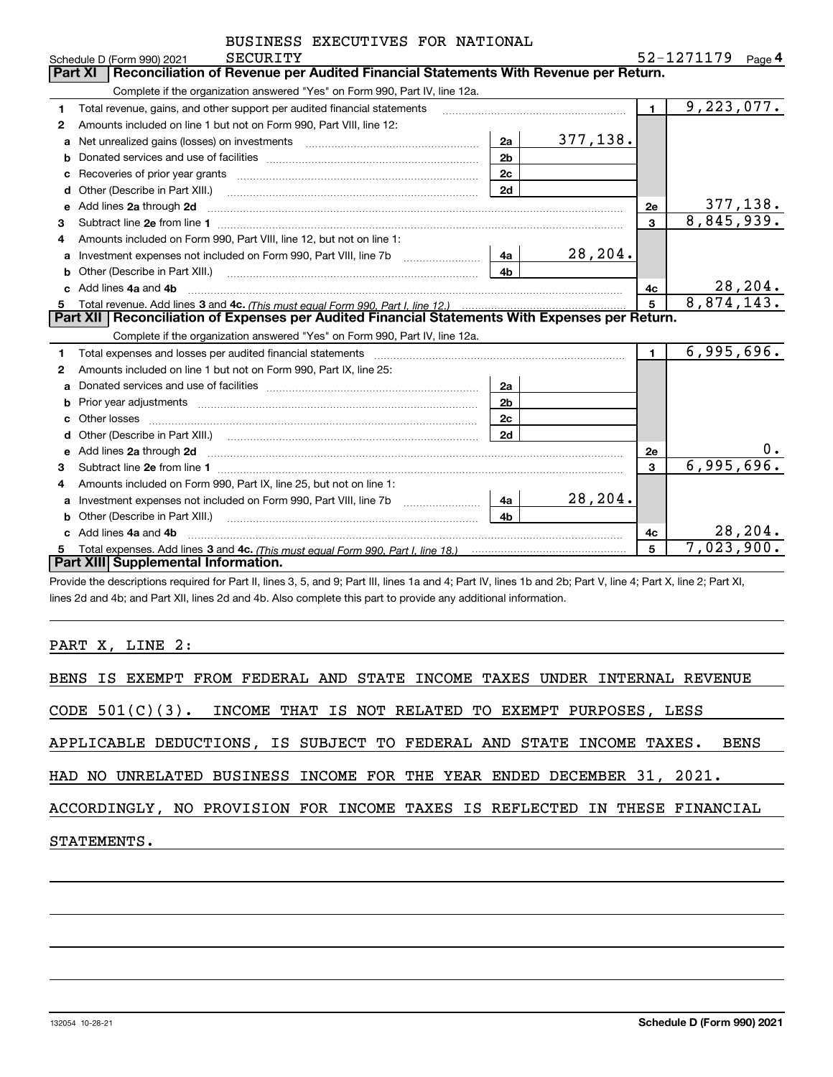|    | SECURITY<br>Schedule D (Form 990) 2021                                                                                                                                                                                                           |          |                | 52-1271179 | Page 4   |
|----|--------------------------------------------------------------------------------------------------------------------------------------------------------------------------------------------------------------------------------------------------|----------|----------------|------------|----------|
|    | <b>Part XI</b><br>Reconciliation of Revenue per Audited Financial Statements With Revenue per Return.                                                                                                                                            |          |                |            |          |
|    | Complete if the organization answered "Yes" on Form 990, Part IV, line 12a.                                                                                                                                                                      |          |                |            |          |
| 1. | Total revenue, gains, and other support per audited financial statements                                                                                                                                                                         |          | $\blacksquare$ | 9,223,077. |          |
| 2  | Amounts included on line 1 but not on Form 990, Part VIII, line 12:                                                                                                                                                                              |          |                |            |          |
| a  | 2a                                                                                                                                                                                                                                               | 377,138. |                |            |          |
|    | 2 <sub>b</sub>                                                                                                                                                                                                                                   |          |                |            |          |
| c  | 2 <sub>c</sub><br>Recoveries of prior year grants [11] matter contracts and prior year grants [11] matter contracts and prior year grants and all the contracts and all the contracts of prior year grants and all the contracts of the contract |          |                |            |          |
| d  | 2d<br>Other (Describe in Part XIII.) <b>Construction Contract Construction</b> Chern Construction Construction Construction                                                                                                                      |          |                |            |          |
| e  | Add lines 2a through 2d                                                                                                                                                                                                                          |          | <b>2e</b>      |            | 377,138. |
| 3  |                                                                                                                                                                                                                                                  |          | 3              | 8,845,939. |          |
| 4  | Amounts included on Form 990, Part VIII, line 12, but not on line 1:                                                                                                                                                                             |          |                |            |          |
| a  | 4a                                                                                                                                                                                                                                               | 28,204.  |                |            |          |
| b  | 4 <sub>b</sub>                                                                                                                                                                                                                                   |          |                |            |          |
|    | Add lines 4a and 4b                                                                                                                                                                                                                              |          | 4c             |            | 28, 204. |
| 5  |                                                                                                                                                                                                                                                  |          | $\overline{5}$ | 8,874,143. |          |
|    | Part XII   Reconciliation of Expenses per Audited Financial Statements With Expenses per Return.                                                                                                                                                 |          |                |            |          |
|    | Complete if the organization answered "Yes" on Form 990, Part IV, line 12a.                                                                                                                                                                      |          |                |            |          |
| 1. |                                                                                                                                                                                                                                                  |          | $\blacksquare$ | 6,995,696. |          |
| 2  | Amounts included on line 1 but not on Form 990, Part IX, line 25:                                                                                                                                                                                |          |                |            |          |
| a  | 2a                                                                                                                                                                                                                                               |          |                |            |          |
| b  | 2 <sub>b</sub>                                                                                                                                                                                                                                   |          |                |            |          |
|    | 2c                                                                                                                                                                                                                                               |          |                |            |          |
|    | 2d                                                                                                                                                                                                                                               |          |                |            |          |
| е  | Add lines 2a through 2d <b>must be a constructed as the construction</b> of the state of the state of the state of the state of the state of the state of the state of the state of the state of the state of the state of the stat              |          | <b>2e</b>      |            |          |
| 3  |                                                                                                                                                                                                                                                  |          | 3              | 6,995,696. |          |
| 4  | Amounts included on Form 990, Part IX, line 25, but not on line 1:                                                                                                                                                                               |          |                |            |          |
| a  | 4a                                                                                                                                                                                                                                               | 28,204.  |                |            |          |
|    | 4 <sub>b</sub><br>Other (Describe in Part XIII.)                                                                                                                                                                                                 |          |                |            |          |
| c. | Add lines 4a and 4b                                                                                                                                                                                                                              |          | 4c             |            | 28,204.  |
|    |                                                                                                                                                                                                                                                  |          |                |            |          |
|    | Total expenses. Add lines 3 and 4c. (This must equal Form 990. Part I, line 18.) <b>Construe that the State I</b><br>Part XIII Supplemental Information.                                                                                         |          | 5              | 7,023,900. |          |

Provide the descriptions required for Part II, lines 3, 5, and 9; Part III, lines 1a and 4; Part IV, lines 1b and 2b; Part V, line 4; Part X, line 2; Part XI, lines 2d and 4b; and Part XII, lines 2d and 4b. Also complete this part to provide any additional information.

# PART X, LINE 2:

| BENS IS EXEMPT FROM FEDERAL AND STATE INCOME TAXES UNDER INTERNAL REVENUE |  |  |  |  |  |  |  |  |                                                                            |
|---------------------------------------------------------------------------|--|--|--|--|--|--|--|--|----------------------------------------------------------------------------|
| CODE $501(C)(3)$ . INCOME THAT IS NOT RELATED TO EXEMPT PURPOSES, LESS    |  |  |  |  |  |  |  |  |                                                                            |
| APPLICABLE DEDUCTIONS, IS SUBJECT TO FEDERAL AND STATE INCOME TAXES.      |  |  |  |  |  |  |  |  | BENS                                                                       |
| HAD NO UNRELATED BUSINESS INCOME FOR THE YEAR ENDED DECEMBER 31, 2021.    |  |  |  |  |  |  |  |  |                                                                            |
|                                                                           |  |  |  |  |  |  |  |  | ACCORDINGLY, NO PROVISION FOR INCOME TAXES IS REFLECTED IN THESE FINANCIAL |
| STATEMENTS.                                                               |  |  |  |  |  |  |  |  |                                                                            |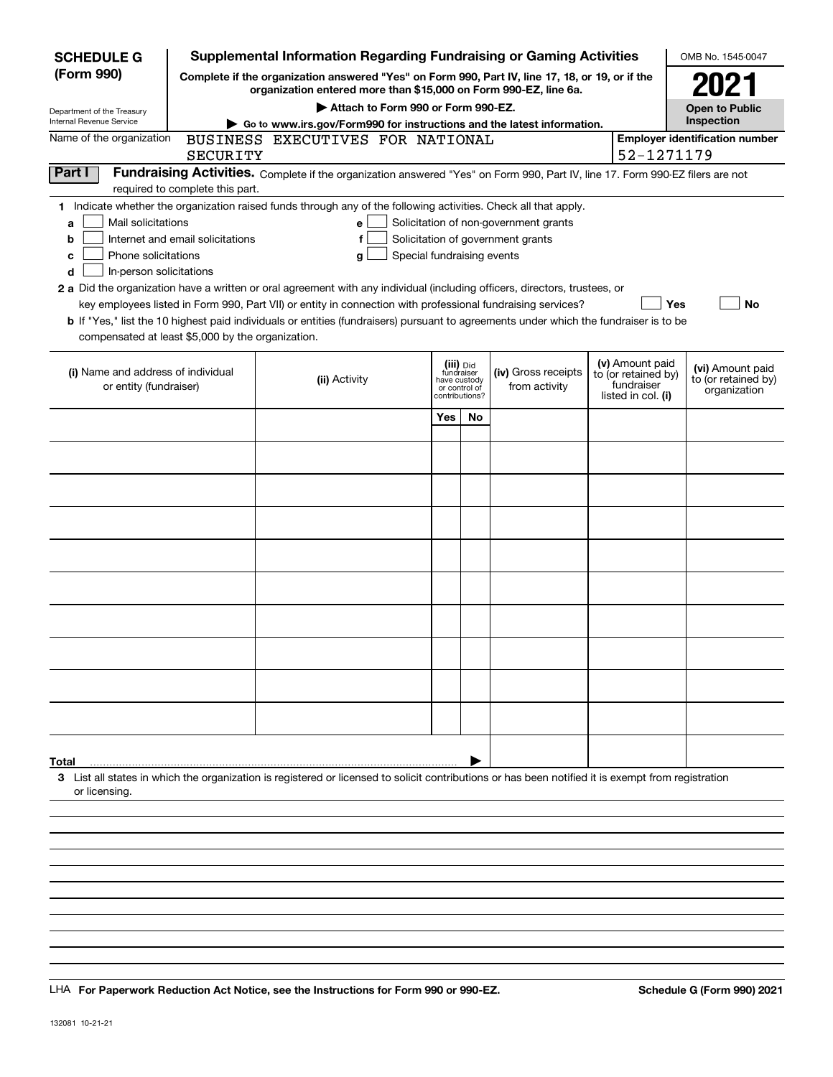| <b>SCHEDULE G</b>                                                                                                                             |                                  | <b>Supplemental Information Regarding Fundraising or Gaming Activities</b>                                                                                                                                                                                                                                                                                                                                                                                                                                                                                |                                           |                               |                                                                            |                                                                            | OMB No. 1545-0047                                       |
|-----------------------------------------------------------------------------------------------------------------------------------------------|----------------------------------|-----------------------------------------------------------------------------------------------------------------------------------------------------------------------------------------------------------------------------------------------------------------------------------------------------------------------------------------------------------------------------------------------------------------------------------------------------------------------------------------------------------------------------------------------------------|-------------------------------------------|-------------------------------|----------------------------------------------------------------------------|----------------------------------------------------------------------------|---------------------------------------------------------|
| (Form 990)                                                                                                                                    |                                  | Complete if the organization answered "Yes" on Form 990, Part IV, line 17, 18, or 19, or if the<br>organization entered more than \$15,000 on Form 990-EZ, line 6a.                                                                                                                                                                                                                                                                                                                                                                                       |                                           |                               |                                                                            |                                                                            | 2021                                                    |
| Department of the Treasury                                                                                                                    |                                  | Attach to Form 990 or Form 990-EZ.                                                                                                                                                                                                                                                                                                                                                                                                                                                                                                                        |                                           |                               |                                                                            |                                                                            | <b>Open to Public</b>                                   |
| Internal Revenue Service                                                                                                                      |                                  | Go to www.irs.gov/Form990 for instructions and the latest information.                                                                                                                                                                                                                                                                                                                                                                                                                                                                                    |                                           |                               |                                                                            |                                                                            | Inspection                                              |
| Name of the organization                                                                                                                      | SECURITY                         | BUSINESS EXECUTIVES FOR NATIONAL                                                                                                                                                                                                                                                                                                                                                                                                                                                                                                                          |                                           |                               |                                                                            | 52-1271179                                                                 | <b>Employer identification number</b>                   |
| Part I                                                                                                                                        | required to complete this part.  | Fundraising Activities. Complete if the organization answered "Yes" on Form 990, Part IV, line 17. Form 990-EZ filers are not                                                                                                                                                                                                                                                                                                                                                                                                                             |                                           |                               |                                                                            |                                                                            |                                                         |
| Mail solicitations<br>a<br>b<br>Phone solicitations<br>с<br>In-person solicitations<br>d<br>compensated at least \$5,000 by the organization. | Internet and email solicitations | 1 Indicate whether the organization raised funds through any of the following activities. Check all that apply.<br>е<br>f<br>Special fundraising events<br>g<br>2 a Did the organization have a written or oral agreement with any individual (including officers, directors, trustees, or<br>key employees listed in Form 990, Part VII) or entity in connection with professional fundraising services?<br><b>b</b> If "Yes," list the 10 highest paid individuals or entities (fundraisers) pursuant to agreements under which the fundraiser is to be |                                           |                               | Solicitation of non-government grants<br>Solicitation of government grants |                                                                            | <b>No</b><br>Yes                                        |
| (i) Name and address of individual<br>or entity (fundraiser)                                                                                  |                                  | (ii) Activity                                                                                                                                                                                                                                                                                                                                                                                                                                                                                                                                             | (iii) Did<br>fundraiser<br>contributions? | have custody<br>or control of | (iv) Gross receipts<br>from activity                                       | (v) Amount paid<br>to (or retained by)<br>fundraiser<br>listed in col. (i) | (vi) Amount paid<br>to (or retained by)<br>organization |
|                                                                                                                                               |                                  |                                                                                                                                                                                                                                                                                                                                                                                                                                                                                                                                                           | Yes                                       | No                            |                                                                            |                                                                            |                                                         |
|                                                                                                                                               |                                  |                                                                                                                                                                                                                                                                                                                                                                                                                                                                                                                                                           |                                           |                               |                                                                            |                                                                            |                                                         |
|                                                                                                                                               |                                  |                                                                                                                                                                                                                                                                                                                                                                                                                                                                                                                                                           |                                           |                               |                                                                            |                                                                            |                                                         |
|                                                                                                                                               |                                  |                                                                                                                                                                                                                                                                                                                                                                                                                                                                                                                                                           |                                           |                               |                                                                            |                                                                            |                                                         |
|                                                                                                                                               |                                  |                                                                                                                                                                                                                                                                                                                                                                                                                                                                                                                                                           |                                           |                               |                                                                            |                                                                            |                                                         |
|                                                                                                                                               |                                  |                                                                                                                                                                                                                                                                                                                                                                                                                                                                                                                                                           |                                           |                               |                                                                            |                                                                            |                                                         |
|                                                                                                                                               |                                  |                                                                                                                                                                                                                                                                                                                                                                                                                                                                                                                                                           |                                           |                               |                                                                            |                                                                            |                                                         |
|                                                                                                                                               |                                  |                                                                                                                                                                                                                                                                                                                                                                                                                                                                                                                                                           |                                           |                               |                                                                            |                                                                            |                                                         |
|                                                                                                                                               |                                  |                                                                                                                                                                                                                                                                                                                                                                                                                                                                                                                                                           |                                           |                               |                                                                            |                                                                            |                                                         |
|                                                                                                                                               |                                  |                                                                                                                                                                                                                                                                                                                                                                                                                                                                                                                                                           |                                           |                               |                                                                            |                                                                            |                                                         |
| Total                                                                                                                                         |                                  |                                                                                                                                                                                                                                                                                                                                                                                                                                                                                                                                                           |                                           |                               |                                                                            |                                                                            |                                                         |
| or licensing.                                                                                                                                 |                                  | 3 List all states in which the organization is registered or licensed to solicit contributions or has been notified it is exempt from registration                                                                                                                                                                                                                                                                                                                                                                                                        |                                           |                               |                                                                            |                                                                            |                                                         |
|                                                                                                                                               |                                  |                                                                                                                                                                                                                                                                                                                                                                                                                                                                                                                                                           |                                           |                               |                                                                            |                                                                            |                                                         |
|                                                                                                                                               |                                  |                                                                                                                                                                                                                                                                                                                                                                                                                                                                                                                                                           |                                           |                               |                                                                            |                                                                            |                                                         |
|                                                                                                                                               |                                  |                                                                                                                                                                                                                                                                                                                                                                                                                                                                                                                                                           |                                           |                               |                                                                            |                                                                            |                                                         |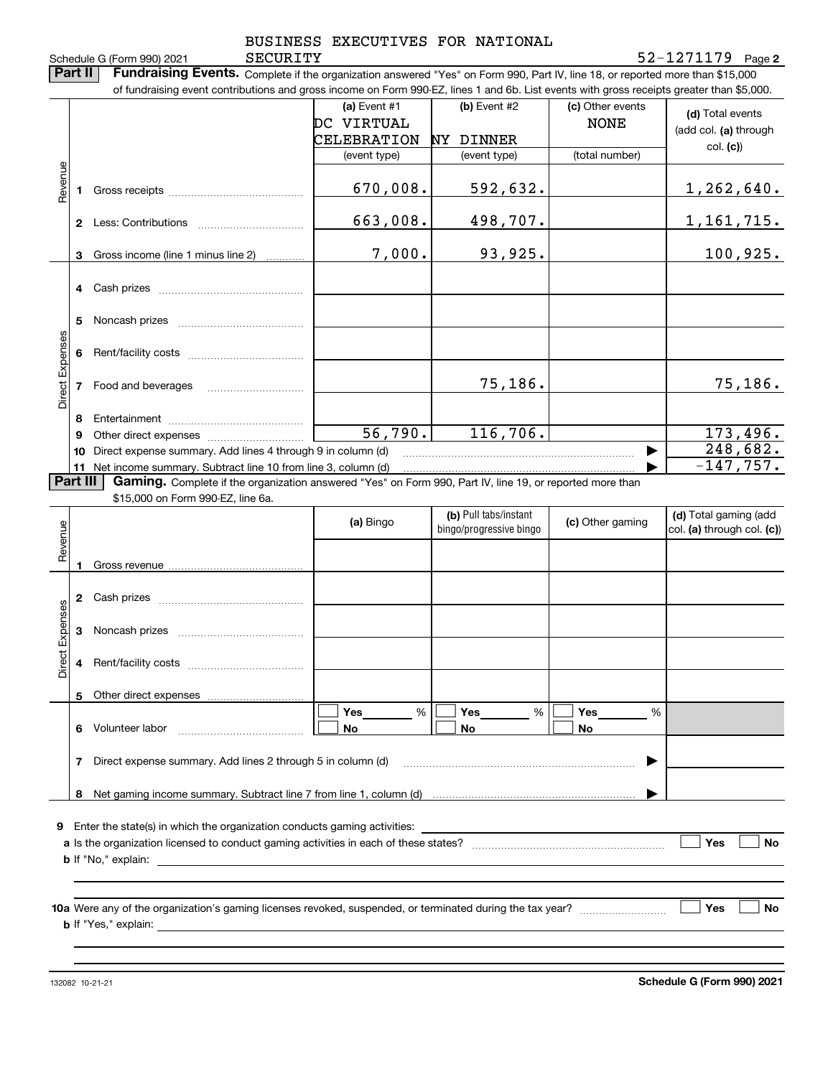|                                                    | Part II  | SECURITY<br>Schedule G (Form 990) 2021<br>Fundraising Events. Complete if the organization answered "Yes" on Form 990, Part IV, line 18, or reported more than \$15,000<br>of fundraising event contributions and gross income on Form 990-EZ, lines 1 and 6b. List events with gross receipts greater than \$5,000. |                                                    |                                                  |                                 | $52 - 1271179$ Page 2                                                                      |
|----------------------------------------------------|----------|----------------------------------------------------------------------------------------------------------------------------------------------------------------------------------------------------------------------------------------------------------------------------------------------------------------------|----------------------------------------------------|--------------------------------------------------|---------------------------------|--------------------------------------------------------------------------------------------|
|                                                    |          |                                                                                                                                                                                                                                                                                                                      | (a) Event $#1$<br>DC VIRTUAL<br><b>CELEBRATION</b> | (b) Event #2<br>NY DINNER                        | (c) Other events<br><b>NONE</b> | (d) Total events<br>(add col. (a) through<br>col. (c)                                      |
| Revenue                                            |          |                                                                                                                                                                                                                                                                                                                      | (event type)                                       | (event type)                                     | (total number)                  |                                                                                            |
|                                                    | 1        |                                                                                                                                                                                                                                                                                                                      | 670,008.                                           | 592,632.                                         |                                 | <u>1,262,640.</u>                                                                          |
|                                                    |          |                                                                                                                                                                                                                                                                                                                      | 663,008.                                           | 498,707.                                         |                                 | 1, 161, 715.                                                                               |
|                                                    | 3        | Gross income (line 1 minus line 2)                                                                                                                                                                                                                                                                                   | 7,000.                                             | 93,925.                                          |                                 | 100,925.                                                                                   |
|                                                    | 4        |                                                                                                                                                                                                                                                                                                                      |                                                    |                                                  |                                 |                                                                                            |
|                                                    | 5        |                                                                                                                                                                                                                                                                                                                      |                                                    |                                                  |                                 |                                                                                            |
|                                                    | 6        |                                                                                                                                                                                                                                                                                                                      |                                                    |                                                  |                                 |                                                                                            |
|                                                    |          |                                                                                                                                                                                                                                                                                                                      |                                                    | 75,186.                                          |                                 | 75,186.                                                                                    |
|                                                    | 7        | Food and beverages                                                                                                                                                                                                                                                                                                   |                                                    |                                                  |                                 |                                                                                            |
|                                                    | 8        |                                                                                                                                                                                                                                                                                                                      |                                                    |                                                  |                                 |                                                                                            |
|                                                    | 9        |                                                                                                                                                                                                                                                                                                                      | 56,790.                                            | 116,706.                                         |                                 |                                                                                            |
|                                                    | 10<br>11 | Direct expense summary. Add lines 4 through 9 in column (d)                                                                                                                                                                                                                                                          |                                                    |                                                  | ▶                               |                                                                                            |
|                                                    | Part III | Net income summary. Subtract line 10 from line 3, column (d)<br><b>Gaming.</b> Complete if the organization answered "Yes" on Form 990, Part IV, line 19, or reported more than                                                                                                                                      |                                                    |                                                  |                                 |                                                                                            |
|                                                    |          | \$15,000 on Form 990-EZ, line 6a.                                                                                                                                                                                                                                                                                    | (a) Bingo                                          | (b) Pull tabs/instant<br>bingo/progressive bingo | (c) Other gaming                |                                                                                            |
|                                                    | 1.       |                                                                                                                                                                                                                                                                                                                      |                                                    |                                                  |                                 |                                                                                            |
|                                                    | 2        |                                                                                                                                                                                                                                                                                                                      |                                                    |                                                  |                                 |                                                                                            |
|                                                    | 3        |                                                                                                                                                                                                                                                                                                                      |                                                    |                                                  |                                 |                                                                                            |
|                                                    | 4        |                                                                                                                                                                                                                                                                                                                      |                                                    |                                                  |                                 |                                                                                            |
|                                                    | 5        |                                                                                                                                                                                                                                                                                                                      |                                                    |                                                  |                                 |                                                                                            |
|                                                    | 6        | Volunteer labor                                                                                                                                                                                                                                                                                                      | %<br>Yes $\qquad \qquad$<br>No.                    | %<br>Yes<br>No                                   | Yes<br>$\frac{0}{0}$<br>No      |                                                                                            |
|                                                    | 7        | Direct expense summary. Add lines 2 through 5 in column (d)                                                                                                                                                                                                                                                          |                                                    |                                                  | ▶                               | 173,496.<br>248,682.<br>$-147,757.$<br>(d) Total gaming (add<br>col. (a) through col. (c)) |
|                                                    |          |                                                                                                                                                                                                                                                                                                                      |                                                    |                                                  |                                 |                                                                                            |
| Direct Expenses<br>Revenue<br>Direct Expenses<br>9 |          | Enter the state(s) in which the organization conducts gaming activities:                                                                                                                                                                                                                                             |                                                    |                                                  |                                 |                                                                                            |

132082 10-21-21

**Schedule G (Form 990) 2021**

 $\overline{\phantom{a}}$  $\overline{a}$ ÷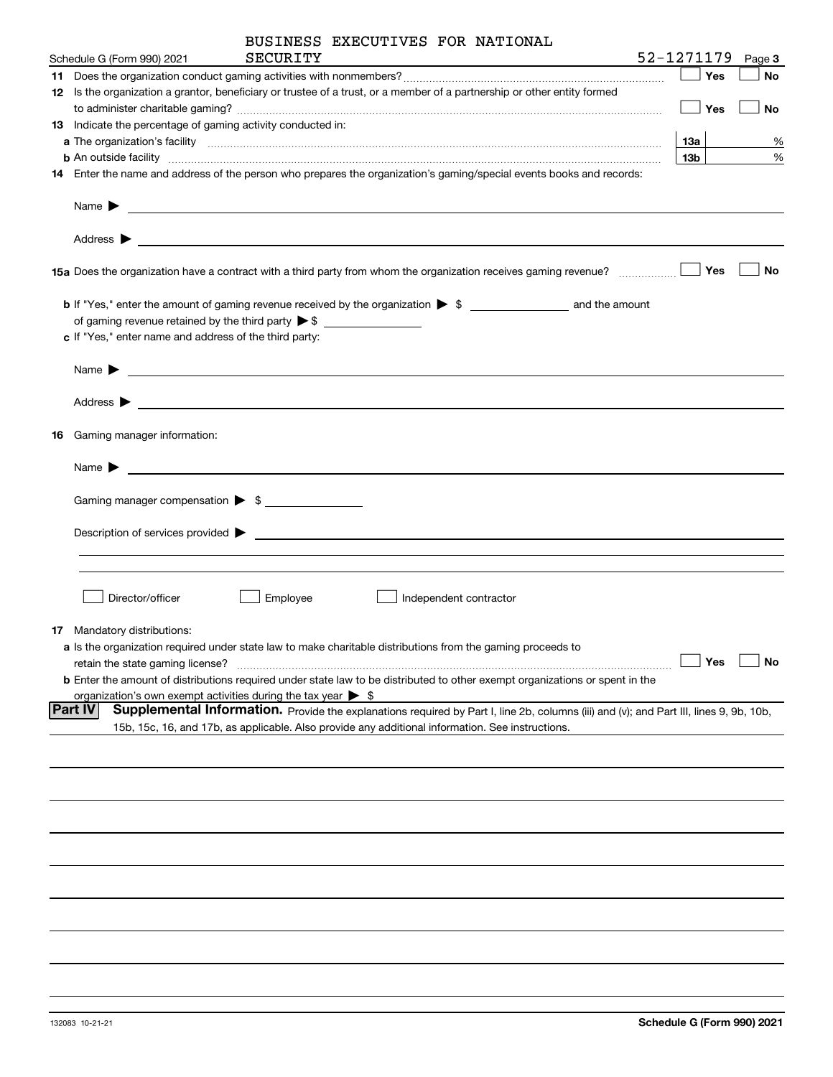| BUSINESS EXECUTIVES FOR NATIONAL                                                                                                                                                                                                                      |                 |                    |        |
|-------------------------------------------------------------------------------------------------------------------------------------------------------------------------------------------------------------------------------------------------------|-----------------|--------------------|--------|
| 52-1271179<br>SECURITY<br>Schedule G (Form 990) 2021                                                                                                                                                                                                  |                 |                    | Page 3 |
|                                                                                                                                                                                                                                                       |                 | $\blacksquare$ Yes | No     |
| 12 Is the organization a grantor, beneficiary or trustee of a trust, or a member of a partnership or other entity formed                                                                                                                              |                 |                    |        |
|                                                                                                                                                                                                                                                       |                 | $\Box$ Yes         | No     |
| 13 Indicate the percentage of gaming activity conducted in:                                                                                                                                                                                           |                 |                    |        |
|                                                                                                                                                                                                                                                       | 13a             |                    | %      |
| <b>b</b> An outside facility <b>contained and the contract of the contract of the contract of the contract of the contract of the contract of the contract of the contract of the contract of the contract of the contract of the con</b>             | 13 <sub>b</sub> |                    | %      |
| 14 Enter the name and address of the person who prepares the organization's gaming/special events books and records:                                                                                                                                  |                 |                    |        |
|                                                                                                                                                                                                                                                       |                 |                    |        |
|                                                                                                                                                                                                                                                       |                 |                    |        |
|                                                                                                                                                                                                                                                       |                 |                    | No     |
| <b>b</b> If "Yes," enter the amount of gaming revenue received by the organization $\triangleright$ \$                                                                                                                                                |                 |                    |        |
| of gaming revenue retained by the third party $\triangleright$ \$                                                                                                                                                                                     |                 |                    |        |
| c If "Yes," enter name and address of the third party:                                                                                                                                                                                                |                 |                    |        |
|                                                                                                                                                                                                                                                       |                 |                    |        |
|                                                                                                                                                                                                                                                       |                 |                    |        |
| 16 Gaming manager information:                                                                                                                                                                                                                        |                 |                    |        |
| Name $\blacktriangleright$                                                                                                                                                                                                                            |                 |                    |        |
|                                                                                                                                                                                                                                                       |                 |                    |        |
| Gaming manager compensation > \$                                                                                                                                                                                                                      |                 |                    |        |
| $Description of services provided$ $\triangleright$                                                                                                                                                                                                   |                 |                    |        |
|                                                                                                                                                                                                                                                       |                 |                    |        |
| Director/officer                                                                                                                                                                                                                                      |                 |                    |        |
| Employee<br>Independent contractor                                                                                                                                                                                                                    |                 |                    |        |
| 17 Mandatory distributions:                                                                                                                                                                                                                           |                 |                    |        |
| a Is the organization required under state law to make charitable distributions from the gaming proceeds to                                                                                                                                           |                 |                    |        |
| retain the state gaming license?                                                                                                                                                                                                                      |                 | Yes                | No     |
| <b>b</b> Enter the amount of distributions required under state law to be distributed to other exempt organizations or spent in the                                                                                                                   |                 |                    |        |
| organization's own exempt activities during the tax year $\triangleright$ \$                                                                                                                                                                          |                 |                    |        |
| Part IV<br>Supplemental Information. Provide the explanations required by Part I, line 2b, columns (iii) and (v); and Part III, lines 9, 9b, 10b,<br>15b, 15c, 16, and 17b, as applicable. Also provide any additional information. See instructions. |                 |                    |        |
|                                                                                                                                                                                                                                                       |                 |                    |        |
|                                                                                                                                                                                                                                                       |                 |                    |        |
|                                                                                                                                                                                                                                                       |                 |                    |        |
|                                                                                                                                                                                                                                                       |                 |                    |        |
|                                                                                                                                                                                                                                                       |                 |                    |        |
|                                                                                                                                                                                                                                                       |                 |                    |        |
|                                                                                                                                                                                                                                                       |                 |                    |        |
|                                                                                                                                                                                                                                                       |                 |                    |        |
|                                                                                                                                                                                                                                                       |                 |                    |        |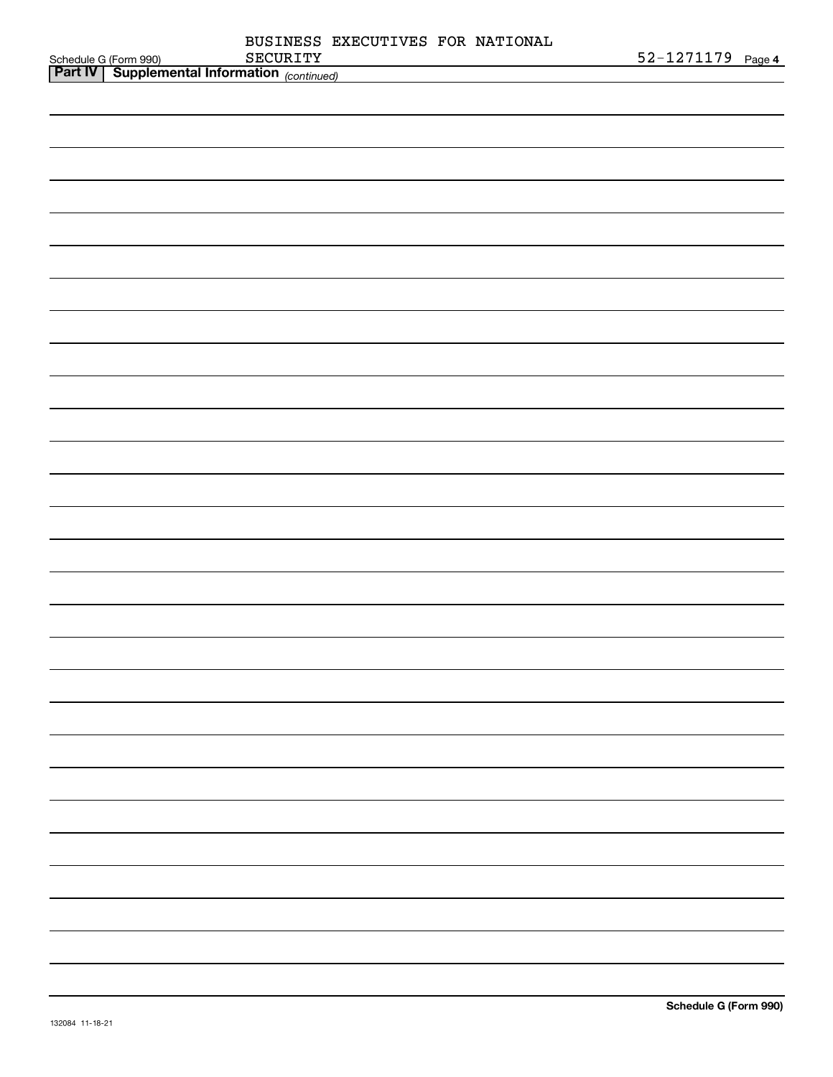|                                                                              |          | BUSINESS EXECUTIVES FOR NATIONAL |  |                   |
|------------------------------------------------------------------------------|----------|----------------------------------|--|-------------------|
| Schedule G (Form 990)<br><b>Part IV</b> Supplemental Information (continued) | SECURITY |                                  |  | 52-1271179 Page 4 |
|                                                                              |          |                                  |  |                   |
|                                                                              |          |                                  |  |                   |
|                                                                              |          |                                  |  |                   |
|                                                                              |          |                                  |  |                   |
|                                                                              |          |                                  |  |                   |
|                                                                              |          |                                  |  |                   |
|                                                                              |          |                                  |  |                   |
|                                                                              |          |                                  |  |                   |
|                                                                              |          |                                  |  |                   |
|                                                                              |          |                                  |  |                   |
|                                                                              |          |                                  |  |                   |
|                                                                              |          |                                  |  |                   |
|                                                                              |          |                                  |  |                   |
|                                                                              |          |                                  |  |                   |
|                                                                              |          |                                  |  |                   |
|                                                                              |          |                                  |  |                   |
|                                                                              |          |                                  |  |                   |
|                                                                              |          |                                  |  |                   |
|                                                                              |          |                                  |  |                   |
|                                                                              |          |                                  |  |                   |
|                                                                              |          |                                  |  |                   |
|                                                                              |          |                                  |  |                   |
|                                                                              |          |                                  |  |                   |
|                                                                              |          |                                  |  |                   |
|                                                                              |          |                                  |  |                   |
|                                                                              |          |                                  |  |                   |
|                                                                              |          |                                  |  |                   |
|                                                                              |          |                                  |  |                   |
|                                                                              |          |                                  |  |                   |
|                                                                              |          |                                  |  |                   |
|                                                                              |          |                                  |  |                   |
|                                                                              |          |                                  |  |                   |
|                                                                              |          |                                  |  |                   |
|                                                                              |          |                                  |  |                   |
|                                                                              |          |                                  |  |                   |
|                                                                              |          |                                  |  |                   |
|                                                                              |          |                                  |  |                   |
|                                                                              |          |                                  |  |                   |
|                                                                              |          |                                  |  |                   |
|                                                                              |          |                                  |  |                   |
|                                                                              |          |                                  |  |                   |
|                                                                              |          |                                  |  |                   |
|                                                                              |          |                                  |  |                   |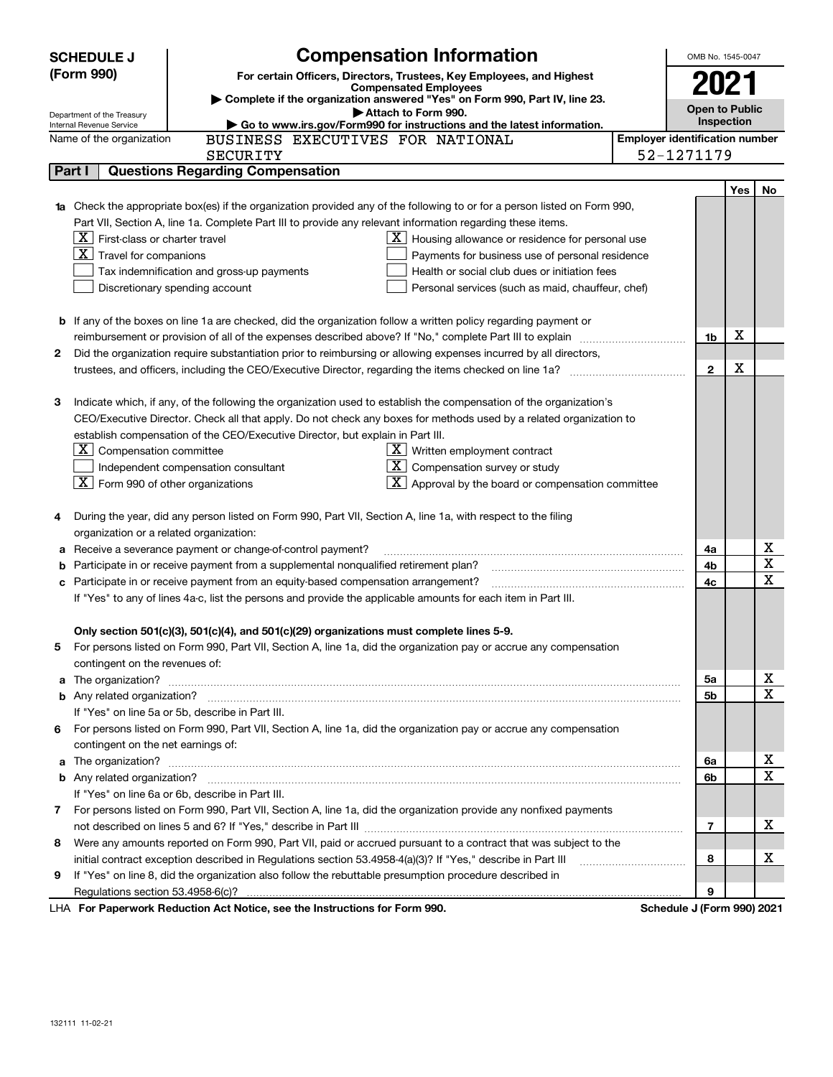|    | <b>SCHEDULE J</b>                                                                                             | <b>Compensation Information</b>                                                                                                                                                                                                      | OMB No. 1545-0047         |                                                     |     |                  |  |
|----|---------------------------------------------------------------------------------------------------------------|--------------------------------------------------------------------------------------------------------------------------------------------------------------------------------------------------------------------------------------|---------------------------|-----------------------------------------------------|-----|------------------|--|
|    | (Form 990)                                                                                                    | For certain Officers, Directors, Trustees, Key Employees, and Highest                                                                                                                                                                |                           | 2021                                                |     |                  |  |
|    |                                                                                                               | <b>Compensated Employees</b><br>Complete if the organization answered "Yes" on Form 990, Part IV, line 23.                                                                                                                           |                           |                                                     |     |                  |  |
|    | Department of the Treasury                                                                                    | Attach to Form 990.                                                                                                                                                                                                                  | <b>Open to Public</b>     |                                                     |     |                  |  |
|    | Internal Revenue Service                                                                                      | Go to www.irs.gov/Form990 for instructions and the latest information.                                                                                                                                                               |                           | Inspection<br><b>Employer identification number</b> |     |                  |  |
|    | BUSINESS EXECUTIVES FOR NATIONAL<br>Name of the organization<br>52-1271179<br><b>SECURITY</b>                 |                                                                                                                                                                                                                                      |                           |                                                     |     |                  |  |
|    | Part I                                                                                                        | <b>Questions Regarding Compensation</b>                                                                                                                                                                                              |                           |                                                     |     |                  |  |
|    |                                                                                                               |                                                                                                                                                                                                                                      |                           |                                                     |     |                  |  |
|    |                                                                                                               |                                                                                                                                                                                                                                      |                           |                                                     | Yes | No               |  |
| 1a |                                                                                                               | Check the appropriate box(es) if the organization provided any of the following to or for a person listed on Form 990,<br>Part VII, Section A, line 1a. Complete Part III to provide any relevant information regarding these items. |                           |                                                     |     |                  |  |
|    | $X$ First-class or charter travel                                                                             | $\mathbf{X}$ Housing allowance or residence for personal use                                                                                                                                                                         |                           |                                                     |     |                  |  |
|    | $\boxed{\textbf{X}}$ Travel for companions                                                                    | Payments for business use of personal residence                                                                                                                                                                                      |                           |                                                     |     |                  |  |
|    |                                                                                                               | Tax indemnification and gross-up payments<br>Health or social club dues or initiation fees                                                                                                                                           |                           |                                                     |     |                  |  |
|    |                                                                                                               | Discretionary spending account<br>Personal services (such as maid, chauffeur, chef)                                                                                                                                                  |                           |                                                     |     |                  |  |
|    |                                                                                                               |                                                                                                                                                                                                                                      |                           |                                                     |     |                  |  |
|    |                                                                                                               | <b>b</b> If any of the boxes on line 1a are checked, did the organization follow a written policy regarding payment or                                                                                                               |                           |                                                     |     |                  |  |
|    |                                                                                                               |                                                                                                                                                                                                                                      |                           | 1b                                                  | X   |                  |  |
| 2  |                                                                                                               | Did the organization require substantiation prior to reimbursing or allowing expenses incurred by all directors,                                                                                                                     |                           |                                                     |     |                  |  |
|    |                                                                                                               |                                                                                                                                                                                                                                      |                           | $\mathbf{2}$                                        | X   |                  |  |
|    |                                                                                                               |                                                                                                                                                                                                                                      |                           |                                                     |     |                  |  |
| З  |                                                                                                               | Indicate which, if any, of the following the organization used to establish the compensation of the organization's                                                                                                                   |                           |                                                     |     |                  |  |
|    |                                                                                                               | CEO/Executive Director. Check all that apply. Do not check any boxes for methods used by a related organization to                                                                                                                   |                           |                                                     |     |                  |  |
|    |                                                                                                               | establish compensation of the CEO/Executive Director, but explain in Part III.                                                                                                                                                       |                           |                                                     |     |                  |  |
|    | $ \mathbf{X} $ Compensation committee                                                                         | $X$ Written employment contract                                                                                                                                                                                                      |                           |                                                     |     |                  |  |
|    |                                                                                                               | $X$ Compensation survey or study<br>Independent compensation consultant                                                                                                                                                              |                           |                                                     |     |                  |  |
|    | $ \mathbf{X} $ Form 990 of other organizations                                                                | $\mathbf{X}$ Approval by the board or compensation committee                                                                                                                                                                         |                           |                                                     |     |                  |  |
|    |                                                                                                               |                                                                                                                                                                                                                                      |                           |                                                     |     |                  |  |
| 4  |                                                                                                               | During the year, did any person listed on Form 990, Part VII, Section A, line 1a, with respect to the filing                                                                                                                         |                           |                                                     |     |                  |  |
|    |                                                                                                               | organization or a related organization:                                                                                                                                                                                              |                           |                                                     |     |                  |  |
| а  |                                                                                                               | Receive a severance payment or change-of-control payment?                                                                                                                                                                            |                           | 4a                                                  |     | X                |  |
| b  |                                                                                                               | Participate in or receive payment from a supplemental nonqualified retirement plan?                                                                                                                                                  |                           | 4b                                                  |     | X                |  |
| c  |                                                                                                               | Participate in or receive payment from an equity-based compensation arrangement?                                                                                                                                                     |                           | 4c                                                  |     | $\mathbf X$      |  |
|    | If "Yes" to any of lines 4a-c, list the persons and provide the applicable amounts for each item in Part III. |                                                                                                                                                                                                                                      |                           |                                                     |     |                  |  |
|    |                                                                                                               |                                                                                                                                                                                                                                      |                           |                                                     |     |                  |  |
|    |                                                                                                               | Only section 501(c)(3), 501(c)(4), and 501(c)(29) organizations must complete lines 5-9.                                                                                                                                             |                           |                                                     |     |                  |  |
|    |                                                                                                               | For persons listed on Form 990, Part VII, Section A, line 1a, did the organization pay or accrue any compensation                                                                                                                    |                           |                                                     |     |                  |  |
|    | contingent on the revenues of:                                                                                |                                                                                                                                                                                                                                      |                           |                                                     |     |                  |  |
|    |                                                                                                               | a The organization? <b>Constitution</b> and the organization?                                                                                                                                                                        |                           | 5а                                                  |     | х                |  |
|    |                                                                                                               |                                                                                                                                                                                                                                      |                           | <b>5b</b>                                           |     | $\mathbf X$      |  |
|    |                                                                                                               | If "Yes" on line 5a or 5b, describe in Part III.                                                                                                                                                                                     |                           |                                                     |     |                  |  |
|    |                                                                                                               | 6 For persons listed on Form 990, Part VII, Section A, line 1a, did the organization pay or accrue any compensation                                                                                                                  |                           |                                                     |     |                  |  |
|    | contingent on the net earnings of:                                                                            |                                                                                                                                                                                                                                      |                           |                                                     |     |                  |  |
| a  |                                                                                                               |                                                                                                                                                                                                                                      |                           | 6a                                                  |     | X<br>$\mathbf X$ |  |
|    |                                                                                                               |                                                                                                                                                                                                                                      |                           | 6b                                                  |     |                  |  |
|    |                                                                                                               | If "Yes" on line 6a or 6b, describe in Part III.                                                                                                                                                                                     |                           |                                                     |     |                  |  |
|    |                                                                                                               | 7 For persons listed on Form 990, Part VII, Section A, line 1a, did the organization provide any nonfixed payments                                                                                                                   |                           |                                                     |     |                  |  |
|    |                                                                                                               |                                                                                                                                                                                                                                      |                           | 7                                                   |     | X                |  |
| 8  |                                                                                                               | Were any amounts reported on Form 990, Part VII, paid or accrued pursuant to a contract that was subject to the                                                                                                                      |                           |                                                     |     |                  |  |
|    |                                                                                                               | initial contract exception described in Regulations section 53.4958-4(a)(3)? If "Yes," describe in Part III                                                                                                                          |                           | 8                                                   |     | х                |  |
| 9  |                                                                                                               | If "Yes" on line 8, did the organization also follow the rebuttable presumption procedure described in                                                                                                                               |                           |                                                     |     |                  |  |
|    |                                                                                                               | LHA For Departments Reduction Act Notice, see the Instructions for Form 000                                                                                                                                                          | Pohodulo 1/Earm 000) 2024 | 9                                                   |     |                  |  |

LHA For Paperwork Reduction Act Notice, see the Instructions for Form 990. Schedule J (Form 990) 2021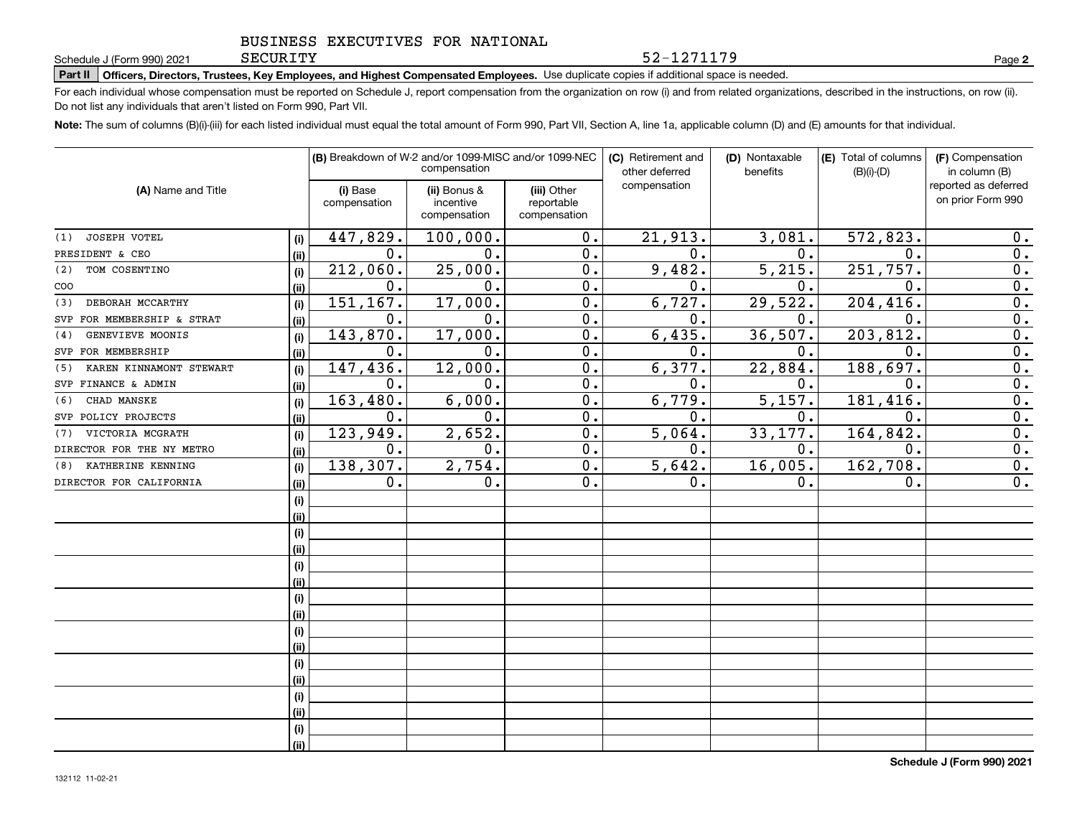52-1271179

**2**

# **Part II Officers, Directors, Trustees, Key Employees, and Highest Compensated Employees.**  Schedule J (Form 990) 2021 Page Use duplicate copies if additional space is needed.

For each individual whose compensation must be reported on Schedule J, report compensation from the organization on row (i) and from related organizations, described in the instructions, on row (ii). Do not list any individuals that aren't listed on Form 990, Part VII.

**Note:**  The sum of columns (B)(i)-(iii) for each listed individual must equal the total amount of Form 990, Part VII, Section A, line 1a, applicable column (D) and (E) amounts for that individual.

|                                |      |                          | (B) Breakdown of W-2 and/or 1099-MISC and/or 1099-NEC<br>compensation |                                           | (C) Retirement and<br>other deferred | (D) Nontaxable<br>benefits | (E) Total of columns<br>$(B)(i)-(D)$ | (F) Compensation<br>in column (B)         |  |
|--------------------------------|------|--------------------------|-----------------------------------------------------------------------|-------------------------------------------|--------------------------------------|----------------------------|--------------------------------------|-------------------------------------------|--|
| (A) Name and Title             |      | (i) Base<br>compensation | (ii) Bonus &<br>incentive<br>compensation                             | (iii) Other<br>reportable<br>compensation | compensation                         |                            |                                      | reported as deferred<br>on prior Form 990 |  |
| JOSEPH VOTEL<br>(1)            | (i)  | 447,829.                 | 100,000.                                                              | 0.                                        | 21,913.                              | 3,081.                     | 572,823.                             | 0.                                        |  |
| PRESIDENT & CEO                | (ii) | $\mathbf{0}$ .           | 0.                                                                    | 0.                                        | $\mathbf 0$ .                        | 0.                         | 0.                                   | 0.                                        |  |
| TOM COSENTINO<br>(2)           | (i)  | 212,060.                 | 25,000.                                                               | 0.                                        | 9,482.                               | 5,215.                     | 251,757.                             | 0.                                        |  |
| COO                            | (ii) | $0$ .                    | 0.                                                                    | 0.                                        | $\mathbf 0$ .                        | $\mathbf 0$ .              | 0.                                   | $\overline{0}$ .                          |  |
| DEBORAH MCCARTHY<br>(3)        | (i)  | 151, 167.                | 17,000.                                                               | 0.                                        | 6,727.                               | 29,522.                    | 204,416.                             | $\overline{0}$ .                          |  |
| SVP FOR MEMBERSHIP & STRAT     | (ii) | $\mathbf 0$ .            | 0.                                                                    | 0.                                        | 0.                                   | $\mathbf 0$ .              | 0.                                   | $\overline{0}$ .                          |  |
| GENEVIEVE MOONIS<br>(4)        | (i)  | 143,870.                 | 17,000.                                                               | 0.                                        | 6,435.                               | 36,507.                    | 203,812.                             | $\overline{0}$ .                          |  |
| SVP FOR MEMBERSHIP             | (ii) | $\mathbf 0$ .            | 0.                                                                    | 0.                                        | 0.                                   | 0.                         | 0.                                   | $\overline{0}$ .                          |  |
| KAREN KINNAMONT STEWART<br>(5) | (i)  | 147,436.                 | 12,000.                                                               | 0.                                        | 6, 377.                              | 22,884.                    | 188,697.                             | $\mathbf 0$ .                             |  |
| SVP FINANCE & ADMIN            | (ii) | $\mathbf 0$ .            | 0.                                                                    | 0.                                        | 0.                                   | $\mathbf 0$ .              | $\mathbf 0$ .                        | $\overline{0}$ .                          |  |
| CHAD MANSKE<br>(6)             | (i)  | 163,480.                 | 6,000.                                                                | $\overline{0}$ .                          | 6,779.                               | 5,157.                     | 181,416.                             | $\overline{0}$ .                          |  |
| SVP POLICY PROJECTS            | (ii) | 0.                       | 0.                                                                    | $\overline{0}$ .                          | 0.                                   | 0.                         | 0.                                   | $\overline{0}$ .                          |  |
| VICTORIA MCGRATH<br>(7)        | (i)  | 123,949.                 | 2,652.                                                                | 0.                                        | 5,064.                               | 33, 177.                   | 164,842.                             | $\overline{0}$ .                          |  |
| DIRECTOR FOR THE NY METRO      | (i)  | 0.                       | 0.                                                                    | 0.                                        | 0.                                   | 0.                         | 0.                                   | $\overline{0}$ .                          |  |
| KATHERINE KENNING<br>(8)       | (i)  | 138,307.                 | 2,754.                                                                | 0.                                        | 5,642.                               | 16,005.                    | 162,708.                             | $\overline{0}$ .                          |  |
| DIRECTOR FOR CALIFORNIA        | (ii) | 0.                       | 0.                                                                    | 0.                                        | 0.                                   | 0.                         | 0.                                   | 0.                                        |  |
|                                | (i)  |                          |                                                                       |                                           |                                      |                            |                                      |                                           |  |
|                                | (ii) |                          |                                                                       |                                           |                                      |                            |                                      |                                           |  |
|                                | (i)  |                          |                                                                       |                                           |                                      |                            |                                      |                                           |  |
|                                | (ii) |                          |                                                                       |                                           |                                      |                            |                                      |                                           |  |
|                                | (i)  |                          |                                                                       |                                           |                                      |                            |                                      |                                           |  |
|                                | (ii) |                          |                                                                       |                                           |                                      |                            |                                      |                                           |  |
|                                | (i)  |                          |                                                                       |                                           |                                      |                            |                                      |                                           |  |
|                                | (ii) |                          |                                                                       |                                           |                                      |                            |                                      |                                           |  |
|                                | (i)  |                          |                                                                       |                                           |                                      |                            |                                      |                                           |  |
|                                | (ii) |                          |                                                                       |                                           |                                      |                            |                                      |                                           |  |
|                                | (i)  |                          |                                                                       |                                           |                                      |                            |                                      |                                           |  |
|                                | (ii) |                          |                                                                       |                                           |                                      |                            |                                      |                                           |  |
|                                | (i)  |                          |                                                                       |                                           |                                      |                            |                                      |                                           |  |
|                                | (ii) |                          |                                                                       |                                           |                                      |                            |                                      |                                           |  |
|                                | (i)  |                          |                                                                       |                                           |                                      |                            |                                      |                                           |  |
|                                | (ii) |                          |                                                                       |                                           |                                      |                            |                                      |                                           |  |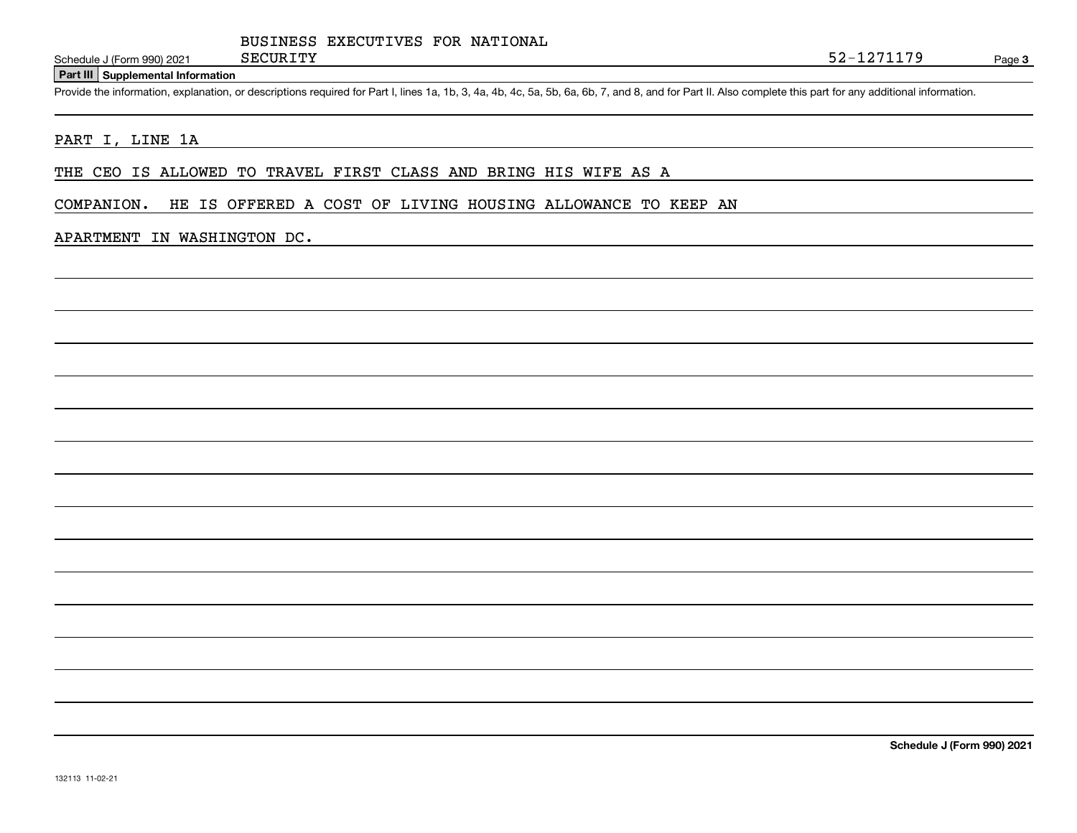### **Part III Supplemental Information**

Schedule J (Form 990) 2021 SECURITY<br>
Part III Supplemental Information<br>
Provide the information, explanation, or descriptions required for Part I, lines 1a, 1b, 3, 4a, 4b, 4c, 5a, 5b, 6a, 6b, 7, and 8, and for Part II. Als

### PART I, LINE 1A

THE CEO IS ALLOWED TO TRAVEL FIRST CLASS AND BRING HIS WIFE AS A

COMPANION. HE IS OFFERED A COST OF LIVING HOUSING ALLOWANCE TO KEEP AN

### APARTMENT IN WASHINGTON DC.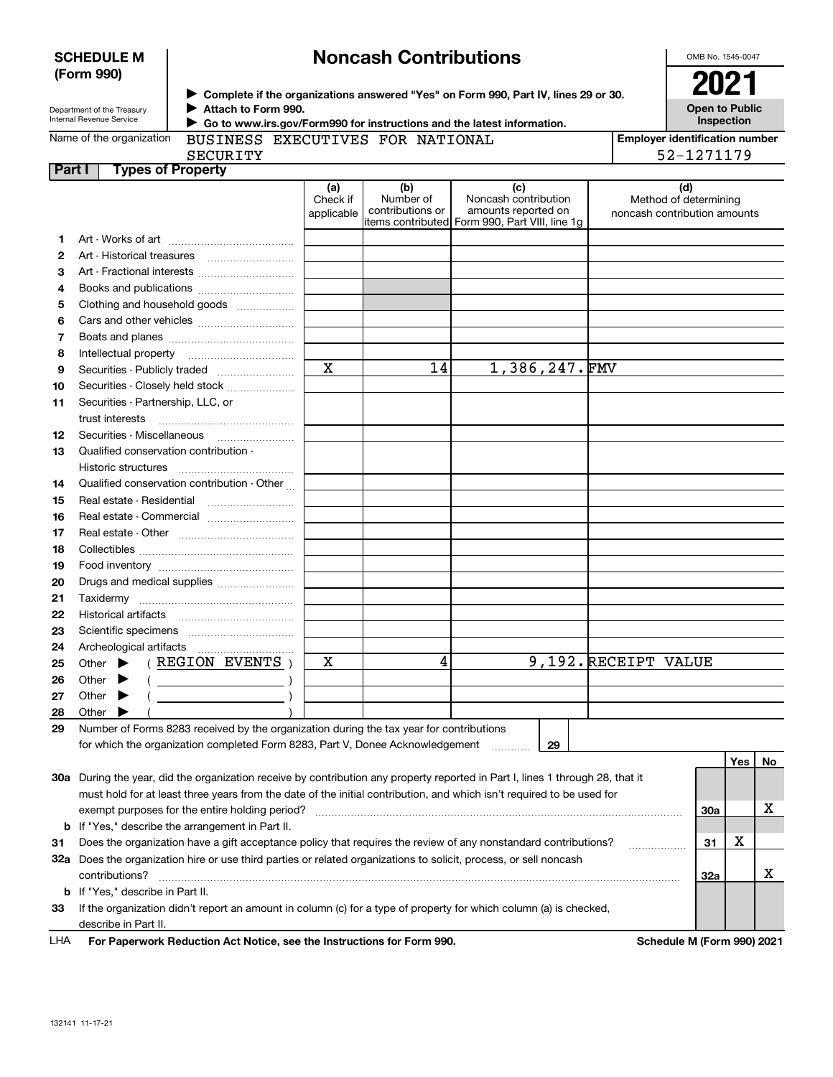|          | (Form 990)                                                                                                                                              |                               |                                      | ▶ Complete if the organizations answered "Yes" on Form 990, Part IV, lines 29 or 30.                 |                              | 2021                                  |            |    |
|----------|---------------------------------------------------------------------------------------------------------------------------------------------------------|-------------------------------|--------------------------------------|------------------------------------------------------------------------------------------------------|------------------------------|---------------------------------------|------------|----|
|          | Attach to Form 990.<br>Department of the Treasury<br>Internal Revenue Service<br>Go to www.irs.gov/Form990 for instructions and the latest information. |                               |                                      |                                                                                                      |                              | <b>Open to Public</b><br>Inspection   |            |    |
|          | Name of the organization<br>BUSINESS EXECUTIVES FOR NATIONAL                                                                                            |                               |                                      |                                                                                                      |                              | <b>Employer identification number</b> |            |    |
|          | <b>SECURITY</b>                                                                                                                                         |                               |                                      |                                                                                                      |                              | 52-1271179                            |            |    |
| Part I   | <b>Types of Property</b>                                                                                                                                |                               |                                      |                                                                                                      |                              |                                       |            |    |
|          |                                                                                                                                                         | (a)<br>Check if<br>applicable | (b)<br>Number of<br>contributions or | (c)<br>Noncash contribution<br>amounts reported on<br>items contributed Form 990, Part VIII, line 1q | noncash contribution amounts | (d)<br>Method of determining          |            |    |
| 1.       |                                                                                                                                                         |                               |                                      |                                                                                                      |                              |                                       |            |    |
| 2        |                                                                                                                                                         |                               |                                      |                                                                                                      |                              |                                       |            |    |
| 3        | Art - Fractional interests                                                                                                                              |                               |                                      |                                                                                                      |                              |                                       |            |    |
| 4        | Books and publications                                                                                                                                  |                               |                                      |                                                                                                      |                              |                                       |            |    |
| 5        | Clothing and household goods                                                                                                                            |                               |                                      |                                                                                                      |                              |                                       |            |    |
| 6        |                                                                                                                                                         |                               |                                      |                                                                                                      |                              |                                       |            |    |
| 7        |                                                                                                                                                         |                               |                                      |                                                                                                      |                              |                                       |            |    |
| 8        | Intellectual property                                                                                                                                   |                               |                                      |                                                                                                      |                              |                                       |            |    |
| 9        |                                                                                                                                                         | $\mathbf X$                   | 14                                   | 1,386,247.FMV                                                                                        |                              |                                       |            |    |
| 10       | Securities - Closely held stock                                                                                                                         |                               |                                      |                                                                                                      |                              |                                       |            |    |
| 11       | Securities - Partnership, LLC, or                                                                                                                       |                               |                                      |                                                                                                      |                              |                                       |            |    |
|          |                                                                                                                                                         |                               |                                      |                                                                                                      |                              |                                       |            |    |
| 12       |                                                                                                                                                         |                               |                                      |                                                                                                      |                              |                                       |            |    |
| 13       | Qualified conservation contribution -<br>Historic structures                                                                                            |                               |                                      |                                                                                                      |                              |                                       |            |    |
| 14       | Qualified conservation contribution - Other                                                                                                             |                               |                                      |                                                                                                      |                              |                                       |            |    |
| 15       | Real estate - Residential                                                                                                                               |                               |                                      |                                                                                                      |                              |                                       |            |    |
| 16       | Real estate - Commercial                                                                                                                                |                               |                                      |                                                                                                      |                              |                                       |            |    |
| 17       |                                                                                                                                                         |                               |                                      |                                                                                                      |                              |                                       |            |    |
| 18       |                                                                                                                                                         |                               |                                      |                                                                                                      |                              |                                       |            |    |
| 19       |                                                                                                                                                         |                               |                                      |                                                                                                      |                              |                                       |            |    |
| 20       | Drugs and medical supplies                                                                                                                              |                               |                                      |                                                                                                      |                              |                                       |            |    |
| 21       |                                                                                                                                                         |                               |                                      |                                                                                                      |                              |                                       |            |    |
| 22       |                                                                                                                                                         |                               |                                      |                                                                                                      |                              |                                       |            |    |
| 23       |                                                                                                                                                         |                               |                                      |                                                                                                      |                              |                                       |            |    |
| 24       |                                                                                                                                                         |                               |                                      |                                                                                                      |                              |                                       |            |    |
| 25       | Other $\blacktriangleright$ ( REGION EVENTS )                                                                                                           | х                             | 4                                    |                                                                                                      | 9,192. RECEIPT VALUE         |                                       |            |    |
| 26       | $\rightarrow$<br>Other $\blacktriangleright$ (                                                                                                          |                               |                                      |                                                                                                      |                              |                                       |            |    |
| 27       | Other                                                                                                                                                   |                               |                                      |                                                                                                      |                              |                                       |            |    |
| 28<br>29 | Other<br>Number of Forms 8283 received by the organization during the tax year for contributions                                                        |                               |                                      |                                                                                                      |                              |                                       |            |    |
|          | for which the organization completed Form 8283, Part V, Donee Acknowledgement                                                                           |                               |                                      | 29                                                                                                   |                              |                                       |            |    |
|          |                                                                                                                                                         |                               |                                      |                                                                                                      |                              |                                       | <b>Yes</b> | No |
|          | 30a During the year, did the organization receive by contribution any property reported in Part I, lines 1 through 28, that it                          |                               |                                      |                                                                                                      |                              |                                       |            |    |
|          | must hold for at least three years from the date of the initial contribution, and which isn't required to be used for                                   |                               |                                      |                                                                                                      |                              |                                       |            | х  |
| b        | exempt purposes for the entire holding period?<br>If "Yes," describe the arrangement in Part II.                                                        |                               |                                      |                                                                                                      |                              | 30a                                   |            |    |
| 31       | Does the organization have a gift acceptance policy that requires the review of any nonstandard contributions?                                          |                               |                                      |                                                                                                      |                              | 31                                    | х          |    |
| 32a      | Does the organization hire or use third parties or related organizations to solicit, process, or sell noncash                                           |                               |                                      |                                                                                                      |                              |                                       |            |    |
|          | contributions?                                                                                                                                          |                               |                                      |                                                                                                      |                              | 32a                                   |            | х  |
| b        | If "Yes," describe in Part II.                                                                                                                          |                               |                                      |                                                                                                      |                              |                                       |            |    |
| 33       | If the organization didn't report an amount in column (c) for a type of property for which column (a) is checked,<br>describe in Part II.               |                               |                                      |                                                                                                      |                              |                                       |            |    |

**Noncash Contributions**

| LHA For Paperwork Reduction Act Notice, see the Instructions for Form 990. | Schedule M (Form 990) 2021<br>the contract of the contract of the contract of the contract of the contract of the contract of the contract of |
|----------------------------------------------------------------------------|-----------------------------------------------------------------------------------------------------------------------------------------------|
|                                                                            |                                                                                                                                               |

OMB No. 1545-0047

**SCHEDULE M (Form 990)**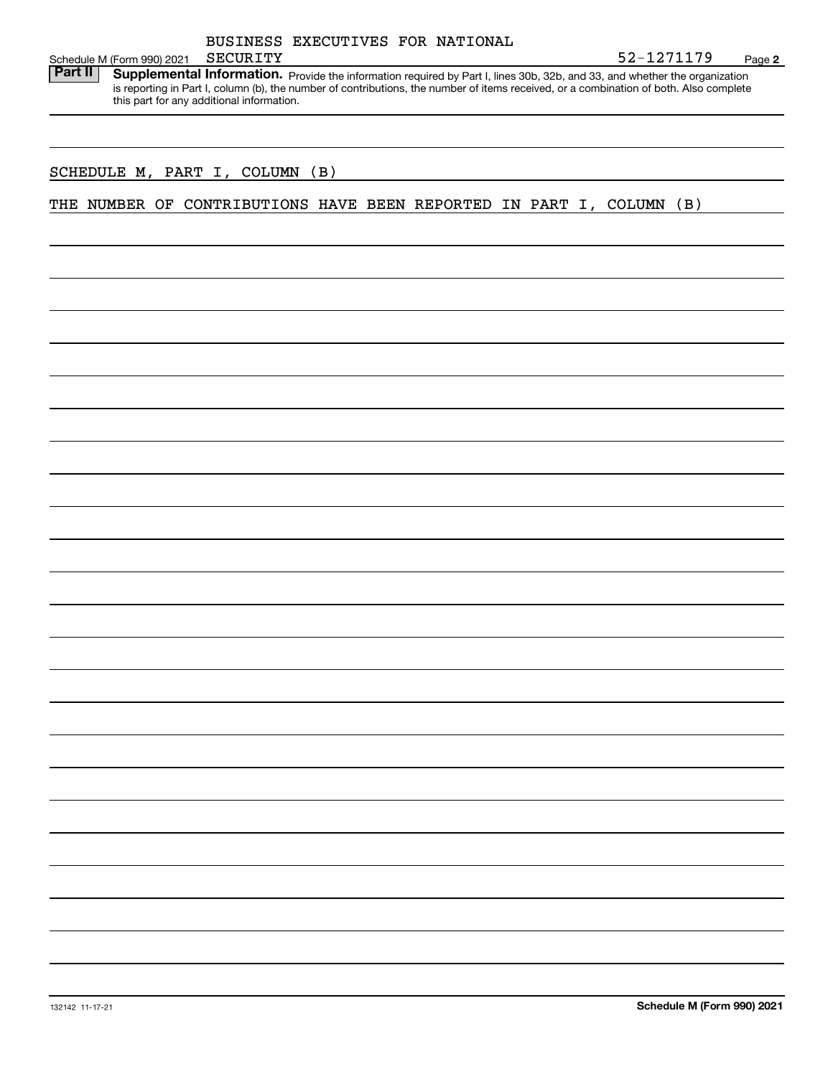| BUSINESS EXECUTIVES FOR NATIONAL |
|----------------------------------|
|                                  |

**2** SECURITY 52-1271179

Schedule M (Form 990) 2021 SECURITY<br>**Part II** Supplemental Information. Part II | Supplemental Information. Provide the information required by Part I, lines 30b, 32b, and 33, and whether the organization is reporting in Part I, column (b), the number of contributions, the number of items received, or a combination of both. Also complete this part for any additional information.

## SCHEDULE M, PART I, COLUMN (B)

THE NUMBER OF CONTRIBUTIONS HAVE BEEN REPORTED IN PART I, COLUMN (B)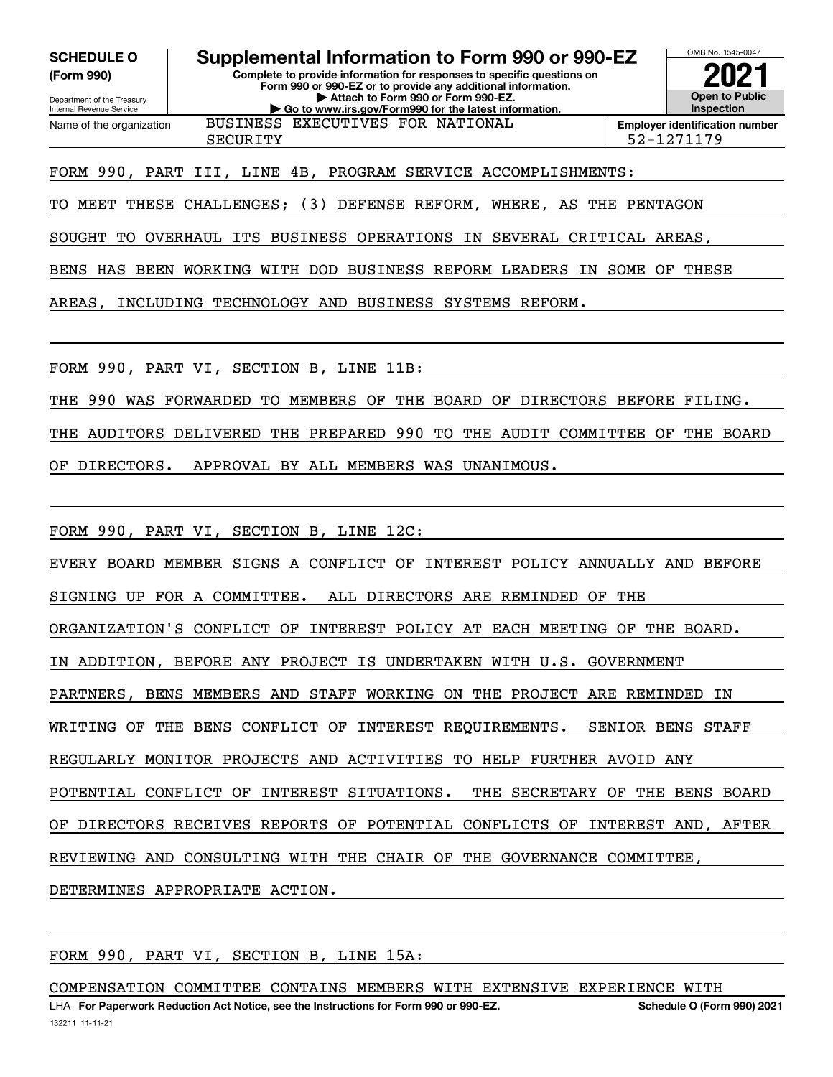**(Form 990)**

**Complete to provide information for responses to specific questions on SCHEDULE O Supplemental Information to Form 990 or 990-EZ**

Department of the Treasury Internal Revenue Service Name of the organization

**Form 990 or 990-EZ or to provide any additional information. | Attach to Form 990 or Form 990-EZ. | Go to www.irs.gov/Form990 for the latest information.** BUSINESS EXECUTIVES FOR NATIONAL



## FORM 990, PART III, LINE 4B, PROGRAM SERVICE ACCOMPLISHMENTS:

TO MEET THESE CHALLENGES; (3) DEFENSE REFORM, WHERE, AS THE PENTAGON

SOUGHT TO OVERHAUL ITS BUSINESS OPERATIONS IN SEVERAL CRITICAL AREAS,

BENS HAS BEEN WORKING WITH DOD BUSINESS REFORM LEADERS IN SOME OF THESE

AREAS, INCLUDING TECHNOLOGY AND BUSINESS SYSTEMS REFORM.

FORM 990, PART VI, SECTION B, LINE 11B:

THE 990 WAS FORWARDED TO MEMBERS OF THE BOARD OF DIRECTORS BEFORE FILING.

THE AUDITORS DELIVERED THE PREPARED 990 TO THE AUDIT COMMITTEE OF THE BOARD

OF DIRECTORS. APPROVAL BY ALL MEMBERS WAS UNANIMOUS.

FORM 990, PART VI, SECTION B, LINE 12C:

EVERY BOARD MEMBER SIGNS A CONFLICT OF INTEREST POLICY ANNUALLY AND BEFORE

SIGNING UP FOR A COMMITTEE. ALL DIRECTORS ARE REMINDED OF THE

ORGANIZATION'S CONFLICT OF INTEREST POLICY AT EACH MEETING OF THE BOARD.

IN ADDITION, BEFORE ANY PROJECT IS UNDERTAKEN WITH U.S. GOVERNMENT

PARTNERS, BENS MEMBERS AND STAFF WORKING ON THE PROJECT ARE REMINDED IN

WRITING OF THE BENS CONFLICT OF INTEREST REQUIREMENTS. SENIOR BENS STAFF

REGULARLY MONITOR PROJECTS AND ACTIVITIES TO HELP FURTHER AVOID ANY

POTENTIAL CONFLICT OF INTEREST SITUATIONS. THE SECRETARY OF THE BENS BOARD

OF DIRECTORS RECEIVES REPORTS OF POTENTIAL CONFLICTS OF INTEREST AND, AFTER

REVIEWING AND CONSULTING WITH THE CHAIR OF THE GOVERNANCE COMMITTEE,

DETERMINES APPROPRIATE ACTION.

FORM 990, PART VI, SECTION B, LINE 15A:

COMPENSATION COMMITTEE CONTAINS MEMBERS WITH EXTENSIVE EXPERIENCE WITH